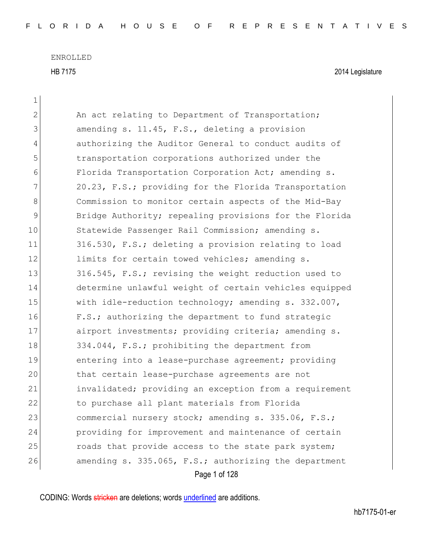$\mathbf{1}$ 

HB 7175 2014 Legislature

| $\overline{2}$ | An act relating to Department of Transportation;        |
|----------------|---------------------------------------------------------|
| 3              | amending s. 11.45, F.S., deleting a provision           |
| 4              | authorizing the Auditor General to conduct audits of    |
| 5              | transportation corporations authorized under the        |
| 6              | Florida Transportation Corporation Act; amending s.     |
| 7              | 20.23, F.S.; providing for the Florida Transportation   |
| 8              | Commission to monitor certain aspects of the Mid-Bay    |
| $\mathcal{G}$  | Bridge Authority; repealing provisions for the Florida  |
| 10             | Statewide Passenger Rail Commission; amending s.        |
| 11             | 316.530, F.S.; deleting a provision relating to load    |
| 12             | limits for certain towed vehicles; amending s.          |
| 13             | 316.545, F.S.; revising the weight reduction used to    |
| 14             | determine unlawful weight of certain vehicles equipped  |
| 15             | with idle-reduction technology; amending $s. 332.007$ , |
| 16             | F.S.; authorizing the department to fund strategic      |
| 17             | airport investments; providing criteria; amending s.    |
| 18             | 334.044, F.S.; prohibiting the department from          |
| 19             | entering into a lease-purchase agreement; providing     |
| 20             | that certain lease-purchase agreements are not          |
| 21             | invalidated; providing an exception from a requirement  |
| 22             | to purchase all plant materials from Florida            |
| 23             | commercial nursery stock; amending s. 335.06, F.S.;     |
| 24             | providing for improvement and maintenance of certain    |
| 25             | roads that provide access to the state park system;     |
| 26             | amending s. 335.065, F.S.; authorizing the department   |
|                | Page 1 of 128                                           |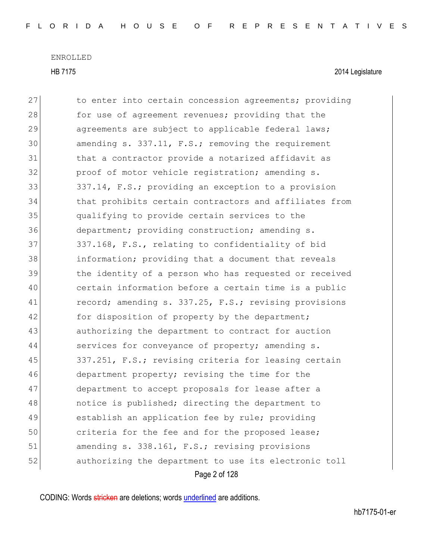HB 7175 2014 Legislature

Page 2 of 128 27 to enter into certain concession agreements; providing 28 **for use of agreement revenues;** providing that the 29 agreements are subject to applicable federal laws; 30 amending s. 337.11, F.S.; removing the requirement 31 bhat a contractor provide a notarized affidavit as 32 proof of motor vehicle registration; amending s. 33 337.14, F.S.; providing an exception to a provision 34 that prohibits certain contractors and affiliates from 35 qualifying to provide certain services to the 36 department; providing construction; amending s. 37 337.168, F.S., relating to confidentiality of bid 38 information; providing that a document that reveals 39 the identity of a person who has requested or received 40 certain information before a certain time is a public 41 record; amending s. 337.25, F.S.; revising provisions 42 for disposition of property by the department; 43 authorizing the department to contract for auction 44 services for conveyance of property; amending s. 45 337.251, F.S.; revising criteria for leasing certain 46 department property; revising the time for the 47 department to accept proposals for lease after a 48 **notice is published;** directing the department to 49 establish an application fee by rule; providing 50 criteria for the fee and for the proposed lease; 51 amending s. 338.161, F.S.; revising provisions 52 authorizing the department to use its electronic toll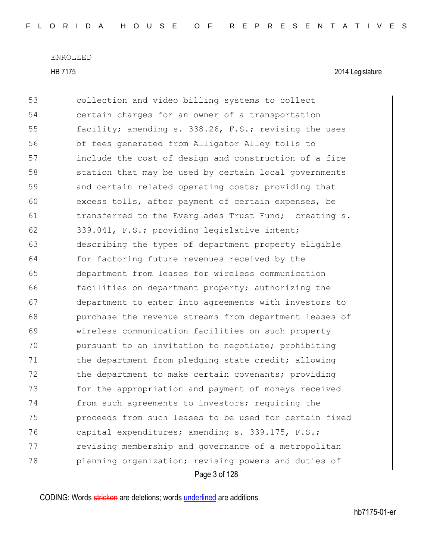HB 7175 2014 Legislature

Page 3 of 128 53 collection and video billing systems to collect 54 certain charges for an owner of a transportation 55 facility; amending s. 338.26, F.S.; revising the uses 56 of fees generated from Alligator Alley tolls to 57 include the cost of design and construction of a fire 58 station that may be used by certain local governments 59 and certain related operating costs; providing that 60 excess tolls, after payment of certain expenses, be 61 **transferred to the Everglades Trust Fund;** creating s. 62 339.041, F.S.; providing legislative intent; 63 describing the types of department property eligible 64 for factoring future revenues received by the 65 department from leases for wireless communication 66 facilities on department property; authorizing the 67 department to enter into agreements with investors to 68 **purchase the revenue streams from department leases of** 69 wireless communication facilities on such property 70 pursuant to an invitation to negotiate; prohibiting 71 the department from pledging state credit; allowing 72 the department to make certain covenants; providing 73 **for the appropriation and payment of moneys received** 74 from such agreements to investors; requiring the 75 proceeds from such leases to be used for certain fixed 76 capital expenditures; amending s. 339.175, F.S.; 77 revising membership and governance of a metropolitan 78 planning organization; revising powers and duties of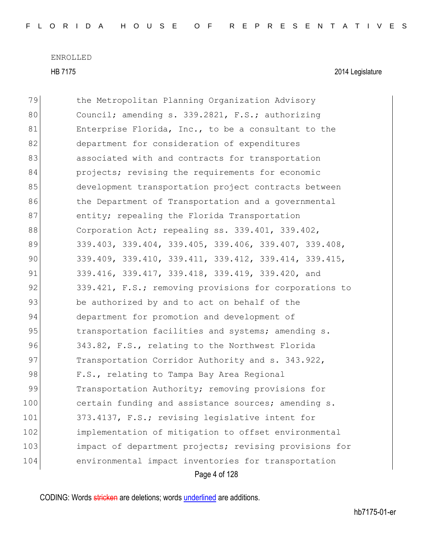HB 7175 2014 Legislature

| 79  | the Metropolitan Planning Organization Advisory        |
|-----|--------------------------------------------------------|
| 80  | Council; amending s. 339.2821, F.S.; authorizing       |
| 81  | Enterprise Florida, Inc., to be a consultant to the    |
| 82  | department for consideration of expenditures           |
| 83  | associated with and contracts for transportation       |
| 84  | projects; revising the requirements for economic       |
| 85  | development transportation project contracts between   |
| 86  | the Department of Transportation and a governmental    |
| 87  | entity; repealing the Florida Transportation           |
| 88  | Corporation Act; repealing ss. 339.401, 339.402,       |
| 89  | 339.403, 339.404, 339.405, 339.406, 339.407, 339.408,  |
| 90  | 339.409, 339.410, 339.411, 339.412, 339.414, 339.415,  |
| 91  | 339.416, 339.417, 339.418, 339.419, 339.420, and       |
| 92  | 339.421, F.S.; removing provisions for corporations to |
| 93  | be authorized by and to act on behalf of the           |
| 94  | department for promotion and development of            |
| 95  | transportation facilities and systems; amending s.     |
| 96  | 343.82, F.S., relating to the Northwest Florida        |
| 97  | Transportation Corridor Authority and s. 343.922,      |
| 98  | F.S., relating to Tampa Bay Area Regional              |
| 99  | Transportation Authority; removing provisions for      |
| 100 | certain funding and assistance sources; amending s.    |
| 101 | 373.4137, F.S.; revising legislative intent for        |
| 102 | implementation of mitigation to offset environmental   |
| 103 | impact of department projects; revising provisions for |
| 104 | environmental impact inventories for transportation    |
|     | Page 4 of 128                                          |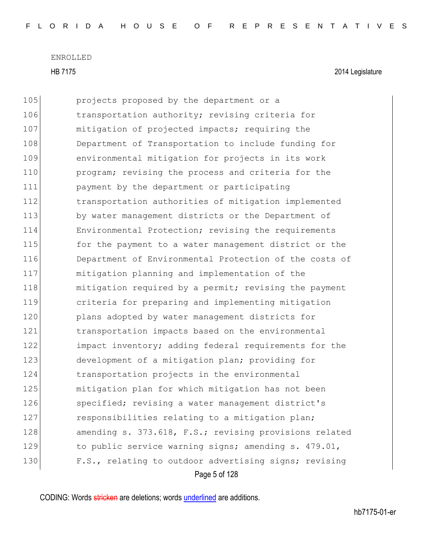|     | Page 5 of 128                                          |  |
|-----|--------------------------------------------------------|--|
| 130 | F.S., relating to outdoor advertising signs; revising  |  |
| 129 | to public service warning signs; amending s. 479.01,   |  |
| 128 | amending s. 373.618, F.S.; revising provisions related |  |
| 127 | responsibilities relating to a mitigation plan;        |  |
| 126 | specified; revising a water management district's      |  |
| 125 | mitigation plan for which mitigation has not been      |  |
| 124 | transportation projects in the environmental           |  |
| 123 | development of a mitigation plan; providing for        |  |
| 122 | impact inventory; adding federal requirements for the  |  |
| 121 | transportation impacts based on the environmental      |  |
| 120 | plans adopted by water management districts for        |  |
| 119 | criteria for preparing and implementing mitigation     |  |
| 118 | mitigation required by a permit; revising the payment  |  |
| 117 | mitigation planning and implementation of the          |  |
| 116 | Department of Environmental Protection of the costs of |  |
| 115 | for the payment to a water management district or the  |  |
| 114 | Environmental Protection; revising the requirements    |  |
| 113 | by water management districts or the Department of     |  |
| 112 | transportation authorities of mitigation implemented   |  |
| 111 | payment by the department or participating             |  |
| 110 | program; revising the process and criteria for the     |  |
| 109 | environmental mitigation for projects in its work      |  |
| 108 | Department of Transportation to include funding for    |  |
| 107 | mitigation of projected impacts; requiring the         |  |
| 106 | transportation authority; revising criteria for        |  |
| 105 | projects proposed by the department or a               |  |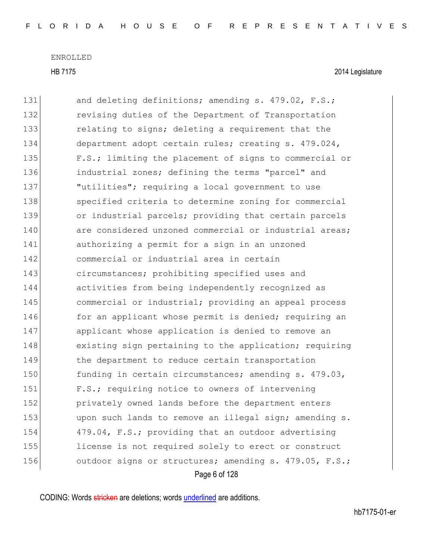HB 7175 2014 Legislature

| 131 | and deleting definitions; amending s. 479.02, F.S.;    |
|-----|--------------------------------------------------------|
| 132 | revising duties of the Department of Transportation    |
| 133 | relating to signs; deleting a requirement that the     |
| 134 | department adopt certain rules; creating s. 479.024,   |
| 135 | F.S.; limiting the placement of signs to commercial or |
| 136 | industrial zones; defining the terms "parcel" and      |
| 137 | "utilities"; requiring a local government to use       |
| 138 | specified criteria to determine zoning for commercial  |
| 139 | or industrial parcels; providing that certain parcels  |
| 140 | are considered unzoned commercial or industrial areas; |
| 141 | authorizing a permit for a sign in an unzoned          |
| 142 | commercial or industrial area in certain               |
| 143 | circumstances; prohibiting specified uses and          |
| 144 | activities from being independently recognized as      |
| 145 | commercial or industrial; providing an appeal process  |
| 146 | for an applicant whose permit is denied; requiring an  |
| 147 | applicant whose application is denied to remove an     |
| 148 | existing sign pertaining to the application; requiring |
| 149 | the department to reduce certain transportation        |
| 150 | funding in certain circumstances; amending s. 479.03,  |
| 151 | F.S.; requiring notice to owners of intervening        |
| 152 | privately owned lands before the department enters     |
| 153 | upon such lands to remove an illegal sign; amending s. |
| 154 | 479.04, F.S.; providing that an outdoor advertising    |
| 155 | license is not required solely to erect or construct   |
| 156 | outdoor signs or structures; amending s. 479.05, F.S.; |
|     | Page 6 of 128                                          |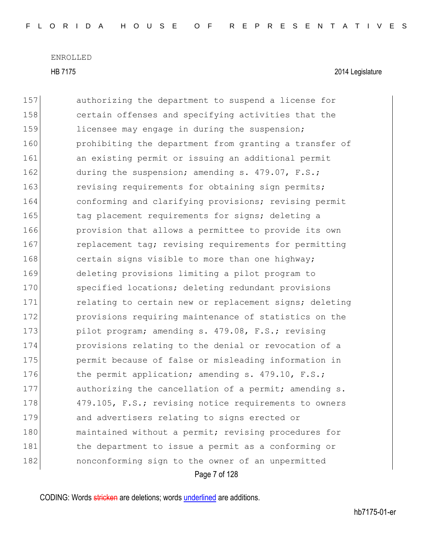HB 7175 2014 Legislature

Page 7 of 128 157 authorizing the department to suspend a license for 158 certain offenses and specifying activities that the 159 licensee may engage in during the suspension; 160 **prohibiting the department from granting a transfer of** 161 an existing permit or issuing an additional permit 162 during the suspension; amending s. 479.07, F.S.; 163 revising requirements for obtaining sign permits; 164 conforming and clarifying provisions; revising permit 165 tag placement requirements for signs; deleting a 166 **provision that allows a permittee to provide its own** 167 replacement tag; revising requirements for permitting 168 certain signs visible to more than one highway; 169 deleting provisions limiting a pilot program to 170 specified locations; deleting redundant provisions 171 relating to certain new or replacement signs; deleting 172 **provisions requiring maintenance of statistics on the** 173 pilot program; amending s. 479.08, F.S.; revising 174 provisions relating to the denial or revocation of a 175 **permit because of false or misleading information in** 176 the permit application; amending s. 479.10, F.S.; 177 authorizing the cancellation of a permit; amending s. 178 479.105, F.S.; revising notice requirements to owners 179 and advertisers relating to signs erected or 180 maintained without a permit; revising procedures for 181 black the department to issue a permit as a conforming or 182 **nonconforming sign to the owner of an unpermitted**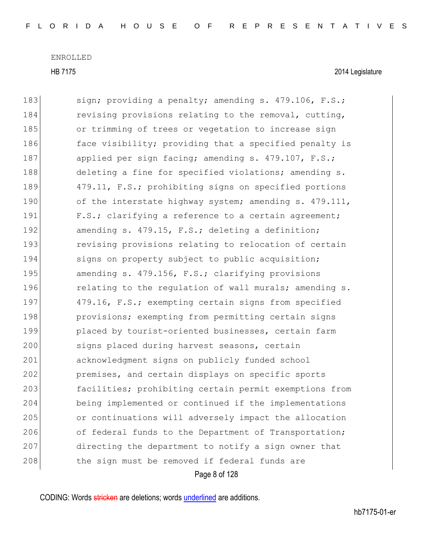HB 7175 2014 Legislature

| 183 | sign; providing a penalty; amending s. 479.106, F.S.;  |
|-----|--------------------------------------------------------|
| 184 | revising provisions relating to the removal, cutting,  |
| 185 | or trimming of trees or vegetation to increase sign    |
| 186 | face visibility; providing that a specified penalty is |
| 187 | applied per sign facing; amending s. 479.107, F.S.;    |
| 188 | deleting a fine for specified violations; amending s.  |
| 189 | 479.11, F.S.; prohibiting signs on specified portions  |
| 190 | of the interstate highway system; amending s. 479.111, |
| 191 | F.S.; clarifying a reference to a certain agreement;   |
| 192 | amending s. 479.15, F.S.; deleting a definition;       |
| 193 | revising provisions relating to relocation of certain  |
| 194 | signs on property subject to public acquisition;       |
| 195 | amending s. 479.156, F.S.; clarifying provisions       |
| 196 | relating to the regulation of wall murals; amending s. |
| 197 | 479.16, F.S.; exempting certain signs from specified   |
| 198 | provisions; exempting from permitting certain signs    |
| 199 | placed by tourist-oriented businesses, certain farm    |
| 200 | signs placed during harvest seasons, certain           |
| 201 | acknowledgment signs on publicly funded school         |
| 202 | premises, and certain displays on specific sports      |
| 203 | facilities; prohibiting certain permit exemptions from |
| 204 | being implemented or continued if the implementations  |
| 205 | or continuations will adversely impact the allocation  |
| 206 | of federal funds to the Department of Transportation;  |
| 207 | directing the department to notify a sign owner that   |
| 208 | the sign must be removed if federal funds are          |
|     | Page 8 of 128                                          |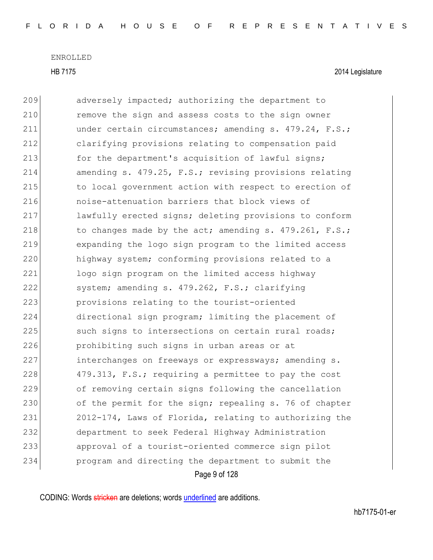HB 7175 2014 Legislature

Page 9 of 128 209 adversely impacted; authorizing the department to 210 remove the sign and assess costs to the sign owner 211 under certain circumstances; amending s. 479.24, F.S.; 212 clarifying provisions relating to compensation paid 213 for the department's acquisition of lawful signs; 214 amending s. 479.25, F.S.; revising provisions relating 215 to local government action with respect to erection of 216 noise-attenuation barriers that block views of 217 lawfully erected signs; deleting provisions to conform 218 to changes made by the act; amending s.  $479.261$ , F.S.; 219 expanding the logo sign program to the limited access 220 highway system; conforming provisions related to a 221 logo sign program on the limited access highway 222 system; amending s. 479.262, F.S.; clarifying 223 provisions relating to the tourist-oriented 224 directional sign program; limiting the placement of 225 such signs to intersections on certain rural roads; 226 prohibiting such signs in urban areas or at 227 interchanges on freeways or expressways; amending s. 228 479.313, F.S.; requiring a permittee to pay the cost 229 of removing certain signs following the cancellation 230 of the permit for the sign; repealing s. 76 of chapter 231 2012-174, Laws of Florida, relating to authorizing the 232 department to seek Federal Highway Administration 233 approval of a tourist-oriented commerce sign pilot 234 program and directing the department to submit the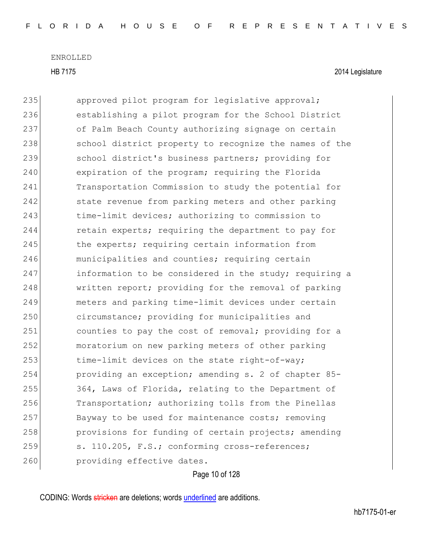HB 7175 2014 Legislature

235 approved pilot program for legislative approval; 236 establishing a pilot program for the School District 237 of Palm Beach County authorizing signage on certain 238 school district property to recognize the names of the 239 school district's business partners; providing for 240 expiration of the program; requiring the Florida 241 Transportation Commission to study the potential for 242 state revenue from parking meters and other parking 243 time-limit devices; authorizing to commission to 244 retain experts; requiring the department to pay for 245 the experts; requiring certain information from 246 municipalities and counties; requiring certain 247 information to be considered in the study; requiring a 248 written report; providing for the removal of parking 249 meters and parking time-limit devices under certain 250 circumstance; providing for municipalities and 251 counties to pay the cost of removal; providing for a 252 moratorium on new parking meters of other parking 253 time-limit devices on the state right-of-way; 254 providing an exception; amending s. 2 of chapter 85- 255 364, Laws of Florida, relating to the Department of 256 Transportation; authorizing tolls from the Pinellas 257 Bayway to be used for maintenance costs; removing 258 **provisions for funding of certain projects; amending** 259 s. 110.205, F.S.; conforming cross-references; 260 **providing effective dates.** 

## Page 10 of 128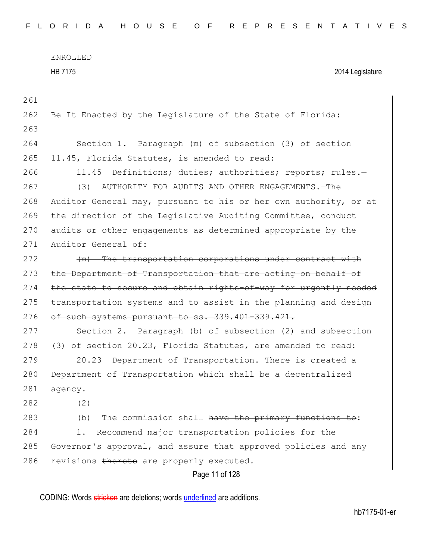| 261 |                                                                   |
|-----|-------------------------------------------------------------------|
| 262 | Be It Enacted by the Legislature of the State of Florida:         |
| 263 |                                                                   |
| 264 | Section 1. Paragraph (m) of subsection (3) of section             |
| 265 | 11.45, Florida Statutes, is amended to read:                      |
| 266 | Definitions; duties; authorities; reports; rules.-<br>11.45       |
| 267 | AUTHORITY FOR AUDITS AND OTHER ENGAGEMENTS.-The<br>(3)            |
| 268 | Auditor General may, pursuant to his or her own authority, or at  |
| 269 | the direction of the Legislative Auditing Committee, conduct      |
| 270 | audits or other engagements as determined appropriate by the      |
| 271 | Auditor General of:                                               |
| 272 | (m) The transportation corporations under contract with           |
| 273 | the Department of Transportation that are acting on behalf of     |
| 274 | the state to secure and obtain rights-of-way for urgently needed  |
| 275 | transportation systems and to assist in the planning and design   |
| 276 | of such systems pursuant to ss. 339.401-339.421.                  |
| 277 | Section 2. Paragraph (b) of subsection (2) and subsection         |
| 278 | (3) of section 20.23, Florida Statutes, are amended to read:      |
| 279 | Department of Transportation. There is created a<br>20.23         |
| 280 | Department of Transportation which shall be a decentralized       |
| 281 | agency.                                                           |
| 282 | (2)                                                               |
| 283 | The commission shall have the primary functions to:<br>(b)        |
| 284 | Recommend major transportation policies for the<br>1.             |
| 285 | Governor's approval $r$ and assure that approved policies and any |
| 286 | revisions thereto are properly executed.                          |
|     | Page 11 of 128                                                    |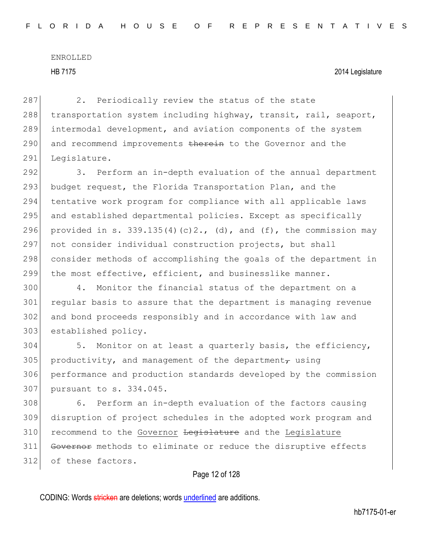## HB 7175 2014 Legislature

287 2. Periodically review the status of the state 288 transportation system including highway, transit, rail, seaport, 289 intermodal development, and aviation components of the system 290 and recommend improvements therein to the Governor and the 291 Legislature.

292 3. Perform an in-depth evaluation of the annual department 293 budget request, the Florida Transportation Plan, and the 294 tentative work program for compliance with all applicable laws 295 and established departmental policies. Except as specifically 296 provided in s. 339.135(4)(c)2., (d), and (f), the commission may 297 not consider individual construction projects, but shall 298 consider methods of accomplishing the goals of the department in 299 the most effective, efficient, and businesslike manner.

 4. Monitor the financial status of the department on a regular basis to assure that the department is managing revenue and bond proceeds responsibly and in accordance with law and 303 established policy.

 5. Monitor on at least a quarterly basis, the efficiency, 305 productivity, and management of the department, using performance and production standards developed by the commission pursuant to s. 334.045.

308 6. Perform an in-depth evaluation of the factors causing 309 disruption of project schedules in the adopted work program and 310 recommend to the Governor Legislature and the Legislature 311 Governor methods to eliminate or reduce the disruptive effects 312 of these factors.

## Page 12 of 128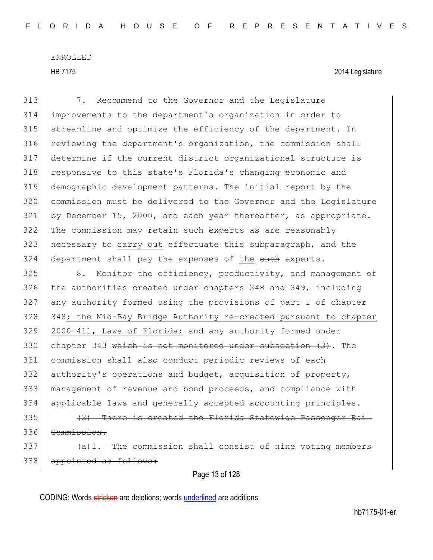| 313 | 7. Recommend to the Governor and the Legislature                 |
|-----|------------------------------------------------------------------|
| 314 | improvements to the department's organization in order to        |
| 315 | streamline and optimize the efficiency of the department. In     |
| 316 | reviewing the department's organization, the commission shall    |
| 317 | determine if the current district organizational structure is    |
| 318 | responsive to this state's Florida's changing economic and       |
| 319 | demographic development patterns. The initial report by the      |
| 320 | commission must be delivered to the Governor and the Legislature |
| 321 | by December 15, 2000, and each year thereafter, as appropriate.  |
| 322 | The commission may retain such experts as are reasonably         |
| 323 | necessary to carry out effectuate this subparagraph, and the     |
| 324 | department shall pay the expenses of the such experts.           |
| 325 | 8. Monitor the efficiency, productivity, and management of       |
| 326 | the authorities created under chapters 348 and 349, including    |
| 327 | any authority formed using the provisions of part I of chapter   |
| 328 | 348; the Mid-Bay Bridge Authority re-created pursuant to chapter |
| 329 | 2000-411, Laws of Florida; and any authority formed under        |
| 330 | chapter 343 which is not monitored under subsection $(3)$ . The  |
| 331 | commission shall also conduct periodic reviews of each           |
| 332 | authority's operations and budget, acquisition of property,      |
| 333 | management of revenue and bond proceeds, and compliance with     |
| 334 | applicable laws and generally accepted accounting principles.    |
| 335 | There is created the Florida Statewide Passenger Rail            |
| 336 | Commission.                                                      |
| 337 | (a)1. The commission shall consist of nine voting members        |
| 338 | appointed as follows:                                            |
|     | Page 13 of 128                                                   |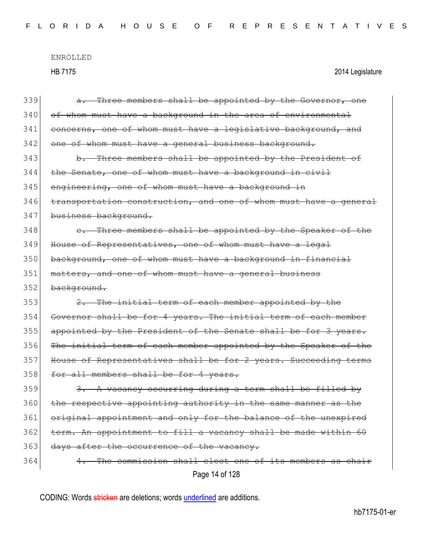HB 7175 2014 Legislature

| 339 | Three members shall be appointed by the Governor, one<br>a .     |
|-----|------------------------------------------------------------------|
| 340 | of whom must have a background in the area of environmental      |
| 341 | concerns, one of whom must have a legislative background, and    |
| 342 | one of whom must have a general business background.             |
| 343 | b. Three members shall be appointed by the President of          |
| 344 | the Senate, one of whom must have a background in civil          |
| 345 | engineering, one of whom must have a background in               |
| 346 | transportation construction, and one of whom must have a general |
| 347 | business background.                                             |
| 348 | e. Three members shall be appointed by the Speaker of the        |
| 349 | House of Representatives, one of whom must have a legal          |
| 350 | background, one of whom must have a background in financial      |
| 351 | matters, and one of whom must have a general business            |
| 352 | background.                                                      |
| 353 | 2. The initial term of each member appointed by the              |
| 354 | Governor shall be for 4 years. The initial term of each member   |
| 355 | appointed by the President of the Senate shall be for 3 years.   |
| 356 | The initial term of each member appointed by the Speaker of the  |
| 357 | House of Representatives shall be for 2 years. Succeeding terms  |
| 358 | for all members shall be for 4 years.                            |
| 359 | 3. A vacancy occurring during a term shall be filled by          |
| 360 | the respective appointing authority in the same manner as the    |
| 361 | original appointment and only for the balance of the unexpired   |
| 362 | term. An appointment to fill a vacancy shall be made within 60   |
| 363 | days after the occurrence of the vacancy.                        |
| 364 | The commission shall elect one of its members as chair           |
|     | Page 14 of 128                                                   |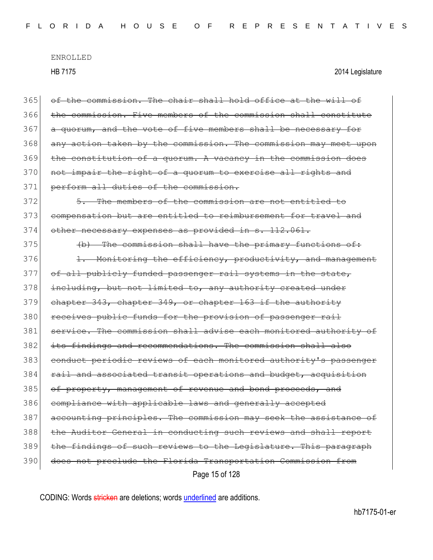| 365 | of the commission. The chair shall hold office at the will of    |
|-----|------------------------------------------------------------------|
| 366 | the commission. Five members of the commission shall constitute  |
| 367 | a quorum, and the vote of five members shall be necessary for    |
| 368 | any action taken by the commission. The commission may meet upon |
| 369 | the constitution of a quorum. A vacancy in the commission does   |
| 370 | not impair the right of a quorum to exercise all rights and      |
| 371 | perform all duties of the commission.                            |
| 372 | 5. The members of the commission are not entitled to             |
| 373 | compensation but are entitled to reimbursement for travel and    |
| 374 | other necessary expenses as provided in s. 112.061.              |
| 375 | (b) The commission shall have the primary functions of:          |
| 376 | 1. Monitoring the efficiency, productivity, and management       |
| 377 | of all publicly funded passenger rail systems in the state,      |
| 378 | including, but not limited to, any authority created under       |
| 379 | chapter 343, chapter 349, or chapter 163 if the authority        |
| 380 | receives public funds for the provision of passenger rail        |
| 381 | service. The commission shall advise each monitored authority of |
| 382 | its findings and recommendations. The commission shall also      |
| 383 | conduct periodic reviews of each monitored authority's passenger |
| 384 | rail and associated transit operations and budget, acquisition   |
| 385 | of property, management of revenue and bond proceeds, and        |
| 386 | compliance with applicable laws and generally accepted           |
| 387 | accounting principles. The commission may seek the assistance of |
| 388 | the Auditor General in conducting such reviews and shall report  |
| 389 | the findings of such reviews to the Legislature. This paragraph  |
| 390 | does not preclude the Florida Transportation Commission from     |
|     | Page 15 of 128                                                   |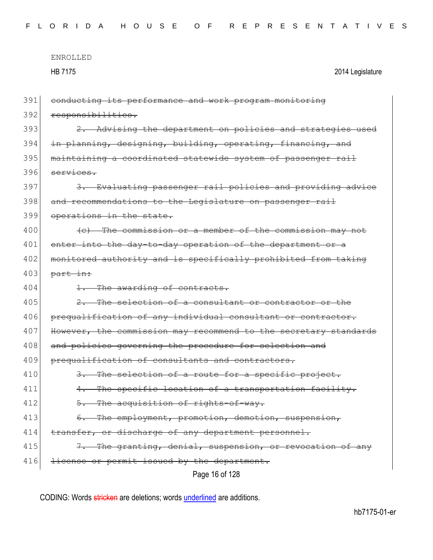|     | ENROLLED                                                    |                  |
|-----|-------------------------------------------------------------|------------------|
|     | HR 7175                                                     | 2014 Legislature |
|     |                                                             |                  |
| 391 | conducting its performance and work program monitoring      |                  |
| 392 | responsibilities.                                           |                  |
| 393 | 2. Advising the department on policies and strategies used  |                  |
| 394 | in planning, designing, building, operating, financing, and |                  |
|     |                                                             |                  |

395 maintaining a coordinated statewide system of passenger rail  $396$  services. 397 3. Evaluating passenger rail policies and providing advice 398 and recommendations to the Legislature on passenger rail

399 operations in the state.

400 **(c)** The commission or a member of the commission may not 401 enter into the day-to-day operation of the department or a 402 monitored authority and is specifically prohibited from taking  $403$  part in:

404 1. The awarding of contracts.

 $405$  2. The selection of a consultant or contractor or the 406 prequalification of any individual consultant or contractor. 407 However, the commission may recommend to the secretary standards 408 and policies governing the procedure for selection and 409 prequalification of consultants and contractors.

410 3. The selection of a route for a specific project. 411 4. The specific location of a transportation facility.

412 5. The acquisition of rights-of-way.

413 6. The employment, promotion, demotion, suspension,

414 transfer, or discharge of any department personnel.

415 7. The granting, denial, suspension, or revocation of any

416 license or permit issued by the department.

Page 16 of 128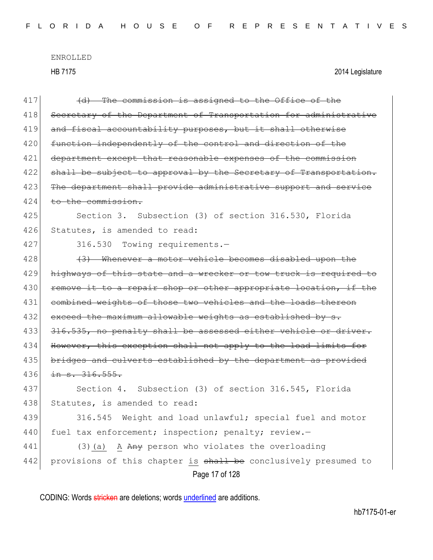| 417 | (d) The commission is assigned to the Office of the              |  |
|-----|------------------------------------------------------------------|--|
| 418 | Secretary of the Department of Transportation for administrative |  |
| 419 | and fiscal accountability purposes, but it shall otherwise       |  |
| 420 | function independently of the control and direction of the       |  |
| 421 | department except that reasonable expenses of the commission     |  |
| 422 | shall be subject to approval by the Secretary of Transportation. |  |
| 423 | The department shall provide administrative support and service  |  |
| 424 | to the commission.                                               |  |
| 425 | Section 3. Subsection (3) of section 316.530, Florida            |  |
| 426 | Statutes, is amended to read:                                    |  |
| 427 | 316.530<br>Towing requirements.-                                 |  |
| 428 | (3) Whenever a motor vehicle becomes disabled upon the           |  |
| 429 | highways of this state and a wrecker or tow truck is required to |  |
| 430 | remove it to a repair shop or other appropriate location, if the |  |
| 431 | combined weights of those two vehicles and the loads thereon     |  |
| 432 | exceed the maximum allowable weights as established by s.        |  |
| 433 | 316.535, no penalty shall be assessed either vehicle or driver.  |  |
| 434 | However, this exception shall not apply to the load limits for   |  |
| 435 | bridges and culverts established by the department as provided   |  |
| 436 | in s. 316.555.                                                   |  |
| 437 | Section 4. Subsection (3) of section 316.545, Florida            |  |
| 438 | Statutes, is amended to read:                                    |  |
| 439 | 316.545<br>Weight and load unlawful; special fuel and motor      |  |
| 440 | fuel tax enforcement; inspection; penalty; review.-              |  |
| 441 | $(3)$ (a) A Any person who violates the overloading              |  |
| 442 | provisions of this chapter is shall be conclusively presumed to  |  |
|     | Page 17 of 128                                                   |  |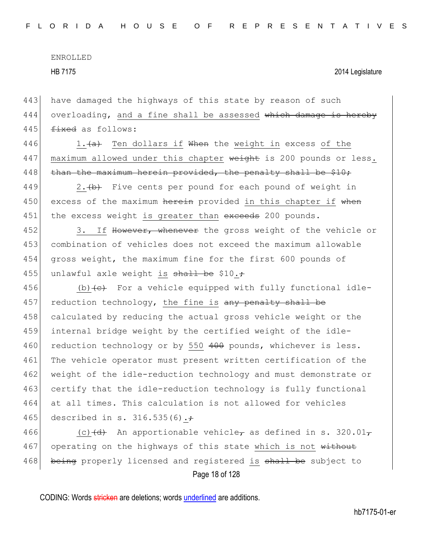443 have damaged the highways of this state by reason of such  $444$  overloading, and a fine shall be assessed which damage is hereby 445  $f$   $f$   $\frac{1}{2}$   $f$   $\frac{1}{2}$   $f$   $\frac{1}{2}$   $f$   $\frac{1}{2}$   $\frac{1}{2}$   $\frac{1}{2}$   $\frac{1}{2}$   $\frac{1}{2}$   $\frac{1}{2}$   $\frac{1}{2}$   $\frac{1}{2}$   $\frac{1}{2}$   $\frac{1}{2}$   $\frac{1}{2}$   $\frac{1}{2}$   $\frac{1}{2}$   $\frac{1}{2}$   $\frac{1}{2}$   $\frac{1}{2}$   $\frac{1}{2$ 

446 1. $\leftarrow$  1. Ten dollars if When the weight in excess of the 447 maximum allowed under this chapter weight is 200 pounds or less. 448 than the maximum herein provided, the penalty shall be  $$10;$ 

449 2.  $\leftrightarrow$  Five cents per pound for each pound of weight in 450 excess of the maximum herein provided in this chapter if when 451 the excess weight is greater than exceeds 200 pounds.

452 3. If However, whenever the gross weight of the vehicle or 453 combination of vehicles does not exceed the maximum allowable 454 gross weight, the maximum fine for the first 600 pounds of 455 unlawful axle weight is shall be \$10. $\div$ 

456 (b) $\leftarrow$  For a vehicle equipped with fully functional idle-457 reduction technology, the fine is any penalty shall be 458 calculated by reducing the actual gross vehicle weight or the 459 internal bridge weight by the certified weight of the idle-460 reduction technology or by 550 400 pounds, whichever is less. 461 The vehicle operator must present written certification of the 462 weight of the idle-reduction technology and must demonstrate or 463 certify that the idle-reduction technology is fully functional 464 at all times. This calculation is not allowed for vehicles 465 described in s. 316.535(6). $\div$ 

Page 18 of 128 466 (c)  $\left(\frac{d}{dt}\right)$  An apportionable vehicle, as defined in s. 320.01, 467 operating on the highways of this state which is not without 468 being properly licensed and registered is shall be subject to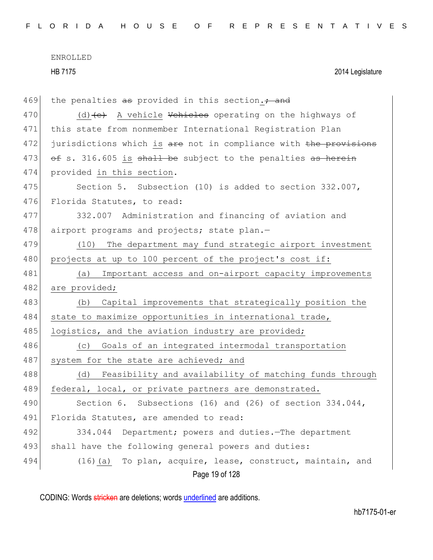HB 7175 2014 Legislature

| 469 | the penalties as provided in this section. + and                 |  |
|-----|------------------------------------------------------------------|--|
| 470 | (d) $(e)$ A vehicle Vehicles operating on the highways of        |  |
| 471 | this state from nonmember International Registration Plan        |  |
| 472 | jurisdictions which is are not in compliance with the provisions |  |
| 473 | of s. 316.605 is shall be subject to the penalties as herein     |  |
| 474 | provided in this section.                                        |  |
| 475 | Section 5. Subsection (10) is added to section 332.007,          |  |
| 476 | Florida Statutes, to read:                                       |  |
| 477 | 332.007 Administration and financing of aviation and             |  |
| 478 | airport programs and projects; state plan.-                      |  |
| 479 | (10) The department may fund strategic airport investment        |  |
| 480 | projects at up to 100 percent of the project's cost if:          |  |
| 481 | Important access and on-airport capacity improvements<br>(a)     |  |
| 482 | are provided;                                                    |  |
| 483 | Capital improvements that strategically position the<br>(b)      |  |
| 484 | state to maximize opportunities in international trade,          |  |
| 485 | logistics, and the aviation industry are provided;               |  |
| 486 | Goals of an integrated intermodal transportation<br>(C)          |  |
| 487 | system for the state are achieved; and                           |  |
| 488 | Feasibility and availability of matching funds through<br>(d)    |  |
| 489 | federal, local, or private partners are demonstrated.            |  |
| 490 | Section 6. Subsections (16) and (26) of section $334.044$ ,      |  |
| 491 | Florida Statutes, are amended to read:                           |  |
| 492 | 334.044<br>Department; powers and duties. The department         |  |
| 493 | shall have the following general powers and duties:              |  |
| 494 | (16) (a) To plan, acquire, lease, construct, maintain, and       |  |
|     | Page 19 of 128                                                   |  |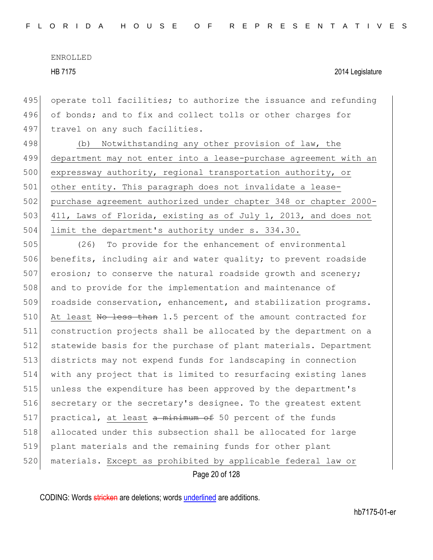HB 7175 2014 Legislature

495 operate toll facilities; to authorize the issuance and refunding 496 of bonds; and to fix and collect tolls or other charges for 497 travel on any such facilities.

498 (b) Notwithstanding any other provision of law, the 499 department may not enter into a lease-purchase agreement with an 500 expressway authority, regional transportation authority, or 501 other entity. This paragraph does not invalidate a lease-502 purchase agreement authorized under chapter 348 or chapter 2000- 503 411, Laws of Florida, existing as of July 1, 2013, and does not 504 limit the department's authority under s. 334.30.

505 (26) To provide for the enhancement of environmental 506 benefits, including air and water quality; to prevent roadside  $507$  erosion; to conserve the natural roadside growth and scenery; 508 and to provide for the implementation and maintenance of 509 roadside conservation, enhancement, and stabilization programs. 510 At least No less than 1.5 percent of the amount contracted for 511 construction projects shall be allocated by the department on a 512 statewide basis for the purchase of plant materials. Department 513 districts may not expend funds for landscaping in connection 514 with any project that is limited to resurfacing existing lanes 515 unless the expenditure has been approved by the department's 516 secretary or the secretary's designee. To the greatest extent 517 practical, at least a minimum of 50 percent of the funds 518 allocated under this subsection shall be allocated for large 519 plant materials and the remaining funds for other plant 520 materials. Except as prohibited by applicable federal law or

Page 20 of 128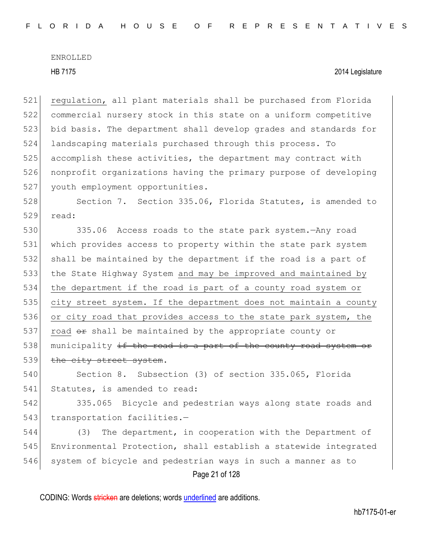## HB 7175 2014 Legislature

 regulation, all plant materials shall be purchased from Florida commercial nursery stock in this state on a uniform competitive bid basis. The department shall develop grades and standards for landscaping materials purchased through this process. To accomplish these activities, the department may contract with nonprofit organizations having the primary purpose of developing 527 youth employment opportunities.

528 Section 7. Section 335.06, Florida Statutes, is amended to 529 read:

530 335.06 Access roads to the state park system.—Any road 531 which provides access to property within the state park system 532 shall be maintained by the department if the road is a part of 533 the State Highway System and may be improved and maintained by 534 the department if the road is part of a county road system or 535 city street system. If the department does not maintain a county 536 or city road that provides access to the state park system, the 537 road  $\theta$  shall be maintained by the appropriate county or 538 municipality  $\pm f$  the road is a part of the county road system or 539 the city street system.

540 Section 8. Subsection (3) of section 335.065, Florida 541 Statutes, is amended to read:

542 335.065 Bicycle and pedestrian ways along state roads and 543 transportation facilities.-

Page 21 of 128 (3) The department, in cooperation with the Department of Environmental Protection, shall establish a statewide integrated system of bicycle and pedestrian ways in such a manner as to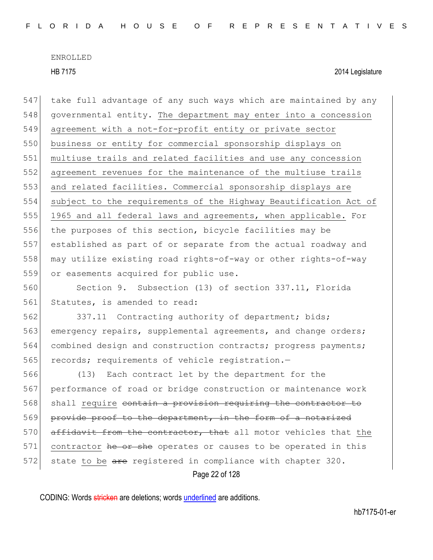HB 7175 2014 Legislature

Page 22 of 128 547 take full advantage of any such ways which are maintained by any 548 governmental entity. The department may enter into a concession 549 agreement with a not-for-profit entity or private sector 550 business or entity for commercial sponsorship displays on 551 multiuse trails and related facilities and use any concession 552 agreement revenues for the maintenance of the multiuse trails 553 and related facilities. Commercial sponsorship displays are 554 subject to the requirements of the Highway Beautification Act of 555 1965 and all federal laws and agreements, when applicable. For 556 the purposes of this section, bicycle facilities may be 557 established as part of or separate from the actual roadway and 558 may utilize existing road rights-of-way or other rights-of-way 559 or easements acquired for public use. 560 Section 9. Subsection (13) of section 337.11, Florida 561 Statutes, is amended to read: 562 337.11 Contracting authority of department; bids; 563 emergency repairs, supplemental agreements, and change orders; 564 combined design and construction contracts; progress payments; 565 records; requirements of vehicle registration.-566 (13) Each contract let by the department for the 567 performance of road or bridge construction or maintenance work 568 shall require contain a provision requiring the contractor to 569 provide proof to the department, in the form of a notarized 570 affidavit from the contractor, that all motor vehicles that the 571 contractor he or she operates or causes to be operated in this 572 state to be are registered in compliance with chapter 320.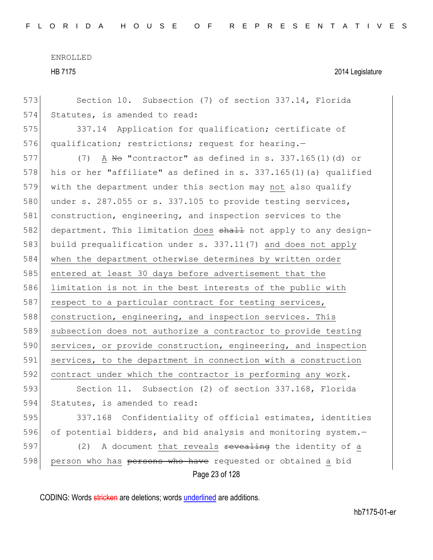HB 7175 2014 Legislature

Page 23 of 128 573 Section 10. Subsection (7) of section 337.14, Florida 574 Statutes, is amended to read: 575 337.14 Application for qualification; certificate of 576 qualification; restrictions; request for hearing.-577  $(7)$  A No "contractor" as defined in s. 337.165(1)(d) or 578 his or her "affiliate" as defined in s. 337.165(1)(a) qualified 579 with the department under this section may not also qualify 580 under s. 287.055 or s. 337.105 to provide testing services, 581 construction, engineering, and inspection services to the 582 department. This limitation does shall not apply to any design-583 build prequalification under s. 337.11(7) and does not apply 584 when the department otherwise determines by written order 585 entered at least 30 days before advertisement that the 586 limitation is not in the best interests of the public with 587 respect to a particular contract for testing services, 588 construction, engineering, and inspection services. This 589 subsection does not authorize a contractor to provide testing 590 services, or provide construction, engineering, and inspection 591 services, to the department in connection with a construction 592 contract under which the contractor is performing any work. 593 Section 11. Subsection (2) of section 337.168, Florida 594 Statutes, is amended to read: 595 337.168 Confidentiality of official estimates, identities 596 of potential bidders, and bid analysis and monitoring system.-597 (2) A document that reveals <del>revealing</del> the identity of a 598 person who has persons who have requested or obtained a bid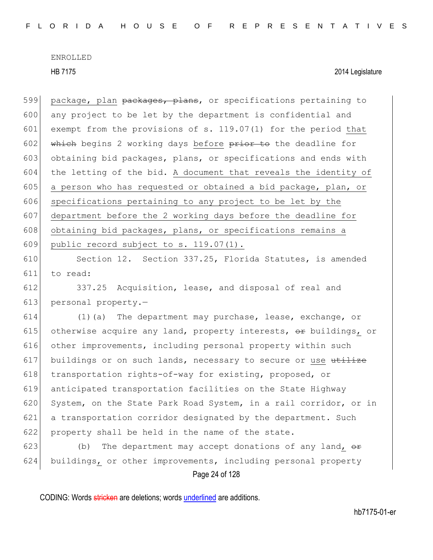HB 7175 2014 Legislature

599 package, plan packages, plans, or specifications pertaining to 600 any project to be let by the department is confidential and 601 exempt from the provisions of s. 119.07(1) for the period that 602 which begins 2 working days before  $\frac{p}{p}$  which deadline for 603 obtaining bid packages, plans, or specifications and ends with 604 the letting of the bid. A document that reveals the identity of 605 a person who has requested or obtained a bid package, plan, or 606 specifications pertaining to any project to be let by the 607 department before the 2 working days before the deadline for 608 obtaining bid packages, plans, or specifications remains a 609 public record subject to s. 119.07(1).

610 Section 12. Section 337.25, Florida Statutes, is amended 611 to read:

612 337.25 Acquisition, lease, and disposal of real and 613 personal property. $-$ 

 $614$  (1)(a) The department may purchase, lease, exchange, or 615 otherwise acquire any land, property interests,  $\Theta$ r buildings, or 616 other improvements, including personal property within such 617 buildings or on such lands, necessary to secure or use  $t$ 618 transportation rights-of-way for existing, proposed, or 619 anticipated transportation facilities on the State Highway 620 System, on the State Park Road System, in a rail corridor, or in 621 a transportation corridor designated by the department. Such 622 property shall be held in the name of the state.

623 (b) The department may accept donations of any land,  $\theta$ 624 buildings, or other improvements, including personal property

Page 24 of 128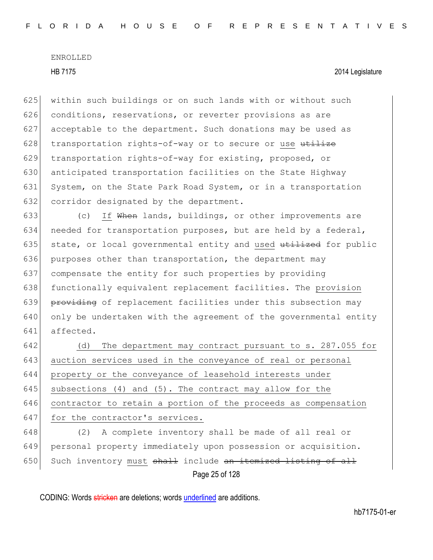625 within such buildings or on such lands with or without such 626 conditions, reservations, or reverter provisions as are 627 acceptable to the department. Such donations may be used as 628  $\vert$  transportation rights-of-way or to secure or use utilize 629 transportation rights-of-way for existing, proposed, or 630 anticipated transportation facilities on the State Highway 631 System, on the State Park Road System, or in a transportation 632 corridor designated by the department.

633  $\vert$  (c) If When lands, buildings, or other improvements are 634 needed for transportation purposes, but are held by a federal, 635 state, or local governmental entity and used  $t$ tilized for public 636 purposes other than transportation, the department may 637 compensate the entity for such properties by providing 638 functionally equivalent replacement facilities. The provision 639 providing of replacement facilities under this subsection may 640 only be undertaken with the agreement of the governmental entity 641 affected.

642 (d) The department may contract pursuant to s. 287.055 for 643 auction services used in the conveyance of real or personal 644 property or the conveyance of leasehold interests under 645 subsections (4) and (5). The contract may allow for the 646 contractor to retain a portion of the proceeds as compensation 647 for the contractor's services.

Page 25 of 128 648 (2) A complete inventory shall be made of all real or 649 personal property immediately upon possession or acquisition. 650 Such inventory must  $shath$  include an itemized listing of all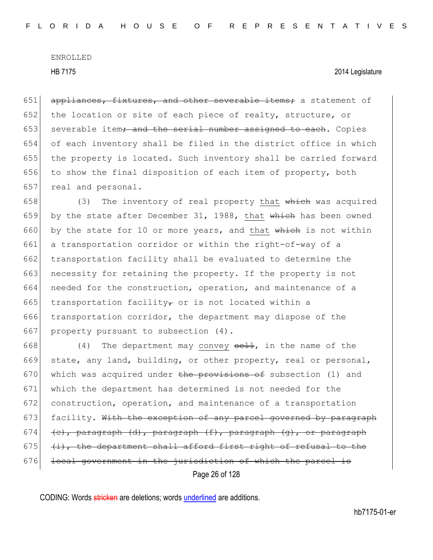HB 7175 2014 Legislature

 $651$  appliances, fixtures, and other severable items; a statement of 652 the location or site of each piece of realty, structure, or  $653$  severable item; and the serial number assigned to each. Copies 654 of each inventory shall be filed in the district office in which 655 the property is located. Such inventory shall be carried forward 656 to show the final disposition of each item of property, both 657 real and personal.

658 (3) The inventory of real property that which was acquired 659 by the state after December 31, 1988, that  $whieh$  has been owned 660 by the state for 10 or more years, and that which is not within 661 a transportation corridor or within the right-of-way of a 662 transportation facility shall be evaluated to determine the 663 necessity for retaining the property. If the property is not 664 needed for the construction, operation, and maintenance of a 665 transportation facility<sub>r</sub> or is not located within a 666 transportation corridor, the department may dispose of the 667 property pursuant to subsection  $(4)$ .

Page 26 of 128 668 (4) The department may convey  $\frac{1}{2}$ , in the name of the 669 state, any land, building, or other property, real or personal, 670 which was acquired under the provisions of subsection (1) and 671 which the department has determined is not needed for the 672 construction, operation, and maintenance of a transportation 673  $\mid$  facility. With the exception of any parcel governed by paragraph 674 (c), paragraph (d), paragraph  $(f)$ , paragraph  $(g)$ , or paragraph 675  $(i)$ , the department shall afford first right of refusal to the 676 local government in the jurisdiction of which the parcel is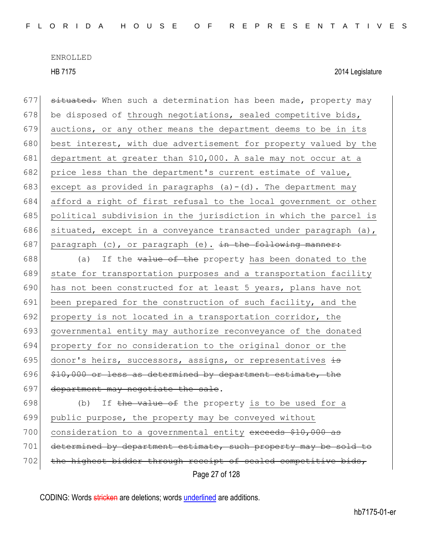| 677 | situated. When such a determination has been made, property may   |
|-----|-------------------------------------------------------------------|
| 678 | be disposed of through negotiations, sealed competitive bids,     |
| 679 | auctions, or any other means the department deems to be in its    |
| 680 | best interest, with due advertisement for property valued by the  |
| 681 | department at greater than \$10,000. A sale may not occur at a    |
| 682 | price less than the department's current estimate of value,       |
| 683 | except as provided in paragraphs $(a) - (d)$ . The department may |
| 684 | afford a right of first refusal to the local government or other  |
| 685 | political subdivision in the jurisdiction in which the parcel is  |
| 686 | situated, except in a conveyance transacted under paragraph (a),  |
| 687 | paragraph (c), or paragraph (e). in the following manner:         |
| 688 | (a)<br>If the value of the property has been donated to the       |
| 689 | state for transportation purposes and a transportation facility   |
| 690 | has not been constructed for at least 5 years, plans have not     |
| 691 | been prepared for the construction of such facility, and the      |
| 692 | property is not located in a transportation corridor, the         |
| 693 | governmental entity may authorize reconveyance of the donated     |
| 694 | property for no consideration to the original donor or the        |
| 695 | donor's heirs, successors, assigns, or representatives is         |
| 696 | \$10,000 or less as determined by department estimate, the        |
| 697 | department may negotiate the sale.                                |
| 698 | If the value of the property is to be used for a<br>(b)           |
| 699 | public purpose, the property may be conveyed without              |
| 700 | consideration to a governmental entity exceeds \$10,000 as        |
| 701 | determined by department estimate, such property may be sold to   |
| 702 | the highest bidder through receipt of sealed competitive bids,    |
|     | Page 27 of 128                                                    |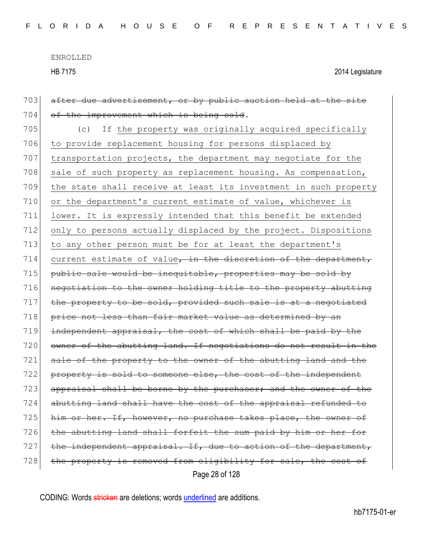HB 7175 2014 Legislature

Page 28 of 128 703 after due advertisement, or by public auction held at the site 704 of the improvement which is being sold. 705 (c) If the property was originally acquired specifically 706 to provide replacement housing for persons displaced by 707 transportation projects, the department may negotiate for the 708 sale of such property as replacement housing. As compensation, 709 the state shall receive at least its investment in such property 710 or the department's current estimate of value, whichever is 711 lower. It is expressly intended that this benefit be extended 712 only to persons actually displaced by the project. Dispositions 713 to any other person must be for at least the department's 714 current estimate of value, in the discretion of the department,  $715$  public sale would be inequitable, properties may be sold by 716 negotiation to the owner holding title to the property abutting  $717$  the property to be sold, provided such sale is at a negotiated 718 price not less than fair market value as determined by an 719 independent appraisal, the cost of which shall be paid by the 720 owner of the abutting land. If negotiations do not result in the 721 sale of the property to the owner of the abutting land and the 722 property is sold to someone else, the cost of the independent 723 appraisal shall be borne by the purchaser; and the owner of 724 abutting land shall have the cost of the appraisal refunded to 725 him or her. If, however, no purchase takes place, the owner of 726 the abutting land shall forfeit the sum paid by him or her for 727 the independent appraisal. If, due to action of the department, 728 the property is removed from eligibility for sale, the cost of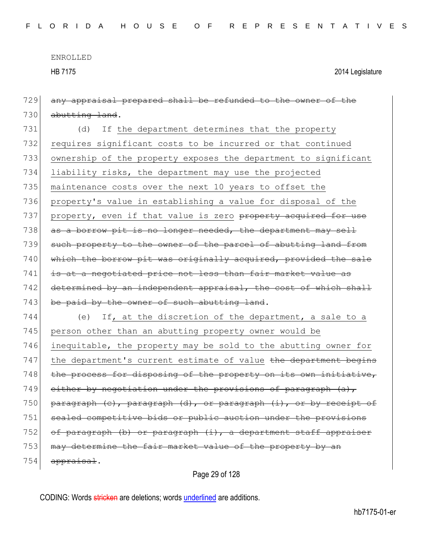HB 7175 2014 Legislature

729 any appraisal prepared shall be refunded to the owner of the 730 abutting land. 731 (d) If the department determines that the property 732 requires significant costs to be incurred or that continued 733 ownership of the property exposes the department to significant 734 liability risks, the department may use the projected 735 maintenance costs over the next 10 years to offset the 736 property's value in establishing a value for disposal of the 737 property, even if that value is zero property acquired for use 738  $\alpha$  as a borrow pit is no longer needed, the department may sell 739 such property to the owner of the parcel of abutting land from 740 which the borrow pit was originally acquired, provided the sale 741 is at a negotiated price not less than fair market value as 742 determined by an independent appraisal, the cost of which shall  $743$  be paid by the owner of such abutting land. 744 (e) If, at the discretion of the department, a sale to a 745 person other than an abutting property owner would be 746 inequitable, the property may be sold to the abutting owner for 747 the department's current estimate of value the department begins 748 the process for disposing of the property on its own initiative, 749 either by negotiation under the provisions of paragraph  $(a)$ , 750 paragraph  $(e)$ , paragraph  $(d)$ , or paragraph  $(i)$ , or by receipt of 751 sealed competitive bids or public auction under the provisions 752 of paragraph (b) or paragraph  $(i)$ , a department staff appraiser 753 may determine the fair market value of the property by an 754 appraisal.

Page 29 of 128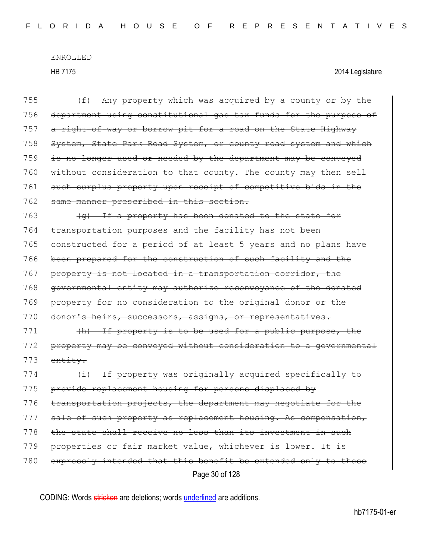| 755 | $(f)$ Any property which was acquired by a county or by the      |
|-----|------------------------------------------------------------------|
| 756 | department using constitutional gas tax funds for the purpose of |
| 757 | a right-of-way or borrow pit for a road on the State Highway     |
| 758 | System, State Park Road System, or county road system and which  |
| 759 | is no longer used or needed by the department may be conveyed    |
| 760 | without consideration to that county. The county may then sell   |
| 761 | such surplus property upon receipt of competitive bids in the    |
| 762 | same manner prescribed in this section.                          |
| 763 | (g) If a property has been donated to the state for              |
| 764 | transportation purposes and the facility has not been            |
| 765 | constructed for a period of at least 5 years and no plans have   |
| 766 | been prepared for the construction of such facility and the      |
| 767 | property is not located in a transportation corridor, the        |
| 768 | governmental entity may authorize reconveyance of the donated    |
| 769 | property for no consideration to the original donor or the       |
| 770 | donor's heirs, successors, assigns, or representatives.          |
| 771 | (h) If property is to be used for a public purpose, the          |
| 772 | property may be conveyed without consideration to a governmental |
| 773 | entity.                                                          |
| 774 | (i) If property was originally acquired specifically to          |
| 775 | provide replacement housing for persons displaced by             |
| 776 | transportation projects, the department may negotiate for the    |
| 777 | sale of such property as replacement housing. As compensation,   |
| 778 | the state shall receive no less than its investment in such      |
| 779 | properties or fair market value, whichever is lower. It is       |
| 780 | expressly intended that this benefit be extended only to those   |
|     | Page 30 of 128                                                   |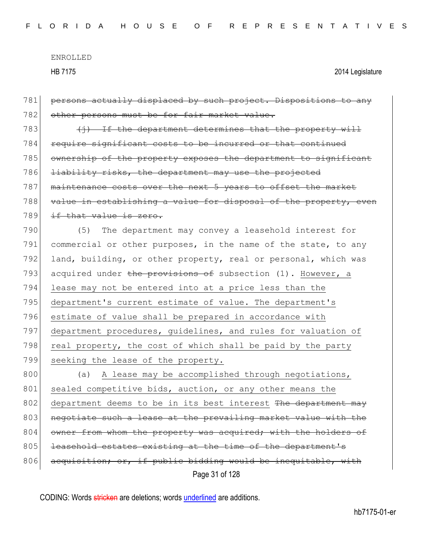HB 7175 2014 Legislature

Page 31 of 128 781 persons actually displaced by such project. Dispositions to any 782 other persons must be for fair market value. 783  $\left\{\frac{1}{2}, \frac{1}{2}\right\}$  if the department determines that the property will 784 require significant costs to be incurred or that continued 785 ownership of the property exposes the department to significant 786 <del>liability risks, the department may use the projected</del> 787 maintenance costs over the next 5 years to offset the market 788 value in establishing a value for disposal of the property, even 789 if that value is zero. 790 (5) The department may convey a leasehold interest for 791 commercial or other purposes, in the name of the state, to any 792 land, building, or other property, real or personal, which was 793 acquired under the provisions of subsection (1). However, a 794 lease may not be entered into at a price less than the 795 department's current estimate of value. The department's 796 estimate of value shall be prepared in accordance with 797 department procedures, guidelines, and rules for valuation of 798 real property, the cost of which shall be paid by the party 799 seeking the lease of the property. 800 (a) A lease may be accomplished through negotiations, 801 sealed competitive bids, auction, or any other means the 802 department deems to be in its best interest The department may 803 negotiate such a lease at the prevailing market value with the 804 owner from whom the property was acquired; with the holders of 805 leasehold estates existing at the time of the department's 806 acquisition, or, if public bidding would be inequitable, with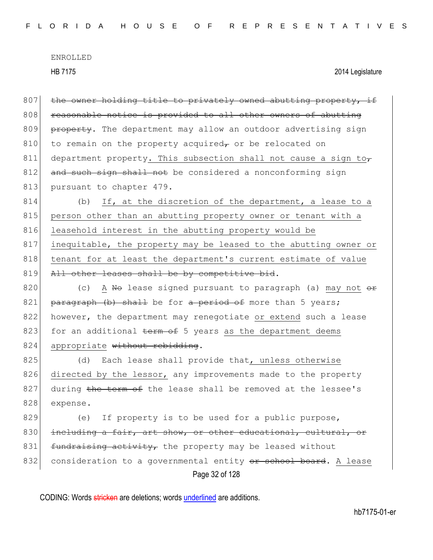HB 7175 2014 Legislature

 $807$  the owner holding title to privately owned abutting property, if 808 reasonable notice is provided to all other owners of abutting 809 property. The department may allow an outdoor advertising sign 810 to remain on the property acquired<sub> $\tau$ </sub> or be relocated on 811 department property. This subsection shall not cause a sign to 812 and such sign shall not be considered a nonconforming sign 813 pursuant to chapter 479.

814 (b) If, at the discretion of the department, a lease to a 815 person other than an abutting property owner or tenant with a 816 leasehold interest in the abutting property would be 817 inequitable, the property may be leased to the abutting owner or 818 tenant for at least the department's current estimate of value 819 All other leases shall be by competitive bid.

820 (c) A No lease signed pursuant to paragraph (a) may not  $\theta$ 821 paragraph  $(b)$  shall be for a period of more than 5 years; 822 however, the department may renegotiate or extend such a lease 823 for an additional  $term$  of 5 years as the department deems 824 appropriate without rebidding.

825 (d) Each lease shall provide that, unless otherwise 826 directed by the lessor, any improvements made to the property 827 during the term of the lease shall be removed at the lessee's 828 expense.

Page 32 of 128 829 (e) If property is to be used for a public purpose, 830 including a fair, art show, or other educational, cultural, or  $831$  fundraising activity, the property may be leased without 832 consideration to a governmental entity or school board. A lease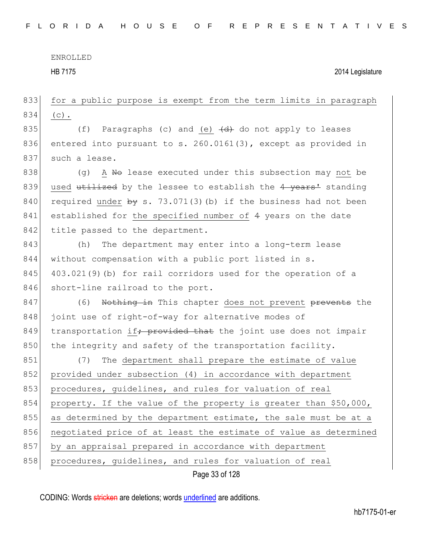HB 7175 2014 Legislature

Page 33 of 128 833 for a public purpose is exempt from the term limits in paragraph 834 (c). 835 (f) Paragraphs (c) and (e)  $\left(\frac{d}{dt}\right)$  do not apply to leases 836 entered into pursuant to s. 260.0161(3), except as provided in 837 such a lease.  $838$  (g) A No lease executed under this subsection may not be 839 used  $\text{utilized}$  by the lessee to establish the 4 years<sup>1</sup> standing 840 required under  $\frac{1}{2}$  s. 73.071(3)(b) if the business had not been 841 established for the specified number of 4 years on the date 842 title passed to the department. 843 (h) The department may enter into a long-term lease 844 without compensation with a public port listed in s.  $845$  403.021(9)(b) for rail corridors used for the operation of a 846 short-line railroad to the port. 847 (6) Nothing in This chapter does not prevent prevents the 848 joint use of right-of-way for alternative modes of 849 transportation if<del>; provided that</del> the joint use does not impair  $850$  the integrity and safety of the transportation facility. 851 (7) The department shall prepare the estimate of value 852 provided under subsection (4) in accordance with department 853 procedures, guidelines, and rules for valuation of real 854 property. If the value of the property is greater than \$50,000, 855 as determined by the department estimate, the sale must be at a 856 negotiated price of at least the estimate of value as determined 857 by an appraisal prepared in accordance with department 858 procedures, guidelines, and rules for valuation of real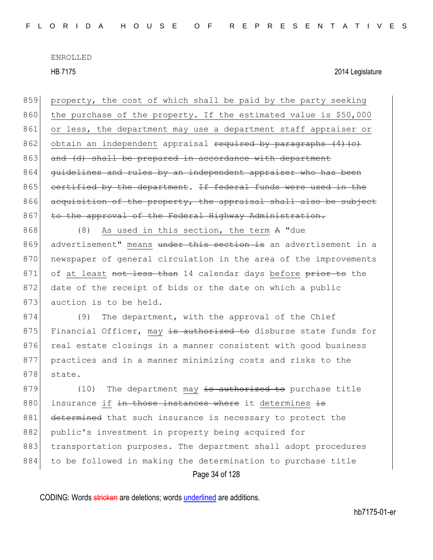859 property, the cost of which shall be paid by the party seeking 860 the purchase of the property. If the estimated value is \$50,000 861 or less, the department may use a department staff appraiser or 862 obtain an independent appraisal required by paragraphs  $(4)$  (c) 863 and (d) shall be prepared in accordance with department 864 guidelines and rules by an independent appraiser who has been 865 certified by the department. If federal funds were used in the 866 acquisition of the property, the appraisal shall also be subject 867 to the approval of the Federal Highway Administration.

868 (8) As used in this section, the term A "due 869 advertisement" means under this section is an advertisement in a 870 newspaper of general circulation in the area of the improvements 871 of at least not less than 14 calendar days before prior to the 872 date of the receipt of bids or the date on which a public 873 auction is to be held.

874 (9) The department, with the approval of the Chief 875 Financial Officer, may is authorized to disburse state funds for 876 real estate closings in a manner consistent with good business 877 practices and in a manner minimizing costs and risks to the 878 state.

Page 34 of 128  $879$  (10) The department may is authorized to purchase title  $880$  insurance if in those instances where it determines is 881 determined that such insurance is necessary to protect the 882 public's investment in property being acquired for 883 transportation purposes. The department shall adopt procedures 884 to be followed in making the determination to purchase title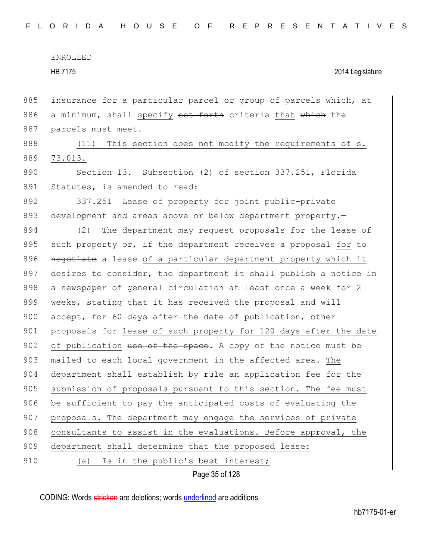HB 7175 2014 Legislature

885 insurance for a particular parcel or group of parcels which, at 886 a minimum, shall specify set forth criteria that which the 887 parcels must meet. 888 (11) This section does not modify the requirements of s.

889 73.013.

890 Section 13. Subsection (2) of section 337.251, Florida 891 Statutes, is amended to read:

892 337.251 Lease of property for joint public-private 893 development and areas above or below department property.

894 (2) The department may request proposals for the lease of 895 such property or, if the department receives a proposal for  $\pm \sigma$ 896 negotiate a lease of a particular department property which it 897 desires to consider, the department  $\pm$ t shall publish a notice in 898 a newspaper of general circulation at least once a week for 2 899 weeks<sub>7</sub> stating that it has received the proposal and will  $900$  accept, for 60 days after the date of publication, other 901 proposals for lease of such property for 120 days after the date 902 of publication use of the space. A copy of the notice must be 903 mailed to each local government in the affected area. The 904 department shall establish by rule an application fee for the 905 submission of proposals pursuant to this section. The fee must 906 be sufficient to pay the anticipated costs of evaluating the 907 proposals. The department may engage the services of private 908 consultants to assist in the evaluations. Before approval, the 909 department shall determine that the proposed lease: 910 (a) Is in the public's best interest;

Page 35 of 128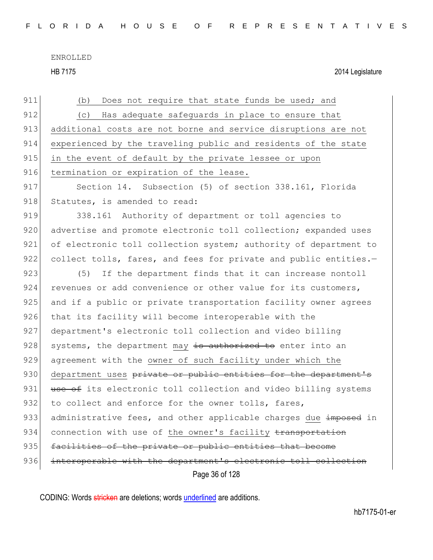HB 7175 2014 Legislature

| 911 | Does not require that state funds be used; and<br>(b)            |
|-----|------------------------------------------------------------------|
| 912 | Has adequate safeguards in place to ensure that<br>(C)           |
| 913 | additional costs are not borne and service disruptions are not   |
| 914 | experienced by the traveling public and residents of the state   |
| 915 | in the event of default by the private lessee or upon            |
| 916 | termination or expiration of the lease.                          |
| 917 | Section 14. Subsection (5) of section 338.161, Florida           |
| 918 | Statutes, is amended to read:                                    |
| 919 | 338.161 Authority of department or toll agencies to              |
| 920 | advertise and promote electronic toll collection; expanded uses  |
| 921 | of electronic toll collection system; authority of department to |
| 922 | collect tolls, fares, and fees for private and public entities.- |
| 923 | If the department finds that it can increase nontoll<br>(5)      |
| 924 | revenues or add convenience or other value for its customers,    |
| 925 | and if a public or private transportation facility owner agrees  |
| 926 | that its facility will become interoperable with the             |
| 927 | department's electronic toll collection and video billing        |
| 928 | systems, the department may is authorized to enter into an       |
| 929 | agreement with the owner of such facility under which the        |
| 930 | department uses private or public entities for the department's  |
| 931 | use of its electronic toll collection and video billing systems  |
| 932 | to collect and enforce for the owner tolls, fares,               |
| 933 | administrative fees, and other applicable charges due imposed in |
| 934 | connection with use of the owner's facility transportation       |
| 935 | facilities of the private or public entities that become         |
| 936 | interoperable with the department's electronic toll collection   |
|     | Page 36 of 128                                                   |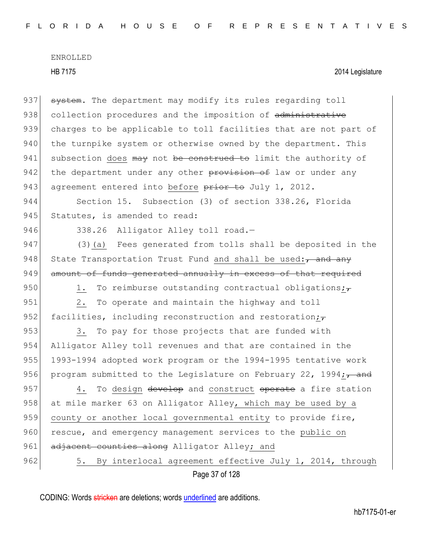Page 37 of 128 937 system. The department may modify its rules regarding toll 938 collection procedures and the imposition of administrative 939 charges to be applicable to toll facilities that are not part of 940 the turnpike system or otherwise owned by the department. This  $941$  subsection does may not be construed to limit the authority of 942 the department under any other provision of law or under any 943 agreement entered into before prior to July 1, 2012. 944 Section 15. Subsection (3) of section 338.26, Florida 945 Statutes, is amended to read: 946 338.26 Alligator Alley toll road.-947 (3) (a) Fees generated from tolls shall be deposited in the 948 State Transportation Trust Fund and shall be used:  $\tau$  and any 949 amount of funds generated annually in excess of that required 950 1. To reimburse outstanding contractual obligations; $\tau$ 951 2. To operate and maintain the highway and toll 952 facilities, including reconstruction and restoration; $\tau$ 953 3. To pay for those projects that are funded with 954 Alligator Alley toll revenues and that are contained in the 955 1993-1994 adopted work program or the 1994-1995 tentative work 956 program submitted to the Legislature on February 22, 1994; $\frac{1}{100}$ 957 4. To design develop and construct operate a fire station 958 at mile marker 63 on Alligator Alley, which may be used by a 959 county or another local governmental entity to provide fire, 960 rescue, and emergency management services to the public on 961 adjacent counties along Alligator Alley; and 962 5. By interlocal agreement effective July 1, 2014, through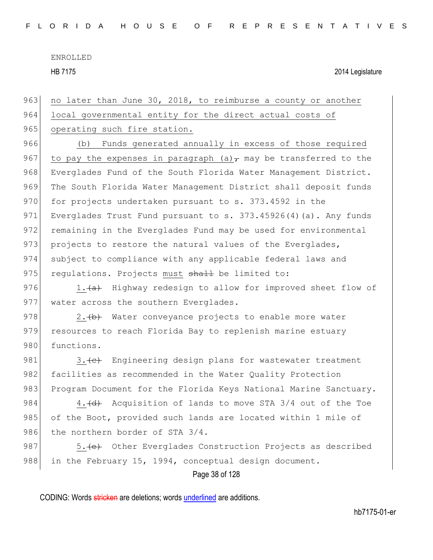HB 7175 2014 Legislature

963 no later than June 30, 2018, to reimburse a county or another

964 local governmental entity for the direct actual costs of

965 operating such fire station.

966 (b) Funds generated annually in excess of those required 967 to pay the expenses in paragraph (a) $\tau$  may be transferred to the 968 Everglades Fund of the South Florida Water Management District. 969 The South Florida Water Management District shall deposit funds 970 for projects undertaken pursuant to s. 373.4592 in the 971 Everglades Trust Fund pursuant to s. 373.45926(4)(a). Any funds 972 remaining in the Everglades Fund may be used for environmental 973 projects to restore the natural values of the Everglades, 974 subject to compliance with any applicable federal laws and 975 regulations. Projects must shall be limited to:

976 1. (a) Highway redesign to allow for improved sheet flow of 977 water across the southern Everglades.

978 2.  $\leftrightarrow$  Water conveyance projects to enable more water 979 resources to reach Florida Bay to replenish marine estuary 980 functions.

981 3. (c) Engineering design plans for wastewater treatment 982 facilities as recommended in the Water Quality Protection 983 Program Document for the Florida Keys National Marine Sanctuary.

984  $\vert$  4.  $\vert$  Acquisition of lands to move STA 3/4 out of the Toe 985 of the Boot, provided such lands are located within 1 mile of 986 the northern border of STA 3/4.

987 5. (e) Other Everglades Construction Projects as described 988 in the February 15, 1994, conceptual design document.

Page 38 of 128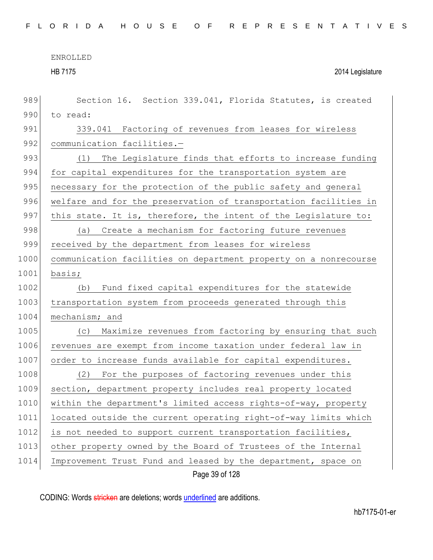HB 7175 2014 Legislature

| 989  | Section 16. Section 339.041, Florida Statutes, is created        |
|------|------------------------------------------------------------------|
| 990  | to read:                                                         |
| 991  | 339.041 Factoring of revenues from leases for wireless           |
| 992  | communication facilities.-                                       |
| 993  | The Legislature finds that efforts to increase funding<br>(1)    |
| 994  | for capital expenditures for the transportation system are       |
| 995  | necessary for the protection of the public safety and general    |
| 996  | welfare and for the preservation of transportation facilities in |
| 997  | this state. It is, therefore, the intent of the Legislature to:  |
| 998  | Create a mechanism for factoring future revenues<br>(a)          |
| 999  | received by the department from leases for wireless              |
| 1000 | communication facilities on department property on a nonrecourse |
| 1001 | basis;                                                           |
| 1002 | Fund fixed capital expenditures for the statewide<br>(b)         |
| 1003 | transportation system from proceeds generated through this       |
| 1004 | mechanism; and                                                   |
| 1005 | Maximize revenues from factoring by ensuring that such<br>(C)    |
| 1006 | revenues are exempt from income taxation under federal law in    |
| 1007 | order to increase funds available for capital expenditures.      |
| 1008 | (2)<br>For the purposes of factoring revenues under this         |
| 1009 | section, department property includes real property located      |
| 1010 | within the department's limited access rights-of-way, property   |
| 1011 | located outside the current operating right-of-way limits which  |
| 1012 | is not needed to support current transportation facilities,      |
| 1013 | other property owned by the Board of Trustees of the Internal    |
| 1014 | Improvement Trust Fund and leased by the department, space on    |
|      | Page 39 of 128                                                   |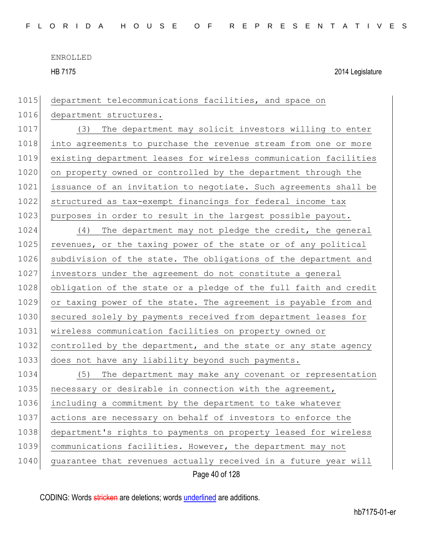HB 7175 2014 Legislature 1015 department telecommunications facilities, and space on 1016 department structures. 1017 (3) The department may solicit investors willing to enter 1018 into agreements to purchase the revenue stream from one or more 1019 existing department leases for wireless communication facilities 1020 on property owned or controlled by the department through the 1021 issuance of an invitation to negotiate. Such agreements shall be 1022 structured as tax-exempt financings for federal income tax 1023 purposes in order to result in the largest possible payout. 1024 (4) The department may not pledge the credit, the general 1025 revenues, or the taxing power of the state or of any political 1026 subdivision of the state. The obligations of the department and 1027 investors under the agreement do not constitute a general 1028 obligation of the state or a pledge of the full faith and credit 1029 or taxing power of the state. The agreement is payable from and 1030 secured solely by payments received from department leases for 1031 wireless communication facilities on property owned or 1032 controlled by the department, and the state or any state agency 1033 does not have any liability beyond such payments. 1034 (5) The department may make any covenant or representation 1035 necessary or desirable in connection with the agreement, 1036 including a commitment by the department to take whatever 1037 actions are necessary on behalf of investors to enforce the 1038 department's rights to payments on property leased for wireless 1039 communications facilities. However, the department may not

1040 guarantee that revenues actually received in a future year will

Page 40 of 128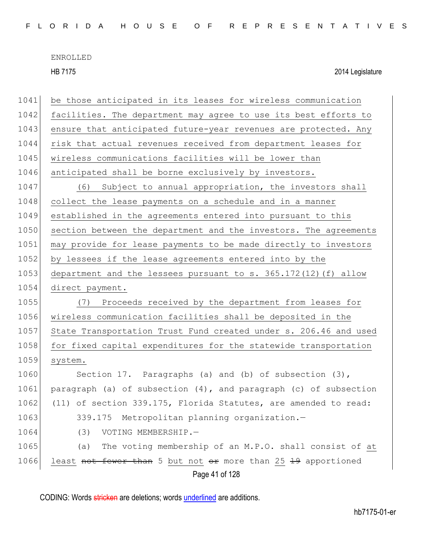HB 7175 2014 Legislature

| 1041 | be those anticipated in its leases for wireless communication       |
|------|---------------------------------------------------------------------|
| 1042 | facilities. The department may agree to use its best efforts to     |
| 1043 | ensure that anticipated future-year revenues are protected. Any     |
| 1044 | risk that actual revenues received from department leases for       |
| 1045 | wireless communications facilities will be lower than               |
| 1046 | anticipated shall be borne exclusively by investors.                |
| 1047 | (6)<br>Subject to annual appropriation, the investors shall         |
| 1048 | collect the lease payments on a schedule and in a manner            |
| 1049 | established in the agreements entered into pursuant to this         |
| 1050 | section between the department and the investors. The agreements    |
| 1051 | may provide for lease payments to be made directly to investors     |
| 1052 | by lessees if the lease agreements entered into by the              |
| 1053 | department and the lessees pursuant to s. $365.172(12)$ (f) allow   |
| 1054 | direct payment.                                                     |
| 1055 | (7) Proceeds received by the department from leases for             |
| 1056 | wireless communication facilities shall be deposited in the         |
| 1057 | State Transportation Trust Fund created under s. 206.46 and used    |
| 1058 | for fixed capital expenditures for the statewide transportation     |
| 1059 | system.                                                             |
| 1060 | Section 17. Paragraphs (a) and (b) of subsection $(3)$ ,            |
| 1061 | paragraph (a) of subsection $(4)$ , and paragraph (c) of subsection |
| 1062 | (11) of section 339.175, Florida Statutes, are amended to read:     |
| 1063 | 339.175<br>Metropolitan planning organization.-                     |
| 1064 | VOTING MEMBERSHIP.-<br>(3)                                          |
| 1065 | The voting membership of an M.P.O. shall consist of at<br>(a)       |
| 1066 | least not fewer than 5 but not or more than 25 19 apportioned       |
|      | Page 41 of 128                                                      |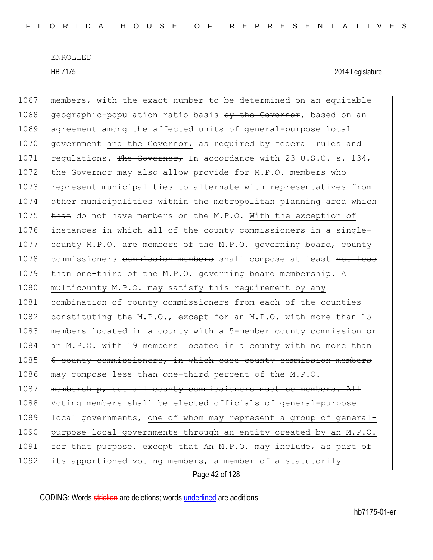Page 42 of 128 1067 members, with the exact number to be determined on an equitable 1068 geographic-population ratio basis by the Governor, based on an 1069 agreement among the affected units of general-purpose local 1070 government and the Governor, as required by federal rules and 1071 requistions. The Governor, In accordance with 23 U.S.C. s. 134, 1072 the Governor may also allow provide for M.P.O. members who 1073 represent municipalities to alternate with representatives from 1074 other municipalities within the metropolitan planning area which 1075  $\rightarrow$  that do not have members on the M.P.O. With the exception of 1076 instances in which all of the county commissioners in a single-1077 county M.P.O. are members of the M.P.O. governing board, county 1078 commissioners commission members shall compose at least not less 1079  $\frac{1079}{1079}$  than one-third of the M.P.O. governing board membership. A 1080 multicounty M.P.O. may satisfy this requirement by any 1081 combination of county commissioners from each of the counties 1082 constituting the M.P.O., except for an M.P.O. with more than  $15$ 1083 members located in a county with a 5-member county commission or 1084 an M.P.O. with 19 members located in a county with no more than 1085 6 county commissioners, in which case county commission members 1086 may compose less than one-third percent of the M.P.O. 1087 membership, but all county commissioners must be members. All 1088 Voting members shall be elected officials of general-purpose 1089 local governments, one of whom may represent a group of general-1090 purpose local governments through an entity created by an M.P.O. 1091 for that purpose. except that An M.P.O. may include, as part of 1092 its apportioned voting members, a member of a statutorily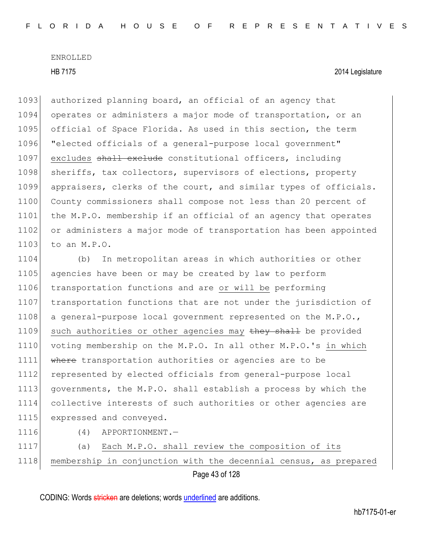1093 authorized planning board, an official of an agency that 1094 operates or administers a major mode of transportation, or an 1095 official of Space Florida. As used in this section, the term 1096 "elected officials of a general-purpose local government" 1097 excludes shall exclude constitutional officers, including 1098 sheriffs, tax collectors, supervisors of elections, property 1099 appraisers, clerks of the court, and similar types of officials. 1100 County commissioners shall compose not less than 20 percent of 1101 the M.P.O. membership if an official of an agency that operates 1102 or administers a major mode of transportation has been appointed 1103 to an M.P.O.

1104 (b) In metropolitan areas in which authorities or other 1105 agencies have been or may be created by law to perform 1106 transportation functions and are or will be performing 1107 transportation functions that are not under the jurisdiction of 1108 a general-purpose local government represented on the M.P.O., 1109 such authorities or other agencies may they shall be provided 1110 voting membership on the M.P.O. In all other M.P.O.'s in which 1111 Where transportation authorities or agencies are to be 1112 represented by elected officials from general-purpose local 1113 governments, the M.P.O. shall establish a process by which the 1114 collective interests of such authorities or other agencies are 1115 expressed and conveyed.

1116 (4) APPORTIONMENT.—

Page 43 of 128 1117 (a) Each M.P.O. shall review the composition of its 1118 membership in conjunction with the decennial census, as prepared

CODING: Words stricken are deletions; words underlined are additions.

hb7175-01-er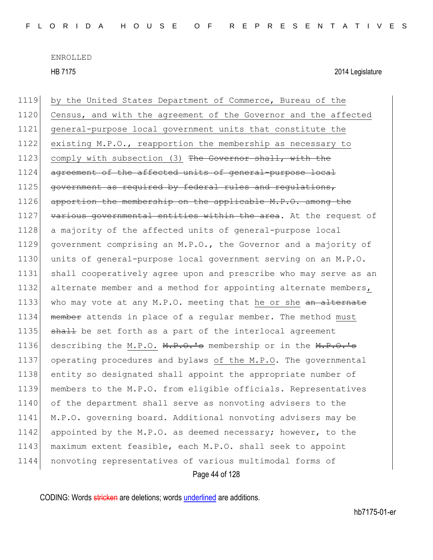HB 7175 2014 Legislature

Page 44 of 128 1119 by the United States Department of Commerce, Bureau of the 1120 Census, and with the agreement of the Governor and the affected 1121 general-purpose local government units that constitute the 1122 existing M.P.O., reapportion the membership as necessary to 1123 comply with subsection (3) The Governor shall, with the 1124 agreement of the affected units of general-purpose local 1125 government as required by federal rules and requiations, 1126 apportion the membership on the applicable M.P.O. among the 1127 various governmental entities within the area. At the request of 1128 a majority of the affected units of general-purpose local 1129 government comprising an M.P.O., the Governor and a majority of 1130 units of general-purpose local government serving on an M.P.O. 1131 shall cooperatively agree upon and prescribe who may serve as an 1132 alternate member and a method for appointing alternate members, 1133 who may vote at any M.P.O. meeting that he or she an alternate 1134 member attends in place of a regular member. The method must 1135 shall be set forth as a part of the interlocal agreement 1136 describing the M.P.O. M.P.O.'s membership or in the M.P.O.'s 1137 operating procedures and bylaws of the M.P.O. The governmental 1138 entity so designated shall appoint the appropriate number of 1139 members to the M.P.O. from eligible officials. Representatives 1140 of the department shall serve as nonvoting advisers to the 1141 M.P.O. governing board. Additional nonvoting advisers may be 1142 appointed by the M.P.O. as deemed necessary; however, to the 1143 maximum extent feasible, each M.P.O. shall seek to appoint 1144 nonvoting representatives of various multimodal forms of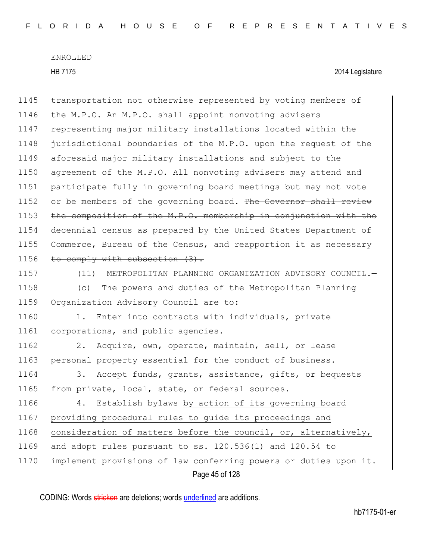1145 transportation not otherwise represented by voting members of 1146 the M.P.O. An M.P.O. shall appoint nonvoting advisers 1147 representing major military installations located within the 1148 jurisdictional boundaries of the M.P.O. upon the request of the 1149 aforesaid major military installations and subject to the 1150 agreement of the M.P.O. All nonvoting advisers may attend and 1151 participate fully in governing board meetings but may not vote 1152 or be members of the governing board. The Governor shall review 1153 the composition of the M.P.O. membership in conjunction with the 1154 decennial census as prepared by the United States Department of 1155 Commerce, Bureau of the Census, and reapportion it as necessary 1156 to comply with subsection (3).

1157 (11) METROPOLITAN PLANNING ORGANIZATION ADVISORY COUNCIL.—

1158 (c) The powers and duties of the Metropolitan Planning 1159 Organization Advisory Council are to:

1160 1. Enter into contracts with individuals, private 1161 corporations, and public agencies.

1162 2. Acquire, own, operate, maintain, sell, or lease 1163 personal property essential for the conduct of business.

1164 3. Accept funds, grants, assistance, gifts, or bequests 1165 from private, local, state, or federal sources.

Page 45 of 128 1166 4. Establish bylaws by action of its governing board 1167 providing procedural rules to guide its proceedings and 1168 consideration of matters before the council, or, alternatively, 1169  $\overline{a}$  and adopt rules pursuant to ss. 120.536(1) and 120.54 to 1170 implement provisions of law conferring powers or duties upon it.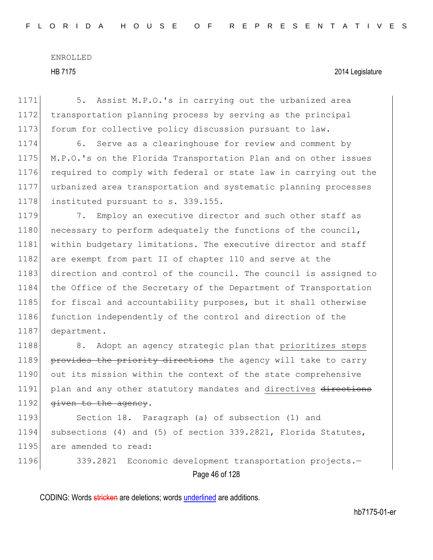HB 7175 2014 Legislature

1171 5. Assist M.P.O.'s in carrying out the urbanized area 1172 transportation planning process by serving as the principal 1173 forum for collective policy discussion pursuant to law.

1174 6. Serve as a clearinghouse for review and comment by 1175 M.P.O.'s on the Florida Transportation Plan and on other issues 1176 required to comply with federal or state law in carrying out the 1177 urbanized area transportation and systematic planning processes 1178 instituted pursuant to s. 339.155.

1179 12. Employ an executive director and such other staff as 1180 necessary to perform adequately the functions of the council, 1181 within budgetary limitations. The executive director and staff 1182 are exempt from part II of chapter 110 and serve at the 1183 direction and control of the council. The council is assigned to 1184 the Office of the Secretary of the Department of Transportation 1185 for fiscal and accountability purposes, but it shall otherwise 1186 function independently of the control and direction of the 1187 department.

1188 8. Adopt an agency strategic plan that prioritizes steps 1189 provides the priority directions the agency will take to carry 1190 out its mission within the context of the state comprehensive 1191 plan and any other statutory mandates and directives directions 1192  $q$ iven to the agency.

1193 Section 18. Paragraph (a) of subsection (1) and 1194 subsections (4) and (5) of section 339.2821, Florida Statutes, 1195 are amended to read:

Page 46 of 128 1196 339.2821 Economic development transportation projects.-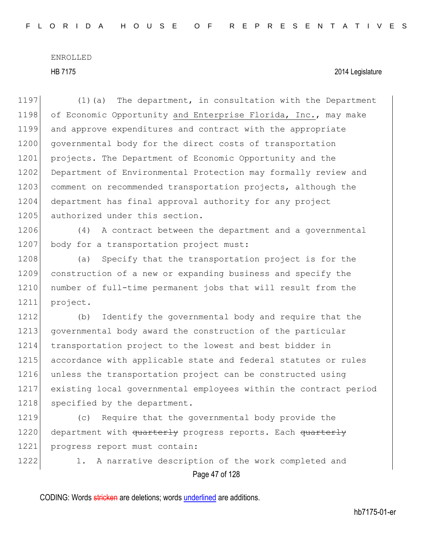HB 7175 2014 Legislature

1197 (1)(a) The department, in consultation with the Department 1198 of Economic Opportunity and Enterprise Florida, Inc., may make 1199 and approve expenditures and contract with the appropriate 1200 governmental body for the direct costs of transportation 1201 projects. The Department of Economic Opportunity and the 1202 Department of Environmental Protection may formally review and 1203 comment on recommended transportation projects, although the 1204 department has final approval authority for any project 1205 authorized under this section. 1206 (4) A contract between the department and a governmental 1207 body for a transportation project must: 1208 (a) Specify that the transportation project is for the 1209 construction of a new or expanding business and specify the 1210 number of full-time permanent jobs that will result from the 1211 project. 1212 (b) Identify the governmental body and require that the 1213 governmental body award the construction of the particular 1214 transportation project to the lowest and best bidder in 1215 accordance with applicable state and federal statutes or rules 1216 unless the transportation project can be constructed using 1217 existing local governmental employees within the contract period 1218 specified by the department.

1219 (c) Require that the governmental body provide the 1220 department with quarterly progress reports. Each quarterly 1221 progress report must contain:

Page 47 of 128 1222 1. A narrative description of the work completed and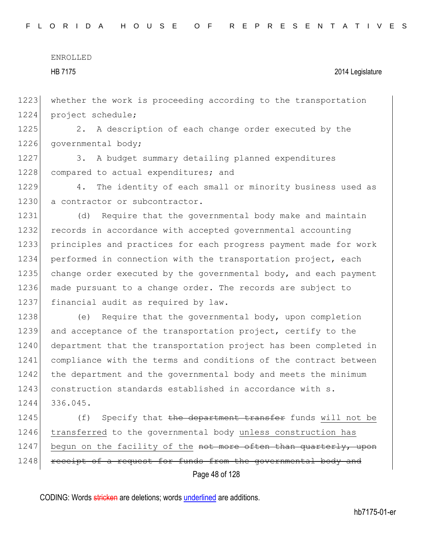HB 7175 2014 Legislature

1223 whether the work is proceeding according to the transportation 1224 project schedule;

1225 2. A description of each change order executed by the 1226 governmental body;

1227 3. A budget summary detailing planned expenditures 1228 compared to actual expenditures; and

1229 4. The identity of each small or minority business used as 1230 a contractor or subcontractor.

 (d) Require that the governmental body make and maintain 1232 records in accordance with accepted governmental accounting principles and practices for each progress payment made for work performed in connection with the transportation project, each change order executed by the governmental body, and each payment made pursuant to a change order. The records are subject to 1237 financial audit as required by law.

1238 (e) Require that the governmental body, upon completion 1239 and acceptance of the transportation project, certify to the 1240 department that the transportation project has been completed in 1241 compliance with the terms and conditions of the contract between 1242 the department and the governmental body and meets the minimum 1243 construction standards established in accordance with s. 1244 336.045.

Page 48 of 128 1245 (f) Specify that the department transfer funds will not be 1246 transferred to the governmental body unless construction has 1247 begun on the facility of the not more often than quarterly, upon 1248 receipt of a request for funds from the governmental body and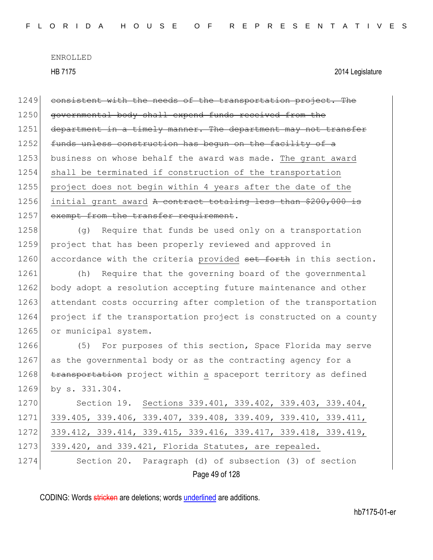HB 7175 2014 Legislature

Page 49 of 128 1249 consistent with the needs of the transportation project. The 1250 governmental body shall expend funds received from the 1251 department in a timely manner. The department may not transfer 1252 funds unless construction has begun on the facility of a 1253 business on whose behalf the award was made. The grant award 1254 shall be terminated if construction of the transportation 1255 project does not begin within 4 years after the date of the 1256 initial grant award A contract totaling less than \$200,000 is 1257 exempt from the transfer requirement. 1258 (g) Require that funds be used only on a transportation 1259 project that has been properly reviewed and approved in 1260 accordance with the criteria provided set forth in this section. 1261 (h) Require that the governing board of the governmental 1262 body adopt a resolution accepting future maintenance and other 1263 attendant costs occurring after completion of the transportation 1264 project if the transportation project is constructed on a county 1265 or municipal system. 1266 (5) For purposes of this section, Space Florida may serve 1267 as the governmental body or as the contracting agency for a 1268 transportation project within a spaceport territory as defined 1269 by s. 331.304. 1270 Section 19. Sections 339.401, 339.402, 339.403, 339.404, 1271 339.405, 339.406, 339.407, 339.408, 339.409, 339.410, 339.411, 1272 339.412, 339.414, 339.415, 339.416, 339.417, 339.418, 339.419, 1273 339.420, and 339.421, Florida Statutes, are repealed. 1274 Section 20. Paragraph (d) of subsection (3) of section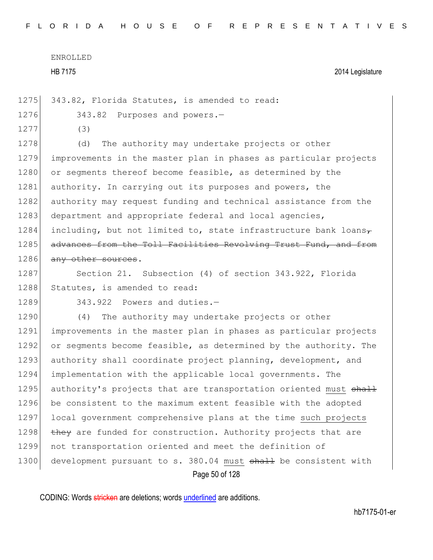HB 7175 2014 Legislature

1275 343.82, Florida Statutes, is amended to read:

1276 343.82 Purposes and powers.-

1277 (3)

1278 (d) The authority may undertake projects or other 1279 improvements in the master plan in phases as particular projects 1280 or segments thereof become feasible, as determined by the 1281 authority. In carrying out its purposes and powers, the 1282 authority may request funding and technical assistance from the 1283 department and appropriate federal and local agencies, 1284 including, but not limited to, state infrastructure bank loans $\tau$ 1285 advances from the Toll Facilities Revolving Trust Fund, and from 1286 any other sources.

1287 Section 21. Subsection (4) of section 343.922, Florida 1288 Statutes, is amended to read:

1289 343.922 Powers and duties.-

Page 50 of 128 1290 (4) The authority may undertake projects or other 1291 improvements in the master plan in phases as particular projects 1292 or segments become feasible, as determined by the authority. The 1293 authority shall coordinate project planning, development, and 1294 implementation with the applicable local governments. The 1295 authority's projects that are transportation oriented must shall 1296 be consistent to the maximum extent feasible with the adopted 1297 local government comprehensive plans at the time such projects 1298 they are funded for construction. Authority projects that are 1299 not transportation oriented and meet the definition of 1300 development pursuant to s. 380.04 must shall be consistent with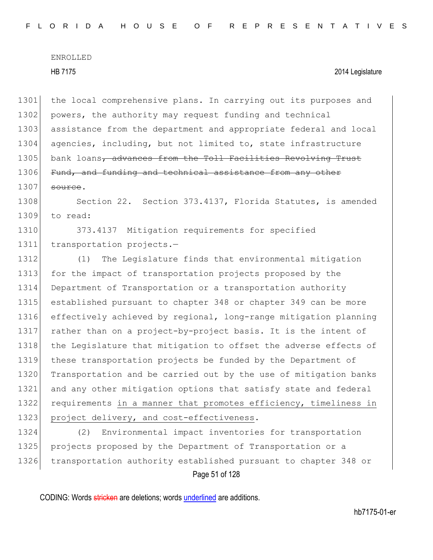1301 the local comprehensive plans. In carrying out its purposes and 1302 powers, the authority may request funding and technical 1303 assistance from the department and appropriate federal and local 1304 agencies, including, but not limited to, state infrastructure 1305 bank loans<del>, advances from the Toll Facilities Revolving Trust</del> 1306 Fund, and funding and technical assistance from any other  $1307$  source. 1308 Section 22. Section 373.4137, Florida Statutes, is amended 1309 to read: 1310 373.4137 Mitigation requirements for specified 1311 transportation projects.-1312 (1) The Legislature finds that environmental mitigation 1313 for the impact of transportation projects proposed by the 1314 Department of Transportation or a transportation authority 1315 established pursuant to chapter 348 or chapter 349 can be more 1316 effectively achieved by regional, long-range mitigation planning 1317 rather than on a project-by-project basis. It is the intent of 1318 the Legislature that mitigation to offset the adverse effects of 1319 these transportation projects be funded by the Department of 1320 Transportation and be carried out by the use of mitigation banks 1321 and any other mitigation options that satisfy state and federal

1322 requirements in a manner that promotes efficiency, timeliness in 1323 project delivery, and cost-effectiveness.

1324 (2) Environmental impact inventories for transportation 1325 projects proposed by the Department of Transportation or a 1326 transportation authority established pursuant to chapter 348 or

Page 51 of 128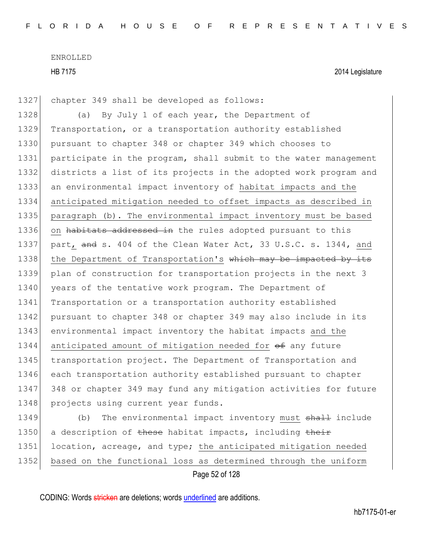1327 chapter 349 shall be developed as follows:

1328 (a) By July 1 of each year, the Department of 1329 Transportation, or a transportation authority established 1330 pursuant to chapter 348 or chapter 349 which chooses to 1331 participate in the program, shall submit to the water management 1332 districts a list of its projects in the adopted work program and 1333 an environmental impact inventory of habitat impacts and the 1334 anticipated mitigation needed to offset impacts as described in 1335 paragraph (b). The environmental impact inventory must be based 1336 on habitats addressed in the rules adopted pursuant to this 1337 part, and s. 404 of the Clean Water Act, 33 U.S.C. s. 1344, and 1338 the Department of Transportation's which may be impacted by its 1339 plan of construction for transportation projects in the next 3 1340 years of the tentative work program. The Department of 1341 Transportation or a transportation authority established 1342 pursuant to chapter 348 or chapter 349 may also include in its 1343 environmental impact inventory the habitat impacts and the 1344 anticipated amount of mitigation needed for  $\theta$  any future 1345 transportation project. The Department of Transportation and 1346 each transportation authority established pursuant to chapter 1347 348 or chapter 349 may fund any mitigation activities for future 1348 projects using current year funds. 1349 (b) The environmental impact inventory must shall include

1350 a description of these habitat impacts, including their 1351 location, acreage, and type; the anticipated mitigation needed 1352 based on the functional loss as determined through the uniform

Page 52 of 128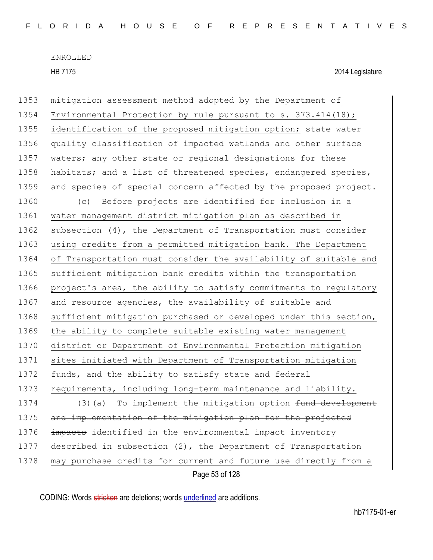| 1353 | mitigation assessment method adopted by the Department of        |
|------|------------------------------------------------------------------|
| 1354 | Environmental Protection by rule pursuant to s. 373.414(18);     |
| 1355 | identification of the proposed mitigation option; state water    |
| 1356 | quality classification of impacted wetlands and other surface    |
| 1357 | waters; any other state or regional designations for these       |
| 1358 | habitats; and a list of threatened species, endangered species,  |
| 1359 | and species of special concern affected by the proposed project. |
| 1360 | Before projects are identified for inclusion in a<br>(C)         |
| 1361 | water management district mitigation plan as described in        |
| 1362 | subsection (4), the Department of Transportation must consider   |
| 1363 | using credits from a permitted mitigation bank. The Department   |
| 1364 | of Transportation must consider the availability of suitable and |
| 1365 | sufficient mitigation bank credits within the transportation     |
| 1366 | project's area, the ability to satisfy commitments to regulatory |
| 1367 | and resource agencies, the availability of suitable and          |
| 1368 | sufficient mitigation purchased or developed under this section, |
| 1369 | the ability to complete suitable existing water management       |
| 1370 | district or Department of Environmental Protection mitigation    |
| 1371 | sites initiated with Department of Transportation mitigation     |
| 1372 | funds, and the ability to satisfy state and federal              |
| 1373 | requirements, including long-term maintenance and liability.     |
| 1374 | To implement the mitigation option fund development<br>(3) (a)   |
| 1375 | and implementation of the mitigation plan for the projected      |
| 1376 | impacts identified in the environmental impact inventory         |
| 1377 | described in subsection $(2)$ , the Department of Transportation |
| 1378 | may purchase credits for current and future use directly from a  |
|      | Page 53 of 128                                                   |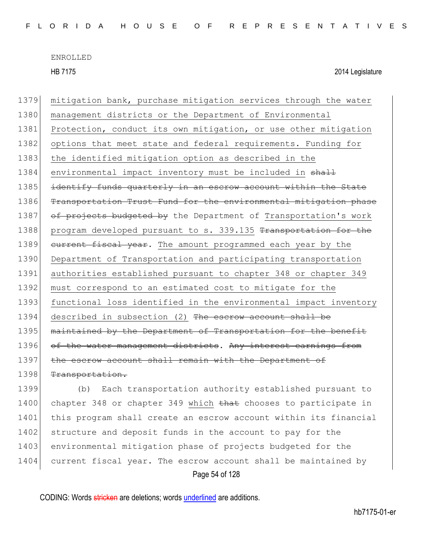HB 7175 2014 Legislature

1379 mitigation bank, purchase mitigation services through the water 1380 | management districts or the Department of Environmental 1381 Protection, conduct its own mitigation, or use other mitigation 1382 options that meet state and federal requirements. Funding for 1383 the identified mitigation option as described in the 1384 environmental impact inventory must be included in shall 1385 identify funds quarterly in an escrow account within the State 1386 Transportation Trust Fund for the environmental mitigation phase 1387 of projects budgeted by the Department of Transportation's work 1388 program developed pursuant to s. 339.135 Transportation for the 1389 current fiscal year. The amount programmed each year by the 1390 Department of Transportation and participating transportation 1391 authorities established pursuant to chapter 348 or chapter 349 1392 must correspond to an estimated cost to mitigate for the 1393 functional loss identified in the environmental impact inventory 1394 described in subsection (2) The escrow account shall be 1395 maintained by the Department of Transportation for the benefit 1396 of the water management districts. Any interest earnings from 1397 the escrow account shall remain with the Department of 1398 Transportation.

Page 54 of 128 1399 (b) Each transportation authority established pursuant to 1400 chapter 348 or chapter 349 which that chooses to participate in 1401 this program shall create an escrow account within its financial 1402 structure and deposit funds in the account to pay for the 1403 environmental mitigation phase of projects budgeted for the 1404 current fiscal year. The escrow account shall be maintained by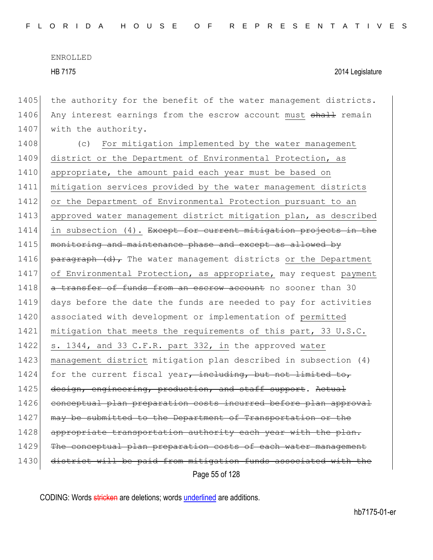HB 7175 2014 Legislature

Page 55 of 128 1405 the authority for the benefit of the water management districts. 1406 Any interest earnings from the escrow account must shall remain 1407 with the authority. 1408 (c) For mitigation implemented by the water management 1409 district or the Department of Environmental Protection, as 1410 appropriate, the amount paid each year must be based on 1411 mitigation services provided by the water management districts 1412 or the Department of Environmental Protection pursuant to an 1413 approved water management district mitigation plan, as described 1414 in subsection (4). Except for current mitigation projects in the 1415 monitoring and maintenance phase and except as allowed by 1416 **paragraph**  $(d)$  The water management districts or the Department 1417 of Environmental Protection, as appropriate, may request payment 1418 a transfer of funds from an escrow account no sooner than 30 1419 days before the date the funds are needed to pay for activities 1420 associated with development or implementation of permitted 1421 mitigation that meets the requirements of this part, 33 U.S.C. 1422 s. 1344, and 33 C.F.R. part 332, in the approved water 1423 management district mitigation plan described in subsection (4) 1424 for the current fiscal year, including, but not limited to, 1425 design, engineering, production, and staff support. Actual 1426 conceptual plan preparation costs incurred before plan approval 1427 may be submitted to the Department of Transportation or the 1428 appropriate transportation authority each year with the plan. 1429 The conceptual plan preparation costs of each water management 1430 district will be paid from mitigation funds associated with the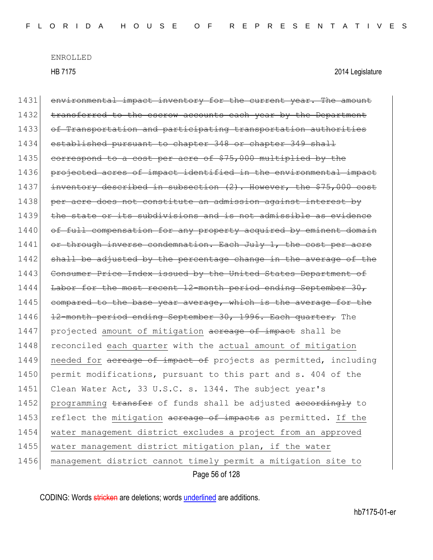HB 7175 2014 Legislature

Page 56 of 128 1431 environmental impact inventory for the current year. The amount 1432 transferred to the escrow accounts each year by the Department 1433 of Transportation and participating transportation authorities 1434 established pursuant to chapter 348 or chapter 349 shall 1435 correspond to a cost per acre of \$75,000 multiplied by the 1436 projected acres of impact identified in the environmental impact 1437 inventory described in subsection (2). However, the \$75,000 cost 1438 per acre does not constitute an admission against interest by 1439 the state or its subdivisions and is not admissible 1440 of full compensation for any property acquired by eminent domain 1441 or through inverse condemnation. Each July 1, the cost per acre 1442 shall be adjusted by the percentage change in the average of the 1443 Consumer Price Index issued by the United States Department of 1444 Labor for the most recent 12-month period ending September 30, 1445 compared to the base year average, which is the average for the 1446 12-month period ending September 30, 1996. Each quarter, The 1447 projected amount of mitigation acreage of impact shall be 1448 reconciled each quarter with the actual amount of mitigation 1449 needed for acreage of impact of projects as permitted, including 1450 permit modifications, pursuant to this part and s. 404 of the 1451 Clean Water Act, 33 U.S.C. s. 1344. The subject year's 1452 programming transfer of funds shall be adjusted accordingly to 1453 reflect the mitigation acreage of impacts as permitted. If the 1454 water management district excludes a project from an approved 1455 water management district mitigation plan, if the water 1456 management district cannot timely permit a mitigation site to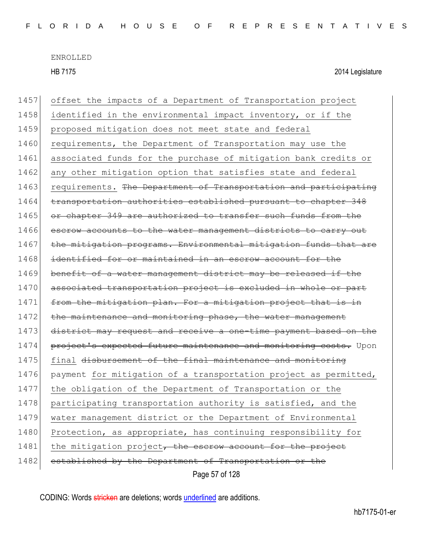HB 7175 2014 Legislature

Page 57 of 128 1457 offset the impacts of a Department of Transportation project 1458 identified in the environmental impact inventory, or if the 1459 proposed mitigation does not meet state and federal 1460 requirements, the Department of Transportation may use the 1461 associated funds for the purchase of mitigation bank credits or 1462 any other mitigation option that satisfies state and federal 1463 requirements. The Department of Transportation and participating 1464 transportation authorities established pursuant to chapter 348 1465 or chapter 349 are authorized to transfer such funds from the 1466 escrow accounts to the water management districts to carry out 1467 the mitigation programs. Environmental mitigation funds that are 1468 identified for or maintained in an escrow account for the 1469 benefit of a water management district may be released if the 1470 associated transportation project is excluded in whole or part 1471 from the mitigation plan. For a mitigation project that is in 1472 the maintenance and monitoring phase, the water management 1473 district may request and receive a one-time payment based on the 1474 project's expected future maintenance and monitoring costs. Upon 1475 final <del>disbursement of the final maintenance and monitoring</del> 1476 payment for mitigation of a transportation project as permitted, 1477 the obligation of the Department of Transportation or the 1478 participating transportation authority is satisfied, and the 1479 water management district or the Department of Environmental 1480 Protection, as appropriate, has continuing responsibility for 1481 the mitigation project, the escrow account for the project 1482 established by the Department of Transportation or the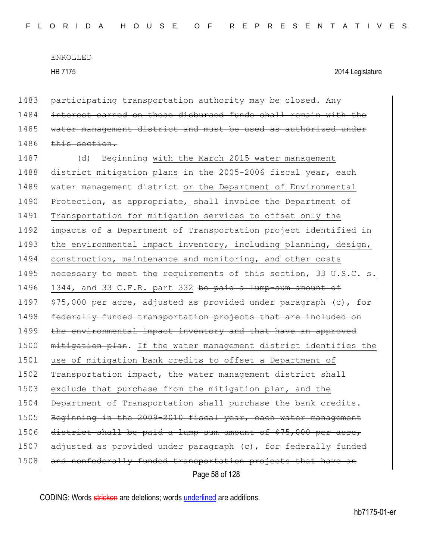1483 participating transportation authority may be closed. Any

ENROLLED HB 7175 2014 Legislature

Page 58 of 128 1484 interest earned on these disbursed funds shall remain with the 1485 water management district and must be used as authorized under 1486 this section. 1487 (d) Beginning with the March 2015 water management 1488 district mitigation plans in the 2005-2006 fiscal year, each 1489 water management district or the Department of Environmental 1490 Protection, as appropriate, shall invoice the Department of 1491 Transportation for mitigation services to offset only the 1492 impacts of a Department of Transportation project identified in 1493 the environmental impact inventory, including planning, design, 1494 construction, maintenance and monitoring, and other costs 1495 necessary to meet the requirements of this section, 33 U.S.C. s. 1496 1344, and 33 C.F.R. part 332 be paid a lump-sum amount of 1497 \$75,000 per acre, adjusted as provided under paragraph (c), for 1498 federally funded transportation projects that are included on 1499 the environmental impact inventory and that have an approved 1500 mitigation plan. If the water management district identifies the 1501 use of mitigation bank credits to offset a Department of 1502 Transportation impact, the water management district shall 1503 exclude that purchase from the mitigation plan, and the 1504 Department of Transportation shall purchase the bank credits. 1505 Beginning in the 2009-2010 fiscal year, each water management 1506 district shall be paid a lump-sum amount of  $$75,000$  per acre, 1507 adjusted as provided under paragraph (c), for federally funded 1508 and nonfederally funded transportation projects that have an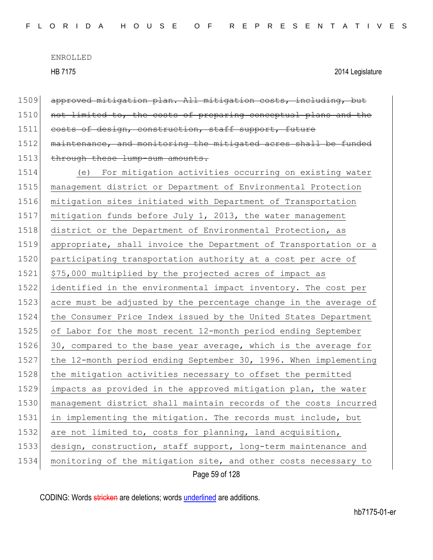HB 7175 2014 Legislature

Page 59 of 128 1509 approved mitigation plan. All mitigation costs, including, but 1510 not limited to, the costs of preparing conceptual plans and the 1511 costs of design, construction, staff support, future 1512 maintenance, and monitoring the mitigated acres shall be funded 1513 through these lump-sum amounts. 1514 (e) For mitigation activities occurring on existing water 1515 management district or Department of Environmental Protection 1516 mitigation sites initiated with Department of Transportation 1517 mitigation funds before July 1, 2013, the water management 1518 district or the Department of Environmental Protection, as 1519 appropriate, shall invoice the Department of Transportation or a 1520 participating transportation authority at a cost per acre of 1521 \$75,000 multiplied by the projected acres of impact as 1522 identified in the environmental impact inventory. The cost per 1523 acre must be adjusted by the percentage change in the average of 1524 the Consumer Price Index issued by the United States Department 1525 of Labor for the most recent 12-month period ending September 1526 30, compared to the base year average, which is the average for 1527 the 12-month period ending September 30, 1996. When implementing 1528 the mitigation activities necessary to offset the permitted 1529 impacts as provided in the approved mitigation plan, the water 1530 management district shall maintain records of the costs incurred 1531 in implementing the mitigation. The records must include, but 1532 are not limited to, costs for planning, land acquisition, 1533 design, construction, staff support, long-term maintenance and 1534 | monitoring of the mitigation site, and other costs necessary to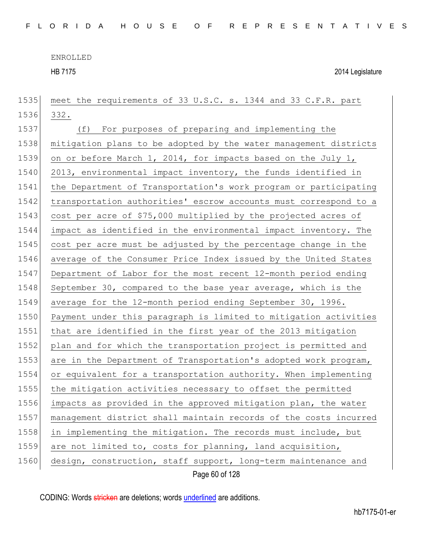HB 7175 2014 Legislature

Page 60 of 128 meet the requirements of 33 U.S.C. s. 1344 and 33 C.F.R. part 1536 332. (f) For purposes of preparing and implementing the mitigation plans to be adopted by the water management districts on or before March 1, 2014, for impacts based on the July 1, 1540 2013, environmental impact inventory, the funds identified in the Department of Transportation's work program or participating transportation authorities' escrow accounts must correspond to a cost per acre of \$75,000 multiplied by the projected acres of impact as identified in the environmental impact inventory. The cost per acre must be adjusted by the percentage change in the 1546 average of the Consumer Price Index issued by the United States Department of Labor for the most recent 12-month period ending 1548 September 30, compared to the base year average, which is the 1549 average for the 12-month period ending September 30, 1996. Payment under this paragraph is limited to mitigation activities 1551 that are identified in the first year of the 2013 mitigation 1552 plan and for which the transportation project is permitted and 1553 are in the Department of Transportation's adopted work program, or equivalent for a transportation authority. When implementing the mitigation activities necessary to offset the permitted impacts as provided in the approved mitigation plan, the water management district shall maintain records of the costs incurred in implementing the mitigation. The records must include, but are not limited to, costs for planning, land acquisition, 1560 design, construction, staff support, long-term maintenance and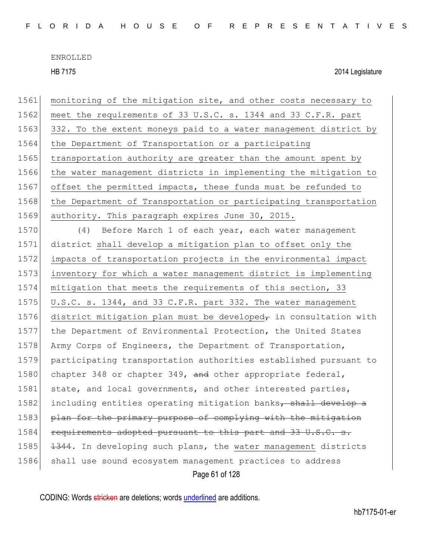HB 7175 2014 Legislature

Page 61 of 128 1561 monitoring of the mitigation site, and other costs necessary to 1562 meet the requirements of 33 U.S.C. s. 1344 and 33 C.F.R. part 1563 332. To the extent moneys paid to a water management district by 1564 the Department of Transportation or a participating 1565 transportation authority are greater than the amount spent by 1566 the water management districts in implementing the mitigation to 1567 offset the permitted impacts, these funds must be refunded to 1568 the Department of Transportation or participating transportation 1569 authority. This paragraph expires June 30, 2015. 1570 (4) Before March 1 of each year, each water management 1571 district shall develop a mitigation plan to offset only the 1572 impacts of transportation projects in the environmental impact 1573 inventory for which a water management district is implementing 1574 mitigation that meets the requirements of this section, 33 1575 U.S.C. s. 1344, and 33 C.F.R. part 332. The water management 1576 district mitigation plan must be developed $<sub>\tau</sub>$  in consultation with</sub> 1577 the Department of Environmental Protection, the United States 1578 Army Corps of Engineers, the Department of Transportation, 1579 participating transportation authorities established pursuant to 1580 chapter 348 or chapter 349, and other appropriate federal, 1581 state, and local governments, and other interested parties, 1582 including entities operating mitigation banks, shall develop a 1583 plan for the primary purpose of complying with the mitigation 1584 requirements adopted pursuant to this part and 33 U.S.C. s. 1585 1344. In developing such plans, the water management districts 1586 shall use sound ecosystem management practices to address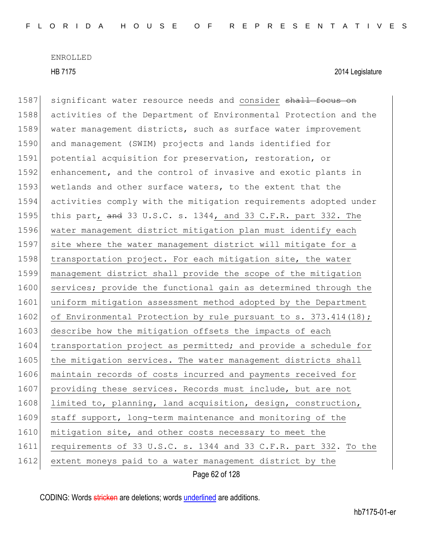HB 7175 2014 Legislature

Page 62 of 128 1587 significant water resource needs and consider shall focus on 1588 activities of the Department of Environmental Protection and the 1589 water management districts, such as surface water improvement 1590 and management (SWIM) projects and lands identified for 1591 potential acquisition for preservation, restoration, or 1592 enhancement, and the control of invasive and exotic plants in 1593 wetlands and other surface waters, to the extent that the 1594 activities comply with the mitigation requirements adopted under 1595 this part, and 33 U.S.C. s. 1344, and 33 C.F.R. part 332. The 1596 water management district mitigation plan must identify each 1597 site where the water management district will mitigate for a 1598 transportation project. For each mitigation site, the water 1599 management district shall provide the scope of the mitigation 1600 services; provide the functional gain as determined through the 1601 uniform mitigation assessment method adopted by the Department 1602 of Environmental Protection by rule pursuant to s. 373.414(18); 1603 describe how the mitigation offsets the impacts of each 1604 transportation project as permitted; and provide a schedule for 1605 the mitigation services. The water management districts shall 1606 maintain records of costs incurred and payments received for 1607 providing these services. Records must include, but are not 1608 limited to, planning, land acquisition, design, construction, 1609 staff support, long-term maintenance and monitoring of the 1610 mitigation site, and other costs necessary to meet the 1611 requirements of 33 U.S.C. s. 1344 and 33 C.F.R. part 332. To the 1612 extent moneys paid to a water management district by the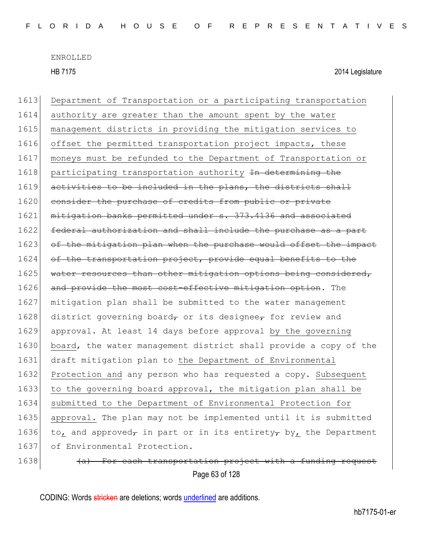HB 7175 2014 Legislature

1613 Department of Transportation or a participating transportation 1614 authority are greater than the amount spent by the water 1615 management districts in providing the mitigation services to 1616 offset the permitted transportation project impacts, these 1617 moneys must be refunded to the Department of Transportation or 1618 participating transportation authority In determining the 1619 activities to be included in the plans, the districts shall 1620 consider the purchase of credits from public or private 1621 mitigation banks permitted under s. 373.4136 and associated 1622 federal authorization and shall include the purchase as a part 1623 of the mitigation plan when the purchase would offset the impact 1624 of the transportation project, provide equal benefits to the 1625 water resources than other mitigation options being considered, 1626 and provide the most cost-effective mitigation option. The 1627 mitigation plan shall be submitted to the water management 1628 district governing board, or its designee, for review and 1629 approval. At least 14 days before approval by the governing 1630 board, the water management district shall provide a copy of the 1631 draft mitigation plan to the Department of Environmental 1632 Protection and any person who has requested a copy. Subsequent 1633 to the governing board approval, the mitigation plan shall be 1634 submitted to the Department of Environmental Protection for 1635 approval. The plan may not be implemented until it is submitted 1636 to, and approved<sub> $\tau$ </sub> in part or in its entirety $\tau$  by, the Department 1637 of Environmental Protection.  $1638$  (a) For each transportation project with a funding request

Page 63 of 128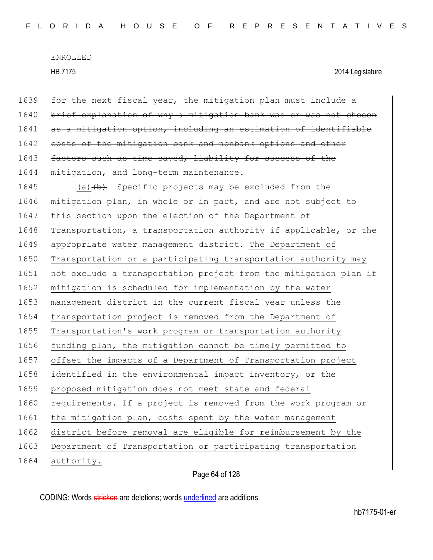| 1639 | for the next fiscal year, the mitigation plan must include a     |
|------|------------------------------------------------------------------|
| 1640 | brief explanation of why a mitigation bank was or was not chosen |
| 1641 | as a mitigation option, including an estimation of identifiable  |
| 1642 | costs of the mitigation bank and nonbank options and other       |
| 1643 | factors such as time saved, liability for success of the         |
| 1644 | mitigation, and long-term maintenance.                           |
| 1645 | (a) $(b)$ Specific projects may be excluded from the             |
| 1646 | mitigation plan, in whole or in part, and are not subject to     |
| 1647 | this section upon the election of the Department of              |
| 1648 | Transportation, a transportation authority if applicable, or the |
| 1649 | appropriate water management district. The Department of         |
| 1650 | Transportation or a participating transportation authority may   |
| 1651 | not exclude a transportation project from the mitigation plan if |
| 1652 | mitigation is scheduled for implementation by the water          |
| 1653 | management district in the current fiscal year unless the        |
| 1654 | transportation project is removed from the Department of         |
| 1655 | Transportation's work program or transportation authority        |
| 1656 | funding plan, the mitigation cannot be timely permitted to       |
| 1657 | offset the impacts of a Department of Transportation project     |
| 1658 | identified in the environmental impact inventory, or the         |
| 1659 | proposed mitigation does not meet state and federal              |
| 1660 | requirements. If a project is removed from the work program or   |
| 1661 | the mitigation plan, costs spent by the water management         |
| 1662 | district before removal are eligible for reimbursement by the    |
| 1663 | Department of Transportation or participating transportation     |
| 1664 | authority.                                                       |
|      |                                                                  |

Page 64 of 128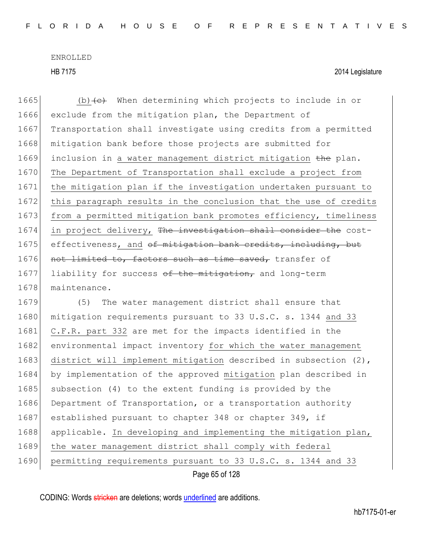Page 65 of 128 1665 (b) $\left\langle e\right\rangle$  When determining which projects to include in or 1666 exclude from the mitigation plan, the Department of 1667 Transportation shall investigate using credits from a permitted 1668 mitigation bank before those projects are submitted for 1669 inclusion in a water management district mitigation the plan. 1670 The Department of Transportation shall exclude a project from 1671 the mitigation plan if the investigation undertaken pursuant to 1672 this paragraph results in the conclusion that the use of credits 1673 from a permitted mitigation bank promotes efficiency, timeliness 1674 in project delivery, The investigation shall consider the cost-1675 effectiveness, and of mitigation bank credits, including, but 1676 not limited to, factors such as time saved, transfer of 1677 liability for success of the mitigation, and long-term 1678 maintenance. 1679 (5) The water management district shall ensure that 1680 mitigation requirements pursuant to 33 U.S.C. s. 1344 and 33 1681 C.F.R. part 332 are met for the impacts identified in the 1682 environmental impact inventory for which the water management 1683 district will implement mitigation described in subsection (2), 1684 by implementation of the approved mitigation plan described in 1685 subsection (4) to the extent funding is provided by the 1686 Department of Transportation, or a transportation authority 1687 established pursuant to chapter 348 or chapter 349, if 1688 applicable. In developing and implementing the mitigation plan, 1689 the water management district shall comply with federal 1690 permitting requirements pursuant to 33 U.S.C. s. 1344 and 33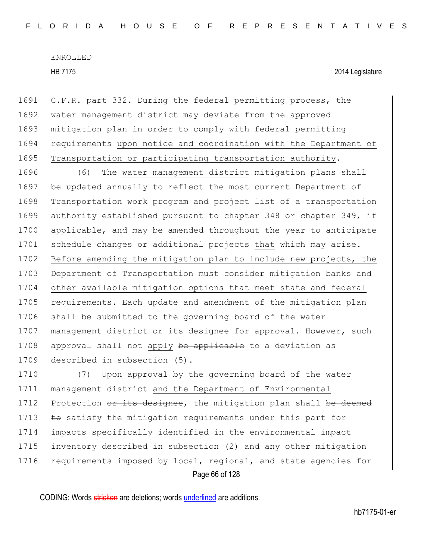HB 7175 2014 Legislature

1691 C.F.R. part 332. During the federal permitting process, the 1692 water management district may deviate from the approved 1693 mitigation plan in order to comply with federal permitting 1694 requirements upon notice and coordination with the Department of 1695 Transportation or participating transportation authority.

1696 (6) The water management district mitigation plans shall 1697 be updated annually to reflect the most current Department of 1698 Transportation work program and project list of a transportation 1699 authority established pursuant to chapter 348 or chapter 349, if 1700 applicable, and may be amended throughout the year to anticipate 1701 schedule changes or additional projects that which may arise. 1702 Before amending the mitigation plan to include new projects, the 1703 Department of Transportation must consider mitigation banks and 1704 other available mitigation options that meet state and federal 1705 requirements. Each update and amendment of the mitigation plan 1706 shall be submitted to the governing board of the water 1707 management district or its designee for approval. However, such 1708 approval shall not apply be applicable to a deviation as 1709 described in subsection (5).

Page 66 of 128 1710 (7) Upon approval by the governing board of the water 1711 management district and the Department of Environmental 1712 Protection or its designee, the mitigation plan shall be deemed 1713  $\pm$  es satisfy the mitigation requirements under this part for 1714 impacts specifically identified in the environmental impact 1715 inventory described in subsection (2) and any other mitigation 1716 requirements imposed by local, regional, and state agencies for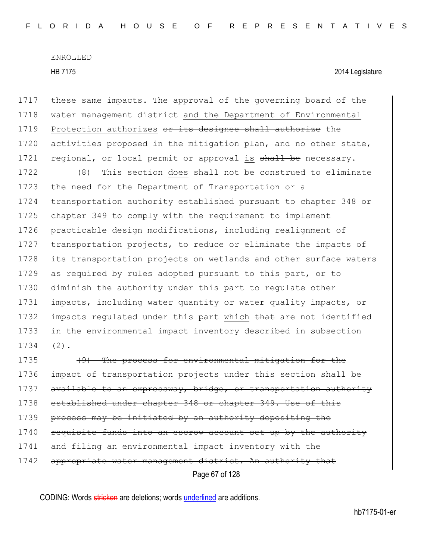1717 these same impacts. The approval of the governing board of the 1718 water management district and the Department of Environmental 1719 Protection authorizes or its designee shall authorize the 1720 activities proposed in the mitigation plan, and no other state, 1721 regional, or local permit or approval is shall be necessary.

1722 (8) This section does shall not be construed to eliminate 1723 the need for the Department of Transportation or a transportation authority established pursuant to chapter 348 or 1725 chapter 349 to comply with the requirement to implement practicable design modifications, including realignment of transportation projects, to reduce or eliminate the impacts of its transportation projects on wetlands and other surface waters as required by rules adopted pursuant to this part, or to diminish the authority under this part to regulate other impacts, including water quantity or water quality impacts, or 1732 impacts regulated under this part which that are not identified in the environmental impact inventory described in subsection 1734 (2).

Page 67 of 128 1735 **(9)** The process for environmental mitigation for the 1736 impact of transportation projects under this section shall be 1737 available to an expressway, bridge, or transportation authority 1738 established under chapter 348 or chapter 349. Use of this 1739 process may be initiated by an authority depositing the 1740 requisite funds into an escrow account set up by the authority 1741 and filing an environmental impact inventory with the 1742 appropriate water management district. An authority that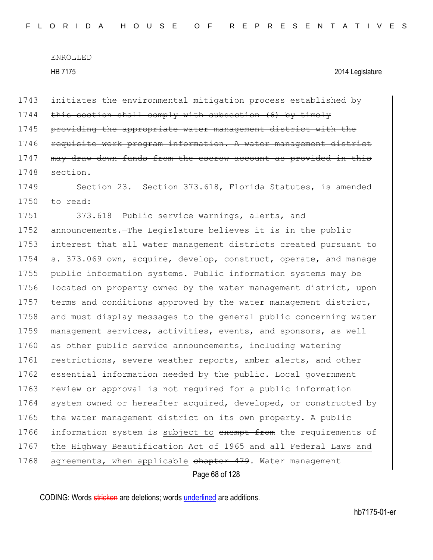Page 68 of 128 1743 initiates the environmental mitigation process established by  $1744$  this section shall comply with subsection (6) by timely 1745 providing the appropriate water management district with the 1746 requisite work program information. A water management district 1747 may draw down funds from the escrow account as provided in this  $1748$  section. 1749 Section 23. Section 373.618, Florida Statutes, is amended 1750 to read: 1751 373.618 Public service warnings, alerts, and 1752 announcements.—The Legislature believes it is in the public 1753 interest that all water management districts created pursuant to 1754 s. 373.069 own, acquire, develop, construct, operate, and manage 1755 public information systems. Public information systems may be 1756 located on property owned by the water management district, upon 1757 terms and conditions approved by the water management district, 1758 and must display messages to the general public concerning water 1759 management services, activities, events, and sponsors, as well 1760 as other public service announcements, including watering 1761 restrictions, severe weather reports, amber alerts, and other 1762 essential information needed by the public. Local government 1763 review or approval is not required for a public information 1764 system owned or hereafter acquired, developed, or constructed by 1765 the water management district on its own property. A public 1766 information system is subject to exempt from the requirements of 1767 the Highway Beautification Act of 1965 and all Federal Laws and 1768 agreements, when applicable chapter 479. Water management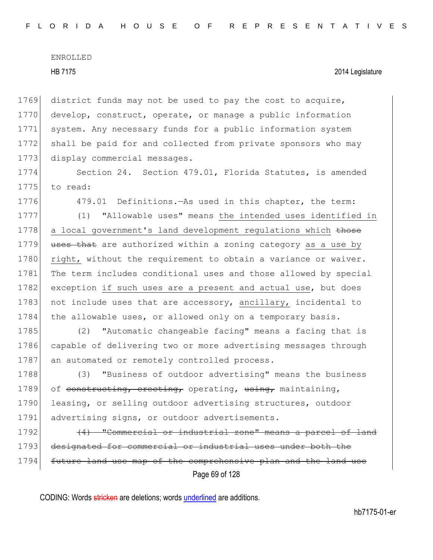1769 district funds may not be used to pay the cost to acquire, 1770 develop, construct, operate, or manage a public information 1771 system. Any necessary funds for a public information system 1772 shall be paid for and collected from private sponsors who may 1773 display commercial messages.

1774 Section 24. Section 479.01, Florida Statutes, is amended 1775 to read:

1776 479.01 Definitions.—As used in this chapter, the term:

1777 (1) "Allowable uses" means the intended uses identified in 1778 a local government's land development regulations which those 1779 uses that are authorized within a zoning category as a use by 1780 right, without the requirement to obtain a variance or waiver. 1781 The term includes conditional uses and those allowed by special 1782 exception if such uses are a present and actual use, but does 1783 not include uses that are accessory, ancillary, incidental to 1784 the allowable uses, or allowed only on a temporary basis.

1785 (2) "Automatic changeable facing" means a facing that is 1786 capable of delivering two or more advertising messages through 1787 an automated or remotely controlled process.

1788 (3) "Business of outdoor advertising" means the business 1789 of constructing, erecting, operating, using, maintaining, 1790 leasing, or selling outdoor advertising structures, outdoor 1791 advertising signs, or outdoor advertisements.

Page 69 of 128  $1792$  (4) "Commercial or industrial zone" means a parcel of land 1793 designated for commercial or industrial uses under both the 1794 future land use map of the comprehensive plan and the land use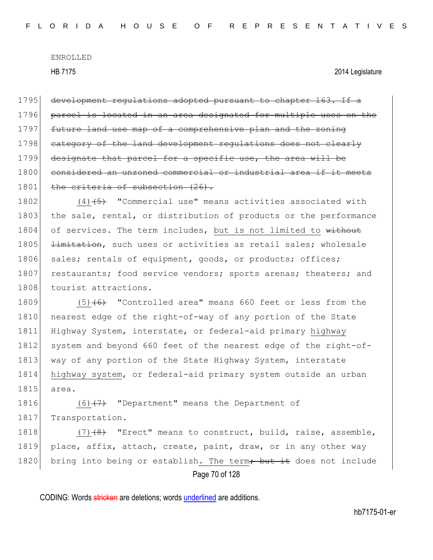1795 development regulations adopted pursuant to chapter 163. If a 1796 parcel is located in an area designated for multiple uses on the 1797 future land use map of a comprehensive plan and the zoning 1798 category of the land development regulations does not clearly 1799 designate that parcel for a specific use, the area will be 1800 considered an unzoned commercial or industrial area if 1801 the criteria of subsection (26).

1802  $(4)$   $\overline{5}$  "Commercial use" means activities associated with 1803 the sale, rental, or distribution of products or the performance 1804 of services. The term includes, but is not limited to without 1805 <del>limitation</del>, such uses or activities as retail sales; wholesale 1806 sales; rentals of equipment, goods, or products; offices; 1807 restaurants; food service vendors; sports arenas; theaters; and 1808 tourist attractions.

1809  $(5)$   $(6)$  "Controlled area" means 660 feet or less from the 1810 nearest edge of the right-of-way of any portion of the State 1811 Highway System, interstate, or federal-aid primary highway 1812 system and beyond 660 feet of the nearest edge of the right-of-1813 way of any portion of the State Highway System, interstate 1814 highway system, or federal-aid primary system outside an urban 1815 area.

1816  $(6)$   $(7)$  "Department" means the Department of 1817 Transportation.

Page 70 of 128 1818  $(7)$   $(8)$  "Erect" means to construct, build, raise, assemble, 1819 place, affix, attach, create, paint, draw, or in any other way 1820 bring into being or establish. The term<del>; but it</del> does not include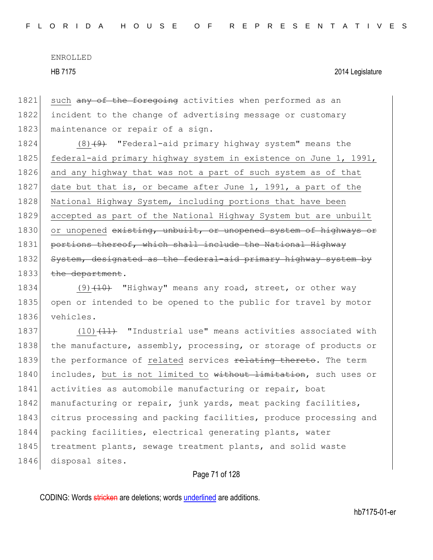HB 7175 2014 Legislature

1821 such any of the foregoing activities when performed as an 1822 incident to the change of advertising message or customary 1823 maintenance or repair of a sign.

1824 (8)<del>(9)</del> "Federal-aid primary highway system" means the 1825 federal-aid primary highway system in existence on June 1, 1991, 1826 and any highway that was not a part of such system as of that 1827 date but that is, or became after June 1, 1991, a part of the 1828 National Highway System, including portions that have been 1829 accepted as part of the National Highway System but are unbuilt 1830 or unopened existing, unbuilt, or unopened system of highways or 1831 portions thereof, which shall include the National Highway 1832 System, designated as the federal-aid primary highway system by 1833 the department.

1834 (9) $(10)$  "Highway" means any road, street, or other way 1835 open or intended to be opened to the public for travel by motor 1836 vehicles.

1837 (10) $(11)$  "Industrial use" means activities associated with 1838 the manufacture, assembly, processing, or storage of products or 1839 the performance of related services relating thereto. The term 1840 includes, but is not limited to without limitation, such uses or 1841 activities as automobile manufacturing or repair, boat 1842 manufacturing or repair, junk yards, meat packing facilities, 1843 citrus processing and packing facilities, produce processing and 1844 packing facilities, electrical generating plants, water 1845 treatment plants, sewage treatment plants, and solid waste 1846 disposal sites.

## Page 71 of 128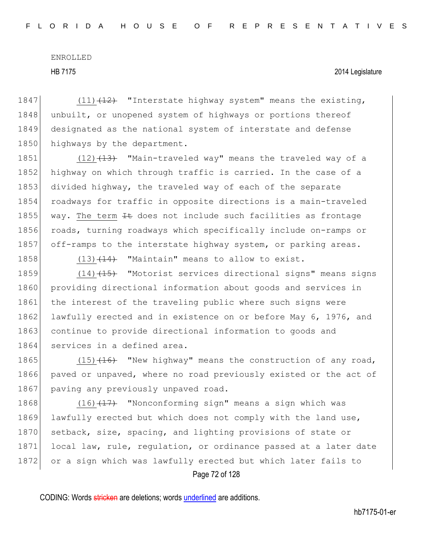1847  $(11)$   $(12)$  "Interstate highway system" means the existing, 1848 unbuilt, or unopened system of highways or portions thereof 1849 designated as the national system of interstate and defense 1850 highways by the department.

1851  $(12)$   $(13)$  "Main-traveled way" means the traveled way of a 1852 highway on which through traffic is carried. In the case of a 1853 divided highway, the traveled way of each of the separate 1854 roadways for traffic in opposite directions is a main-traveled 1855 way. The term  $H$  does not include such facilities as frontage 1856 roads, turning roadways which specifically include on-ramps or 1857 off-ramps to the interstate highway system, or parking areas.

1858  $(13)$   $(14)$  "Maintain" means to allow to exist.

1859  $(14)$   $(15)$  "Motorist services directional signs" means signs 1860 providing directional information about goods and services in 1861 the interest of the traveling public where such signs were 1862 lawfully erected and in existence on or before May 6, 1976, and 1863 continue to provide directional information to goods and 1864 services in a defined area.

1865 (15) $(15)$  (16) "New highway" means the construction of any road, 1866 paved or unpaved, where no road previously existed or the act of 1867 paving any previously unpaved road.

Page 72 of 128 1868 (16) $(17)$  "Nonconforming sign" means a sign which was 1869 lawfully erected but which does not comply with the land use, 1870 setback, size, spacing, and lighting provisions of state or 1871 local law, rule, regulation, or ordinance passed at a later date 1872 or a sign which was lawfully erected but which later fails to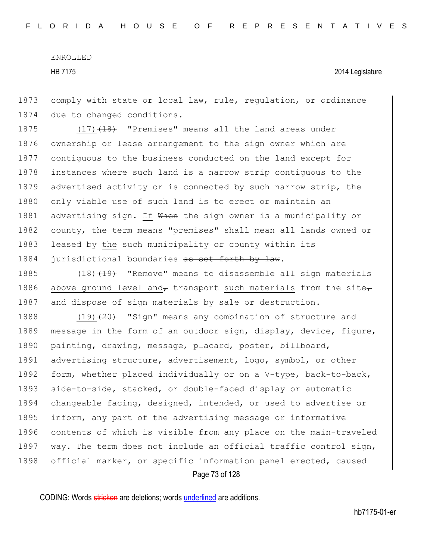1873 comply with state or local law, rule, regulation, or ordinance 1874 due to changed conditions.

1875  $(17)$   $(18)$  "Premises" means all the land areas under 1876 ownership or lease arrangement to the sign owner which are 1877 contiguous to the business conducted on the land except for 1878 instances where such land is a narrow strip contiguous to the 1879 advertised activity or is connected by such narrow strip, the 1880 only viable use of such land is to erect or maintain an 1881 advertising sign. If When the sign owner is a municipality or 1882 county, the term means "premises" shall mean all lands owned or 1883 leased by the such municipality or county within its 1884 jurisdictional boundaries as set forth by law.

1885  $(18)$   $(19)$  "Remove" means to disassemble all sign materials 1886 above ground level and, transport such materials from the site, 1887 and dispose of sign materials by sale or destruction.

1888  $(19)$   $(20)$  "Sign" means any combination of structure and 1889 message in the form of an outdoor sign, display, device, figure, 1890 painting, drawing, message, placard, poster, billboard, 1891 advertising structure, advertisement, logo, symbol, or other 1892 form, whether placed individually or on a V-type, back-to-back, 1893 side-to-side, stacked, or double-faced display or automatic 1894 changeable facing, designed, intended, or used to advertise or 1895 inform, any part of the advertising message or informative 1896 contents of which is visible from any place on the main-traveled 1897 way. The term does not include an official traffic control sign, 1898 official marker, or specific information panel erected, caused

Page 73 of 128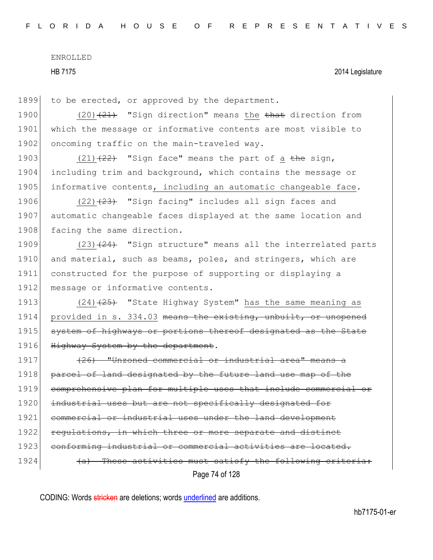HB 7175 2014 Legislature

1899 to be erected, or approved by the department.

1900 (20) $(21)$  "Sign direction" means the that direction from 1901 which the message or informative contents are most visible to 1902 oncoming traffic on the main-traveled way.

1903 (21) $(22)$  "Sign face" means the part of a the sign, 1904 including trim and background, which contains the message or 1905 informative contents, including an automatic changeable face.

1906  $(22)$   $(23)$  "Sign facing" includes all sign faces and 1907 automatic changeable faces displayed at the same location and 1908 facing the same direction.

1909  $(23)$   $(24)$  "Sign structure" means all the interrelated parts 1910 and material, such as beams, poles, and stringers, which are 1911 constructed for the purpose of supporting or displaying a 1912 message or informative contents.

1913  $(24)$   $(25)$  "State Highway System" has the same meaning as 1914 provided in s. 334.03 means the existing, unbuilt, or unopened 1915 system of highways or portions thereof designated as the State 1916 Highway System by the department.

Page 74 of 128 1917 (26) "Unzoned commercial or industrial area" means 1918 parcel of land designated by the future land use map of the 1919 comprehensive plan for multiple uses that include commercial or 1920 industrial uses but are not specifically designated for 1921 commercial or industrial uses under the land development 1922 requiations, in which three or more separate and distinct 1923 conforming industrial or commercial activities are located. 1924 (a) These activities must satisfy the following criteria: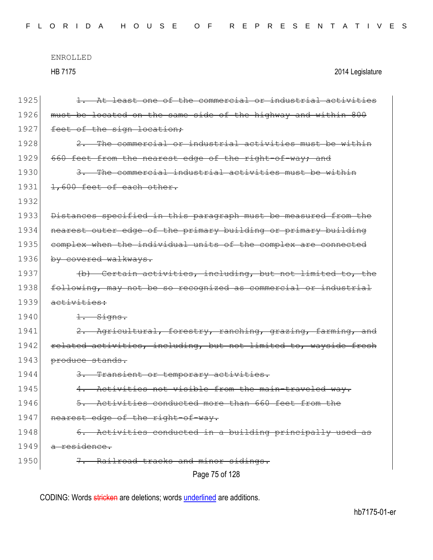| 1925 | 1. At least one of the commercial or industrial activities        |
|------|-------------------------------------------------------------------|
| 1926 | must be located on the same side of the highway and within 800    |
| 1927 | feet of the sign location;                                        |
| 1928 | The commercial or industrial activities must be within            |
| 1929 | 660 feet from the nearest edge of the right-of-way; and           |
| 1930 | 3. The commercial industrial activities must be within            |
| 1931 | 1,600 feet of each other.                                         |
| 1932 |                                                                   |
| 1933 | Distances specified in this paragraph must be measured from the   |
| 1934 | nearest outer edge of the primary building or primary building    |
| 1935 | complex when the individual units of the complex are connected    |
| 1936 | by covered walkways.                                              |
| 1937 | (b) Certain activities, including, but not limited to, the        |
| 1938 | following, may not be so recognized as commercial or industrial   |
| 1939 | activities:                                                       |
| 1940 | 1. Signs.                                                         |
| 1941 | 2. Agricultural, forestry, ranching, grazing, farming, and        |
| 1942 | related activities, including, but not limited to, wayside fresh  |
| 1943 | produce stands.                                                   |
| 1944 | 3. Transient or temporary activities.                             |
| 1945 | Activities not visible from the main-traveled way.<br>4.          |
| 1946 | Activities conducted more than 660 feet from the<br>$\rightarrow$ |
| 1947 | nearest edge of the right-of-way.                                 |
| 1948 | 6. Activities conducted in a building principally used as         |
| 1949 | a residence.                                                      |
| 1950 | 7. Railroad tracks and minor sidings.                             |
|      | Page 75 of 128                                                    |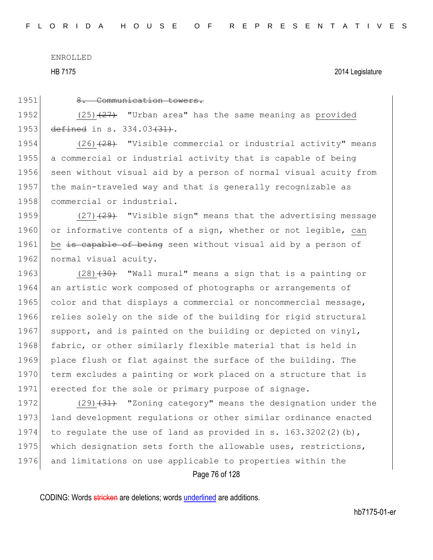HB 7175 2014 Legislature

1951 8. Communication towers.

1952 (25) $(25)$  (27) "Urban area" has the same meaning as provided 1953 defined in s. 334.03<del>(31)</del>.

 $(26)$   $(28)$  "Visible commercial or industrial activity" means a commercial or industrial activity that is capable of being seen without visual aid by a person of normal visual acuity from the main-traveled way and that is generally recognizable as 1958 commercial or industrial.

1959  $(27)$   $(29)$  "Visible sign" means that the advertising message 1960 or informative contents of a sign, whether or not legible, can 1961 be is capable of being seen without visual aid by a person of 1962 normal visual acuity.

1963  $(28)$   $(30)$  "Wall mural" means a sign that is a painting or 1964 an artistic work composed of photographs or arrangements of 1965 color and that displays a commercial or noncommercial message, 1966 relies solely on the side of the building for rigid structural 1967 support, and is painted on the building or depicted on vinyl, 1968 fabric, or other similarly flexible material that is held in 1969 place flush or flat against the surface of the building. The 1970 term excludes a painting or work placed on a structure that is 1971 erected for the sole or primary purpose of signage.

1972 (29)<del>(31)</del> "Zoning category" means the designation under the 1973 land development requiations or other similar ordinance enacted 1974 to regulate the use of land as provided in s. 163.3202(2)(b), 1975 which designation sets forth the allowable uses, restrictions, 1976 and limitations on use applicable to properties within the

Page 76 of 128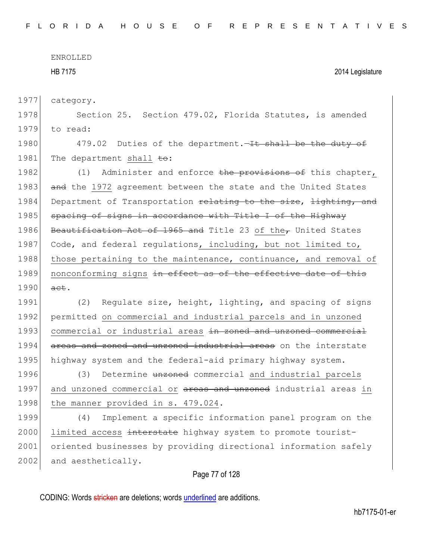HB 7175 2014 Legislature

1977 category.

1978 Section 25. Section 479.02, Florida Statutes, is amended 1979 to read:

1980 479.02 Duties of the department.—It shall be the duty of 1981 The department shall to:

1982 (1) Administer and enforce the provisions of this chapter, 1983 and the 1972 agreement between the state and the United States 1984 Department of Transportation relating to the size, lighting, and 1985 spacing of signs in accordance with Title I of the Highway 1986 Beautification Act of 1965 and Title 23 of the $_{\tau}$  United States 1987 Code, and federal regulations, including, but not limited to, 1988 those pertaining to the maintenance, continuance, and removal of 1989 nonconforming signs in effect as of the effective date of this 1990 act.

1991 (2) Regulate size, height, lighting, and spacing of signs 1992 permitted on commercial and industrial parcels and in unzoned 1993 commercial or industrial areas in zoned and unzoned commercial 1994 areas and zoned and unzoned industrial areas on the interstate 1995 highway system and the federal-aid primary highway system.

1996 (3) Determine unzoned commercial and industrial parcels 1997 and unzoned commercial or areas and unzoned industrial areas in 1998 | the manner provided in s. 479.024.

1999 (4) Implement a specific information panel program on the 2000 limited access interstate highway system to promote tourist-2001 oriented businesses by providing directional information safely 2002 and aesthetically.

# Page 77 of 128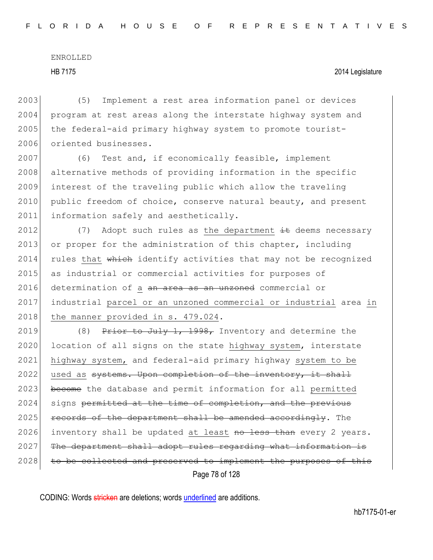## HB 7175 2014 Legislature

2003 (5) Implement a rest area information panel or devices 2004 program at rest areas along the interstate highway system and 2005 the federal-aid primary highway system to promote tourist-2006 oriented businesses.

2007 (6) Test and, if economically feasible, implement 2008 alternative methods of providing information in the specific 2009 interest of the traveling public which allow the traveling 2010 public freedom of choice, conserve natural beauty, and present 2011 information safely and aesthetically.

2012 (7) Adopt such rules as the department  $\pm\text{}$  deems necessary 2013 or proper for the administration of this chapter, including 2014 rules that which identify activities that may not be recognized 2015 as industrial or commercial activities for purposes of 2016 determination of a an area as an unzoned commercial or 2017 industrial parcel or an unzoned commercial or industrial area in 2018 the manner provided in s. 479.024.

Page 78 of 128 2019 (8) Prior to July 1, 1998, Inventory and determine the 2020 location of all signs on the state highway system, interstate 2021 highway system, and federal-aid primary highway system to be 2022 used as  $s$ ystems. Upon completion of the inventory, it shall 2023 become the database and permit information for all permitted 2024 signs permitted at the time of completion, and the previous  $2025$  records of the department shall be amended accordingly. The 2026 inventory shall be updated at least  $\frac{1}{100}$  than every 2 years. 2027 The department shall adopt rules regarding what information is 2028 to be collected and preserved to implement the purposes of this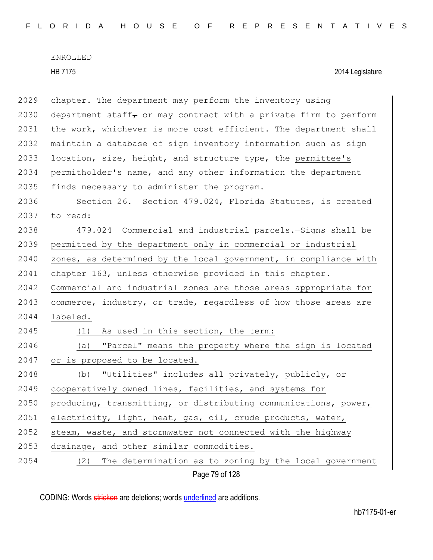Page 79 of 128 2029 chapter. The department may perform the inventory using 2030 department staff or may contract with a private firm to perform 2031 the work, whichever is more cost efficient. The department shall 2032 maintain a database of sign inventory information such as sign 2033 location, size, height, and structure type, the permittee's 2034 permitholder's name, and any other information the department 2035 finds necessary to administer the program. 2036 Section 26. Section 479.024, Florida Statutes, is created 2037 to read: 2038 479.024 Commercial and industrial parcels.—Signs shall be 2039 permitted by the department only in commercial or industrial 2040 zones, as determined by the local government, in compliance with 2041 chapter 163, unless otherwise provided in this chapter. 2042 Commercial and industrial zones are those areas appropriate for 2043 commerce, industry, or trade, regardless of how those areas are 2044 labeled. 2045 (1) As used in this section, the term: 2046 (a) "Parcel" means the property where the sign is located 2047 or is proposed to be located. 2048 (b) "Utilities" includes all privately, publicly, or 2049 cooperatively owned lines, facilities, and systems for 2050 producing, transmitting, or distributing communications, power, 2051 electricity, light, heat, gas, oil, crude products, water, 2052 steam, waste, and stormwater not connected with the highway 2053 drainage, and other similar commodities. 2054 (2) The determination as to zoning by the local government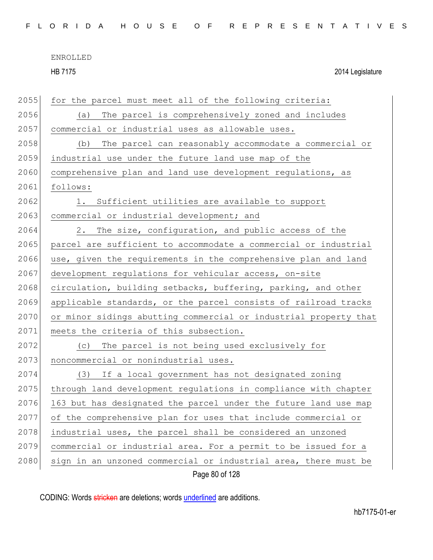HB 7175 2014 Legislature

| 2055 | for the parcel must meet all of the following criteria:          |
|------|------------------------------------------------------------------|
| 2056 | The parcel is comprehensively zoned and includes<br>(a)          |
| 2057 | commercial or industrial uses as allowable uses.                 |
| 2058 | (b)<br>The parcel can reasonably accommodate a commercial or     |
| 2059 | industrial use under the future land use map of the              |
| 2060 | comprehensive plan and land use development regulations, as      |
| 2061 | follows:                                                         |
| 2062 | Sufficient utilities are available to support<br>1.              |
| 2063 | commercial or industrial development; and                        |
| 2064 | 2. The size, configuration, and public access of the             |
| 2065 | parcel are sufficient to accommodate a commercial or industrial  |
| 2066 | use, given the requirements in the comprehensive plan and land   |
| 2067 | development regulations for vehicular access, on-site            |
| 2068 | circulation, building setbacks, buffering, parking, and other    |
| 2069 | applicable standards, or the parcel consists of railroad tracks  |
| 2070 | or minor sidings abutting commercial or industrial property that |
| 2071 | meets the criteria of this subsection.                           |
| 2072 | The parcel is not being used exclusively for<br>(C)              |
| 2073 | noncommercial or nonindustrial uses.                             |
| 2074 | (3) If a local government has not designated zoning              |
| 2075 | through land development regulations in compliance with chapter  |
| 2076 | 163 but has designated the parcel under the future land use map  |
| 2077 | of the comprehensive plan for uses that include commercial or    |
| 2078 | industrial uses, the parcel shall be considered an unzoned       |
| 2079 | commercial or industrial area. For a permit to be issued for a   |
| 2080 | sign in an unzoned commercial or industrial area, there must be  |
|      | Page 80 of 128                                                   |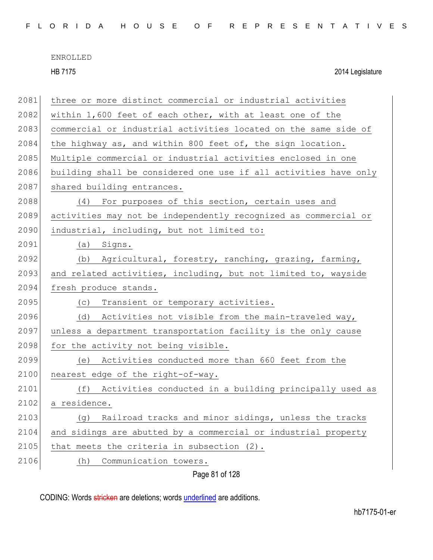|  |  |  |  |  |  | FLORIDA HOUSE OF REPRESENTATIVES |  |  |  |  |  |  |  |  |
|--|--|--|--|--|--|----------------------------------|--|--|--|--|--|--|--|--|
|  |  |  |  |  |  |                                  |  |  |  |  |  |  |  |  |

HB 7175 2014 Legislature

| 2081 | three or more distinct commercial or industrial activities       |
|------|------------------------------------------------------------------|
| 2082 | within 1,600 feet of each other, with at least one of the        |
| 2083 | commercial or industrial activities located on the same side of  |
| 2084 | the highway as, and within 800 feet of, the sign location.       |
| 2085 | Multiple commercial or industrial activities enclosed in one     |
| 2086 | building shall be considered one use if all activities have only |
| 2087 | shared building entrances.                                       |
| 2088 | (4) For purposes of this section, certain uses and               |
| 2089 | activities may not be independently recognized as commercial or  |
| 2090 | industrial, including, but not limited to:                       |
| 2091 | Signs.<br>(a)                                                    |
| 2092 | (b) Agricultural, forestry, ranching, grazing, farming,          |
| 2093 | and related activities, including, but not limited to, wayside   |
| 2094 | fresh produce stands.                                            |
| 2095 | Transient or temporary activities.<br>(C)                        |
| 2096 | Activities not visible from the main-traveled way,<br>(d)        |
| 2097 | unless a department transportation facility is the only cause    |
| 2098 | for the activity not being visible.                              |
| 2099 | Activities conducted more than 660 feet from the<br>(e)          |
| 2100 | nearest edge of the right-of-way.                                |
| 2101 | Activities conducted in a building principally used as<br>(f)    |
| 2102 | a residence.                                                     |
| 2103 | Railroad tracks and minor sidings, unless the tracks<br>(g)      |
| 2104 | and sidings are abutted by a commercial or industrial property   |
| 2105 | that meets the criteria in subsection (2).                       |
| 2106 | Communication towers.<br>(h)                                     |
|      | Page 81 of 128                                                   |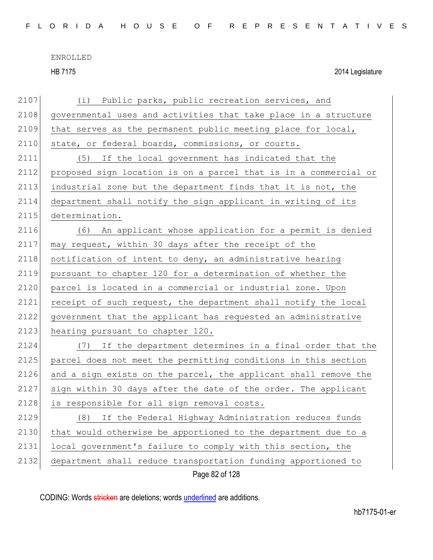HB 7175 2014 Legislature

| 2107 | (i) Public parks, public recreation services, and                |
|------|------------------------------------------------------------------|
| 2108 | governmental uses and activities that take place in a structure  |
| 2109 | that serves as the permanent public meeting place for local,     |
| 2110 | state, or federal boards, commissions, or courts.                |
| 2111 | If the local government has indicated that the<br>(5)            |
| 2112 | proposed sign location is on a parcel that is in a commercial or |
| 2113 | industrial zone but the department finds that it is not, the     |
| 2114 | department shall notify the sign applicant in writing of its     |
| 2115 | determination.                                                   |
| 2116 | (6) An applicant whose application for a permit is denied        |
| 2117 | may request, within 30 days after the receipt of the             |
| 2118 | notification of intent to deny, an administrative hearing        |
| 2119 | pursuant to chapter 120 for a determination of whether the       |
| 2120 | parcel is located in a commercial or industrial zone. Upon       |
| 2121 | receipt of such request, the department shall notify the local   |
| 2122 | government that the applicant has requested an administrative    |
| 2123 | hearing pursuant to chapter 120.                                 |
| 2124 | If the department determines in a final order that the<br>(7)    |
| 2125 | parcel does not meet the permitting conditions in this section   |
| 2126 | and a sign exists on the parcel, the applicant shall remove the  |
| 2127 | sign within 30 days after the date of the order. The applicant   |
| 2128 | is responsible for all sign removal costs.                       |
| 2129 | If the Federal Highway Administration reduces funds<br>(8)       |
| 2130 | that would otherwise be apportioned to the department due to a   |
| 2131 | local government's failure to comply with this section, the      |
| 2132 | department shall reduce transportation funding apportioned to    |
|      | Page 82 of 128                                                   |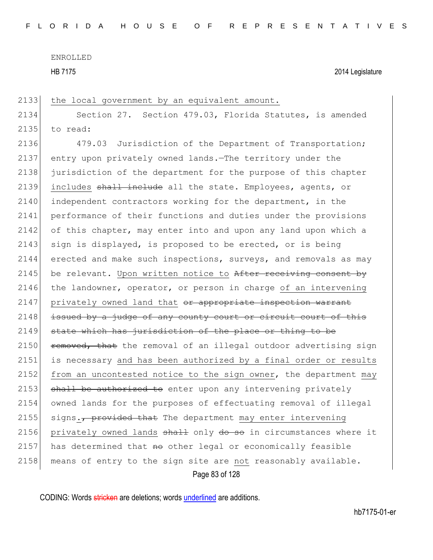HB 7175 2014 Legislature

2133 the local government by an equivalent amount.

2134 Section 27. Section 479.03, Florida Statutes, is amended 2135 to read:

Page 83 of 128 2136 479.03 Jurisdiction of the Department of Transportation; 2137 entry upon privately owned lands.—The territory under the 2138 jurisdiction of the department for the purpose of this chapter 2139 includes shall include all the state. Employees, agents, or 2140 independent contractors working for the department, in the 2141 performance of their functions and duties under the provisions 2142 of this chapter, may enter into and upon any land upon which a 2143 sign is displayed, is proposed to be erected, or is being 2144 erected and make such inspections, surveys, and removals as may 2145 be relevant. Upon written notice to  $After receiving consent by$ 2146 the landowner, operator, or person in charge of an intervening 2147 privately owned land that or appropriate inspection warrant 2148 | issued by a judge of any county court or circuit court of this  $2149$  state which has jurisdiction of the place or thing to be 2150  $r$  removed, that the removal of an illegal outdoor advertising sign 2151 is necessary and has been authorized by a final order or results 2152 from an uncontested notice to the sign owner, the department may 2153 shall be authorized to enter upon any intervening privately 2154 owned lands for the purposes of effectuating removal of illegal 2155 signs., provided that The department may enter intervening 2156 privately owned lands  $shall$  only  $do$  so in circumstances where it 2157 has determined that  $H$  other legal or economically feasible 2158 means of entry to the sign site are not reasonably available.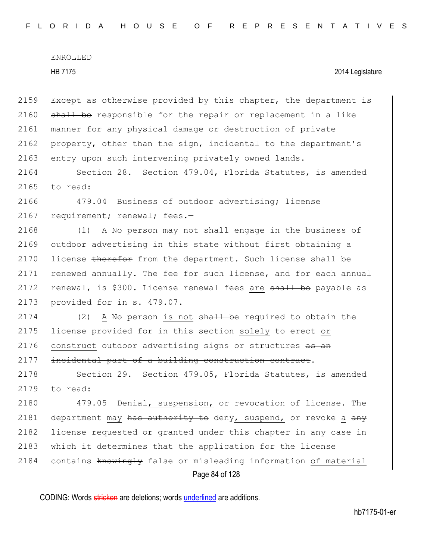2159 Except as otherwise provided by this chapter, the department is  $2160$  shall be responsible for the repair or replacement in a like 2161 manner for any physical damage or destruction of private 2162 property, other than the sign, incidental to the department's 2163 entry upon such intervening privately owned lands.

2164 Section 28. Section 479.04, Florida Statutes, is amended 2165 to read:

2166 479.04 Business of outdoor advertising; license 2167 requirement; renewal; fees.-

2168 (1) A No person may not  $shall$  engage in the business of 2169 outdoor advertising in this state without first obtaining a 2170 license therefor from the department. Such license shall be 2171 renewed annually. The fee for such license, and for each annual 2172 renewal, is \$300. License renewal fees are shall be payable as 2173 provided for in s. 479.07.

 $2174$  (2) A No person is not shall be required to obtain the 2175 license provided for in this section solely to erect or 2176 construct outdoor advertising signs or structures as an 2177 incidental part of a building construction contract.

2178 Section 29. Section 479.05, Florida Statutes, is amended 2179 to read:

Page 84 of 128 2180 479.05 Denial, suspension, or revocation of license. The 2181 department may has authority to deny, suspend, or revoke a  $\frac{a}{a}$ 2182 license requested or granted under this chapter in any case in 2183 which it determines that the application for the license 2184 contains knowingly false or misleading information of material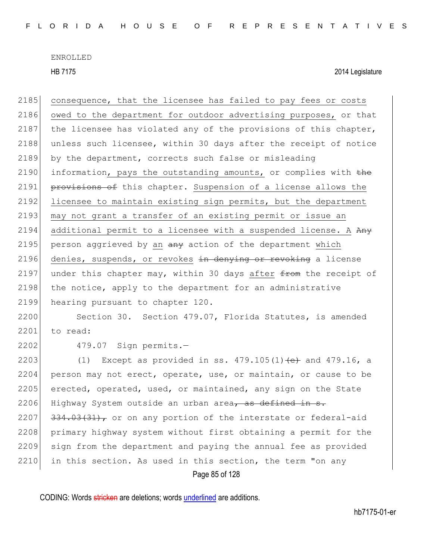HB 7175 2014 Legislature

2185 consequence, that the licensee has failed to pay fees or costs 2186 owed to the department for outdoor advertising purposes, or that 2187 the licensee has violated any of the provisions of this chapter, 2188 unless such licensee, within 30 days after the receipt of notice 2189 by the department, corrects such false or misleading 2190 information, pays the outstanding amounts, or complies with  $the$ 2191 **provisions of** this chapter. Suspension of a license allows the 2192 licensee to maintain existing sign permits, but the department 2193 may not grant a transfer of an existing permit or issue an 2194 additional permit to a licensee with a suspended license. A  $A_{\text{H}}$ 2195 person aggrieved by an  $\frac{any}{x}$  action of the department which 2196 denies, suspends, or revokes in denying or revoking a license 2197 under this chapter may, within 30 days after  $f$  to the receipt of  $2198$  the notice, apply to the department for an administrative 2199 hearing pursuant to chapter 120.

2200 Section 30. Section 479.07, Florida Statutes, is amended 2201 to read:

2202 479.07 Sign permits.—

2203 (1) Except as provided in ss.  $479.105(1)$  (e) and  $479.16$ , a 2204 person may not erect, operate, use, or maintain, or cause to be 2205 erected, operated, used, or maintained, any sign on the State 2206 Highway System outside an urban area, as defined in  $s$ . 2207  $\left| \frac{334.03(31)}{200} \right|$ , or on any portion of the interstate or federal-aid 2208 primary highway system without first obtaining a permit for the 2209 sign from the department and paying the annual fee as provided 2210 in this section. As used in this section, the term "on any

Page 85 of 128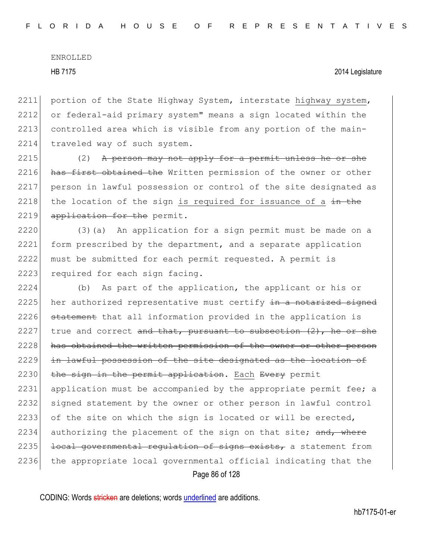### HB 7175 2014 Legislature

2211 portion of the State Highway System, interstate highway system, 2212 or federal-aid primary system" means a sign located within the 2213 controlled area which is visible from any portion of the main-2214 traveled way of such system.

 $2215$  (2) A person may not apply for a permit unless he or she 2216 has first obtained the Written permission of the owner or other 2217 person in lawful possession or control of the site designated as 2218 the location of the sign is required for issuance of a  $\pm$ n the 2219 application for the permit.

 $(3)(a)$  An application for a sign permit must be made on a form prescribed by the department, and a separate application must be submitted for each permit requested. A permit is 2223 required for each sign facing.

Page 86 of 128 2224 (b) As part of the application, the applicant or his or 2225 her authorized representative must certify  $\frac{1}{x}$  a notarized signed 2226 statement that all information provided in the application is 2227 true and correct and that, pursuant to subsection  $(2)$ , he or she 2228 has obtained the written permission of the owner or other person 2229 in lawful possession of the site designated as the location of 2230 the sign in the permit application. Each Every permit 2231 application must be accompanied by the appropriate permit fee; a 2232 signed statement by the owner or other person in lawful control 2233 of the site on which the sign is located or will be erected, 2234 authorizing the placement of the sign on that site;  $\frac{1}{2}$  where  $2235$  <del>local governmental regulation of signs exists,</del> a statement from 2236 the appropriate local governmental official indicating that the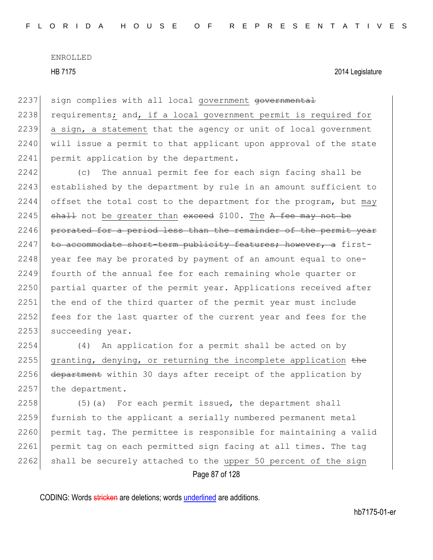HB 7175 2014 Legislature

2237 sign complies with all local government governmental 2238 requirements; and, if a local government permit is required for 2239 a sign, a statement that the agency or unit of local government 2240 will issue a permit to that applicant upon approval of the state 2241 permit application by the department.

2242 (c) The annual permit fee for each sign facing shall be 2243 established by the department by rule in an amount sufficient to 2244 offset the total cost to the department for the program, but may  $2245$  shall not be greater than exceed \$100. The A fee may not be 2246 prorated for a period less than the remainder of the permit year  $2247$  to accommodate short-term publicity features; however, a first- $2248$  year fee may be prorated by payment of an amount equal to one-2249 fourth of the annual fee for each remaining whole quarter or 2250 partial quarter of the permit year. Applications received after 2251 the end of the third quarter of the permit year must include 2252 fees for the last quarter of the current year and fees for the 2253 succeeding year.

2254 (4) An application for a permit shall be acted on by 2255 granting, denying, or returning the incomplete application  $t$ he 2256 department within 30 days after receipt of the application by 2257 the department.

Page 87 of 128 2258 (5)(a) For each permit issued, the department shall 2259 furnish to the applicant a serially numbered permanent metal 2260 permit tag. The permittee is responsible for maintaining a valid 2261 permit tag on each permitted sign facing at all times. The tag  $2262$  shall be securely attached to the upper 50 percent of the sign

CODING: Words stricken are deletions; words underlined are additions.

hb7175-01-er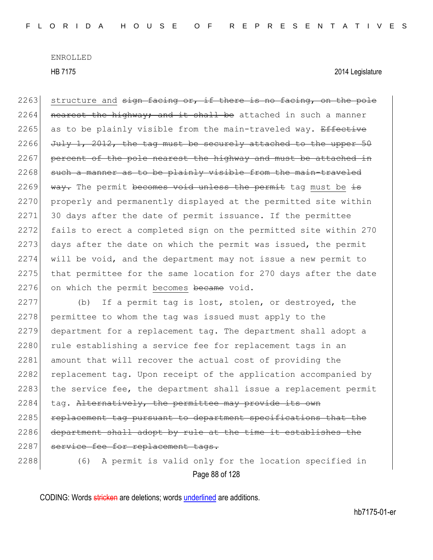HB 7175 2014 Legislature

2263 structure and sign facing or, if there is no facing, on the pole  $2264$  nearest the highway; and it shall be attached in such a manner 2265 as to be plainly visible from the main-traveled way. Effective 2266 July 1, 2012, the tag must be securely attached to the upper  $50$ 2267 percent of the pole nearest the highway and must be attached in  $2268$  such a manner as to be plainly visible from the main-traveled 2269 way. The permit becomes void unless the permit tag must be  $\pm s$ 2270 properly and permanently displayed at the permitted site within 2271 30 days after the date of permit issuance. If the permittee 2272 fails to erect a completed sign on the permitted site within 270 2273 days after the date on which the permit was issued, the permit 2274 will be void, and the department may not issue a new permit to  $2275$  that permittee for the same location for 270 days after the date 2276 on which the permit becomes became void.

2277 (b) If a permit tag is lost, stolen, or destroyed, the 2278 permittee to whom the tag was issued must apply to the 2279 department for a replacement tag. The department shall adopt a 2280 rule establishing a service fee for replacement tags in an 2281 amount that will recover the actual cost of providing the 2282 replacement tag. Upon receipt of the application accompanied by 2283 the service fee, the department shall issue a replacement permit  $2284$  tag. Alternatively, the permittee may provide its own 2285 replacement tag pursuant to department specifications that the 2286 department shall adopt by rule at the time it establishes the 2287 service fee for replacement tags. 2288 (6) A permit is valid only for the location specified in

Page 88 of 128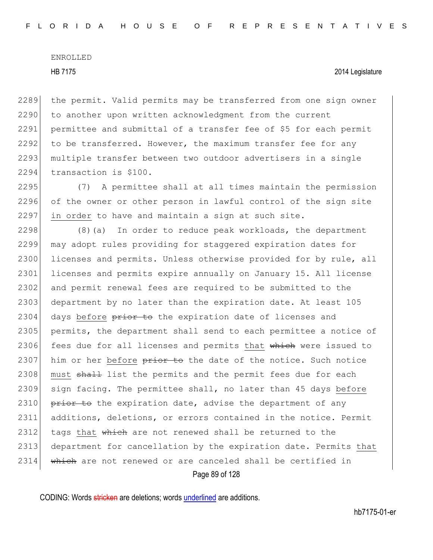### HB 7175 2014 Legislature

2289 the permit. Valid permits may be transferred from one sign owner 2290 to another upon written acknowledgment from the current 2291 permittee and submittal of a transfer fee of \$5 for each permit 2292 to be transferred. However, the maximum transfer fee for any 2293 multiple transfer between two outdoor advertisers in a single 2294 transaction is \$100.

2295 (7) A permittee shall at all times maintain the permission 2296 of the owner or other person in lawful control of the sign site 2297 in order to have and maintain a sign at such site.

Page 89 of 128 2298  $(8)(a)$  In order to reduce peak workloads, the department 2299 may adopt rules providing for staggered expiration dates for 2300 licenses and permits. Unless otherwise provided for by rule, all 2301 licenses and permits expire annually on January 15. All license 2302 and permit renewal fees are required to be submitted to the 2303 department by no later than the expiration date. At least 105  $2304$  days before  $\frac{1}{200}$  the expiration date of licenses and 2305 permits, the department shall send to each permittee a notice of 2306 fees due for all licenses and permits that which were issued to 2307 him or her before prior to the date of the notice. Such notice 2308 must shall list the permits and the permit fees due for each 2309 sign facing. The permittee shall, no later than 45 days before 2310  $\overline{p}$  prior to the expiration date, advise the department of any 2311 additions, deletions, or errors contained in the notice. Permit 2312 tags that  $\frac{1}{2}$  which are not renewed shall be returned to the 2313 department for cancellation by the expiration date. Permits that 2314 which are not renewed or are canceled shall be certified in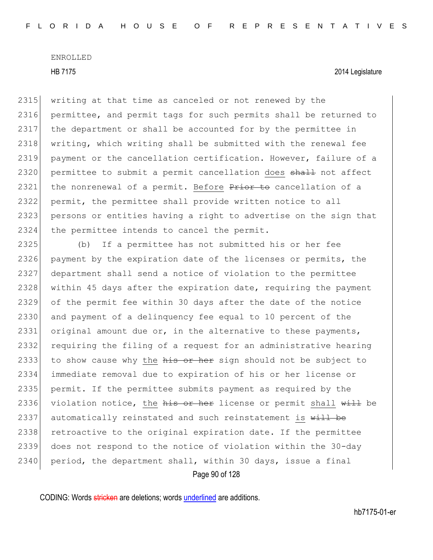2315 writing at that time as canceled or not renewed by the 2316 permittee, and permit tags for such permits shall be returned to 2317 the department or shall be accounted for by the permittee in 2318 | writing, which writing shall be submitted with the renewal fee 2319 payment or the cancellation certification. However, failure of a 2320 permittee to submit a permit cancellation does shall not affect 2321 the nonrenewal of a permit. Before Prior to cancellation of a 2322 permit, the permittee shall provide written notice to all 2323 persons or entities having a right to advertise on the sign that 2324 the permittee intends to cancel the permit.

2325 (b) If a permittee has not submitted his or her fee 2326 payment by the expiration date of the licenses or permits, the 2327 department shall send a notice of violation to the permittee 2328 within 45 days after the expiration date, requiring the payment 2329 of the permit fee within 30 days after the date of the notice 2330 and payment of a delinquency fee equal to 10 percent of the 2331 original amount due or, in the alternative to these payments, 2332 requiring the filing of a request for an administrative hearing 2333 to show cause why the  $h$ is or her sign should not be subject to 2334 immediate removal due to expiration of his or her license or 2335 permit. If the permittee submits payment as required by the 2336 violation notice, the his or her license or permit shall  $\overline{with}$  be 2337 automatically reinstated and such reinstatement is  $\frac{11}{100}$  be 2338 retroactive to the original expiration date. If the permittee 2339 does not respond to the notice of violation within the 30-day  $2340$  period, the department shall, within 30 days, issue a final

Page 90 of 128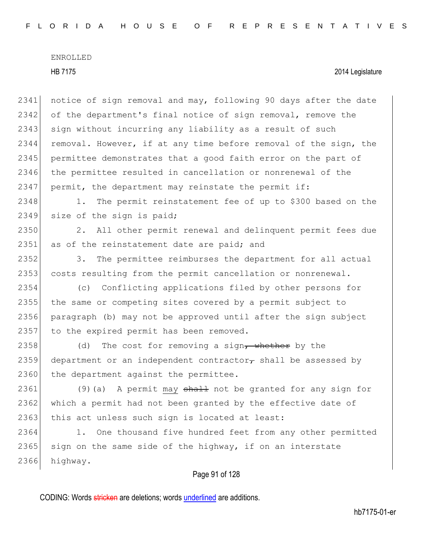## HB 7175 2014 Legislature

2341 notice of sign removal and may, following 90 days after the date 2342 of the department's final notice of sign removal, remove the 2343 sign without incurring any liability as a result of such 2344 removal. However, if at any time before removal of the sign, the 2345 permittee demonstrates that a good faith error on the part of 2346 the permittee resulted in cancellation or nonrenewal of the 2347 permit, the department may reinstate the permit if:

2348 1. The permit reinstatement fee of up to \$300 based on the 2349 size of the sign is paid;

2350 2. All other permit renewal and delinquent permit fees due 2351 as of the reinstatement date are paid; and

2352 3. The permittee reimburses the department for all actual 2353 costs resulting from the permit cancellation or nonrenewal.

 (c) Conflicting applications filed by other persons for the same or competing sites covered by a permit subject to paragraph (b) may not be approved until after the sign subject 2357 to the expired permit has been removed.

2358 (d) The cost for removing a sign, whether by the 2359 department or an independent contractor<sub>r</sub> shall be assessed by 2360 the department against the permittee.

2361 (9) (a) A permit may shall not be granted for any sign for 2362 which a permit had not been granted by the effective date of 2363 this act unless such sign is located at least:

2364 1. One thousand five hundred feet from any other permitted  $2365$  sign on the same side of the highway, if on an interstate 2366 highway.

# Page 91 of 128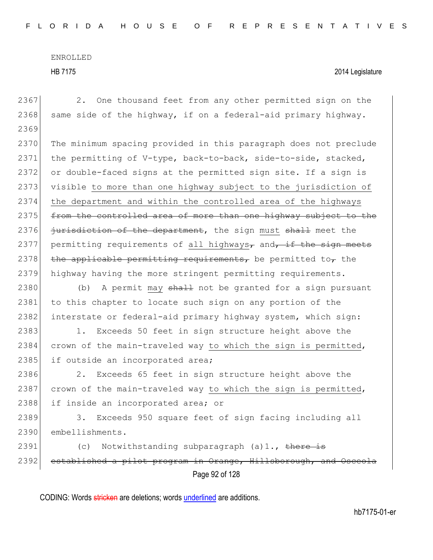Page 92 of 128 2367 2. One thousand feet from any other permitted sign on the 2368 same side of the highway, if on a federal-aid primary highway. 2369 2370 The minimum spacing provided in this paragraph does not preclude 2371 the permitting of V-type, back-to-back, side-to-side, stacked, 2372 or double-faced signs at the permitted sign site. If a sign is 2373 visible to more than one highway subject to the jurisdiction of 2374 the department and within the controlled area of the highways 2375 from the controlled area of more than one highway subject to the 2376 jurisdiction of the department, the sign must shall meet the 2377 permitting requirements of all highways<sub> $\tau$ </sub> and $\tau$  if the sign meets 2378 the applicable permitting requirements, be permitted to, the 2379 highway having the more stringent permitting requirements. 2380 (b) A permit may shall not be granted for a sign pursuant 2381 to this chapter to locate such sign on any portion of the 2382 | interstate or federal-aid primary highway system, which sign: 2383 1. Exceeds 50 feet in sign structure height above the 2384 crown of the main-traveled way to which the sign is permitted, 2385 if outside an incorporated area; 2386 2. Exceeds 65 feet in sign structure height above the 2387 crown of the main-traveled way to which the sign is permitted, 2388 if inside an incorporated area; or 2389 3. Exceeds 950 square feet of sign facing including all 2390 embellishments. 2391 (c) Notwithstanding subparagraph (a)1., there is 2392 established a pilot program in Orange, Hillsborough, and Osceola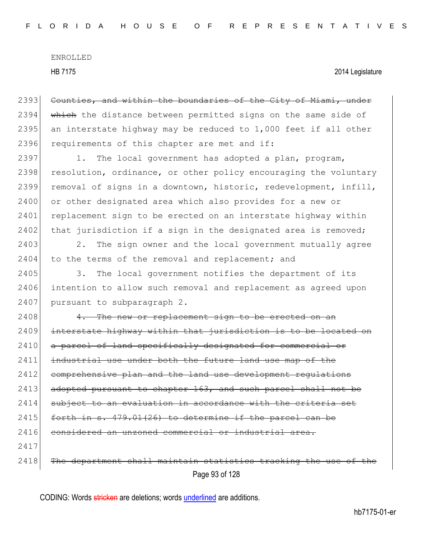2393 Counties, and within the boundaries of the City of Miami, under 2394 which the distance between permitted signs on the same side of 2395 an interstate highway may be reduced to 1,000 feet if all other 2396 requirements of this chapter are met and if:

2397 1. The local government has adopted a plan, program, 2398 resolution, ordinance, or other policy encouraging the voluntary 2399 removal of signs in a downtown, historic, redevelopment, infill, 2400 or other designated area which also provides for a new or 2401 replacement sign to be erected on an interstate highway within  $2402$  that jurisdiction if a sign in the designated area is removed;

2403 2. The sign owner and the local government mutually agree 2404 to the terms of the removal and replacement; and

2405 3. The local government notifies the department of its 2406 intention to allow such removal and replacement as agreed upon 2407 pursuant to subparagraph 2.

Page 93 of 128  $2408$  4. The new or replacement sign to be erected on an 2409 interstate highway within that jurisdiction is to be located on 2410 a parcel of land specifically designated for commercial or 2411 industrial use under both the future land use map of the 2412 comprehensive plan and the land use development requiations 2413 adopted pursuant to chapter 163, and such parcel shall not be 2414 subject to an evaluation in accordance with the criteria set 2415  $\vert$  forth in s. 479.01(26) to determine if the parcel can be 2416 considered an unzoned commercial or industrial 2417 2418 The department shall maintain statistics tracking the use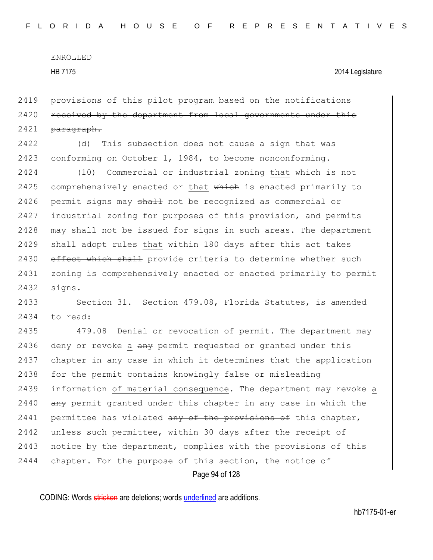2419 provisions of this pilot program based on the notifications  $2420$  received by the department from local governments under 2421 paragraph.

2422 (d) This subsection does not cause a sign that was 2423 conforming on October 1, 1984, to become nonconforming.

2424 (10) Commercial or industrial zoning that which is not 2425 comprehensively enacted or that which is enacted primarily to 2426 permit signs may shall not be recognized as commercial or 2427 industrial zoning for purposes of this provision, and permits 2428 may  $\frac{1}{2428}$  not be issued for signs in such areas. The department  $2429$  shall adopt rules that within 180 days after this act takes 2430 effect which shall provide criteria to determine whether such 2431 zoning is comprehensively enacted or enacted primarily to permit 2432 signs.

2433 Section 31. Section 479.08, Florida Statutes, is amended 2434 to read:

Page 94 of 128 2435 479.08 Denial or revocation of permit. The department may 2436 deny or revoke a  $\frac{a}{b}$  permit requested or granted under this 2437 chapter in any case in which it determines that the application 2438 for the permit contains  $km \rightarrow m$  false or misleading 2439 information of material consequence. The department may revoke a  $2440$  any permit granted under this chapter in any case in which the 2441 permittee has violated  $\frac{1}{2}$  and  $\frac{1}{2}$  be provisions of this chapter, 2442 unless such permittee, within 30 days after the receipt of 2443 notice by the department, complies with the provisions of this 2444 chapter. For the purpose of this section, the notice of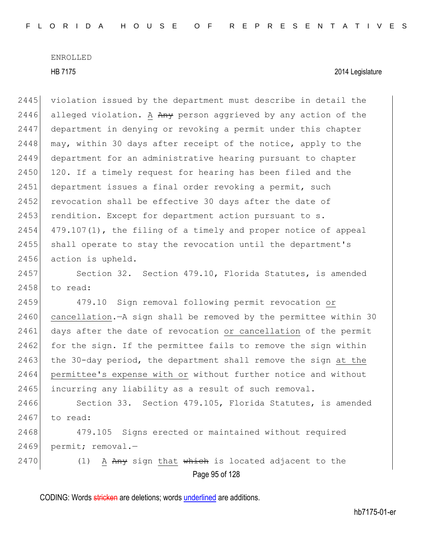Page 95 of 128 2445 violation issued by the department must describe in detail the 2446 alleged violation. A  $Any$  person aggrieved by any action of the 2447 department in denying or revoking a permit under this chapter 2448  $\mid$  may, within 30 days after receipt of the notice, apply to the 2449 department for an administrative hearing pursuant to chapter 2450 120. If a timely request for hearing has been filed and the 2451 department issues a final order revoking a permit, such 2452 revocation shall be effective 30 days after the date of 2453 rendition. Except for department action pursuant to s.  $2454$  479.107(1), the filing of a timely and proper notice of appeal 2455 shall operate to stay the revocation until the department's 2456 action is upheld. 2457 Section 32. Section 479.10, Florida Statutes, is amended 2458 to read: 2459 479.10 Sign removal following permit revocation or 2460 cancellation.—A sign shall be removed by the permittee within 30 2461 days after the date of revocation or cancellation of the permit 2462 for the sign. If the permittee fails to remove the sign within 2463 the 30-day period, the department shall remove the sign at the 2464 permittee's expense with or without further notice and without 2465 incurring any liability as a result of such removal. 2466 Section 33. Section 479.105, Florida Statutes, is amended  $2467$  to read: 2468 479.105 Signs erected or maintained without required 2469 permit; removal.-2470 (1) A  $A_{\text{H}}$  any sign that which is located adjacent to the

CODING: Words stricken are deletions; words underlined are additions.

hb7175-01-er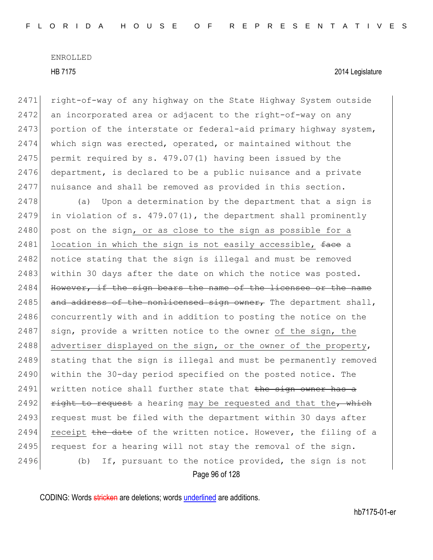right-of-way of any highway on the State Highway System outside an incorporated area or adjacent to the right-of-way on any 2473 portion of the interstate or federal-aid primary highway system, which sign was erected, operated, or maintained without the permit required by s. 479.07(1) having been issued by the department, is declared to be a public nuisance and a private nuisance and shall be removed as provided in this section.

 $2478$  (a) Upon a determination by the department that a sign is 2479 in violation of s. 479.07(1), the department shall prominently 2480 post on the sign, or as close to the sign as possible for a 2481 location in which the sign is not easily accessible,  $f$ ace a 2482 notice stating that the sign is illegal and must be removed 2483 within 30 days after the date on which the notice was posted.  $2484$  However, if the sign bears the name of the licensee or the name 2485 and address of the nonlicensed sign owner, The department shall, 2486 concurrently with and in addition to posting the notice on the  $2487$  sign, provide a written notice to the owner of the sign, the 2488 advertiser displayed on the sign, or the owner of the property, 2489 stating that the sign is illegal and must be permanently removed 2490 within the 30-day period specified on the posted notice. The  $2491$  written notice shall further state that the sign owner has a 2492  $r$  right to request a hearing may be requested and that the, which 2493 request must be filed with the department within 30 days after 2494 receipt  $t$ he date of the written notice. However, the filing of a 2495 request for a hearing will not stay the removal of the sign. 2496 (b) If, pursuant to the notice provided, the sign is not

Page 96 of 128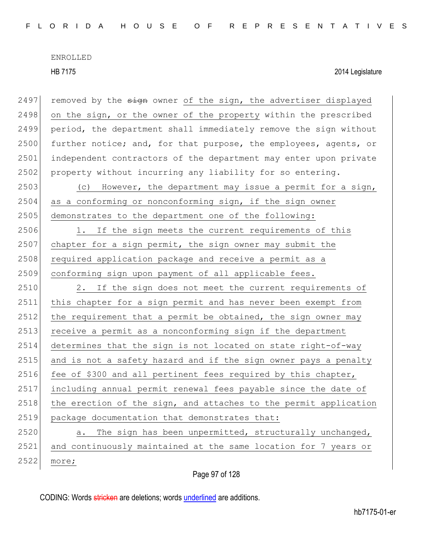2497 removed by the  $s_{\text{i}}$  owner of the sign, the advertiser displayed 2498 on the sign, or the owner of the property within the prescribed 2499 period, the department shall immediately remove the sign without 2500 further notice; and, for that purpose, the employees, agents, or 2501 independent contractors of the department may enter upon private 2502 property without incurring any liability for so entering. 2503 (c) However, the department may issue a permit for a sign,  $2504$  as a conforming or nonconforming sign, if the sign owner 2505 demonstrates to the department one of the following: 2506 1. If the sign meets the current requirements of this 2507 chapter for a sign permit, the sign owner may submit the 2508 required application package and receive a permit as a 2509 conforming sign upon payment of all applicable fees. 2510 2. If the sign does not meet the current requirements of 2511 this chapter for a sign permit and has never been exempt from  $2512$  the requirement that a permit be obtained, the sign owner may 2513 receive a permit as a nonconforming sign if the department 2514 determines that the sign is not located on state right-of-way 2515 and is not a safety hazard and if the sign owner pays a penalty 2516 fee of \$300 and all pertinent fees required by this chapter, 2517 including annual permit renewal fees payable since the date of  $2518$  the erection of the sign, and attaches to the permit application 2519 package documentation that demonstrates that:  $2520$  a. The sign has been unpermitted, structurally unchanged, 2521 and continuously maintained at the same location for 7 years or 2522 more;

Page 97 of 128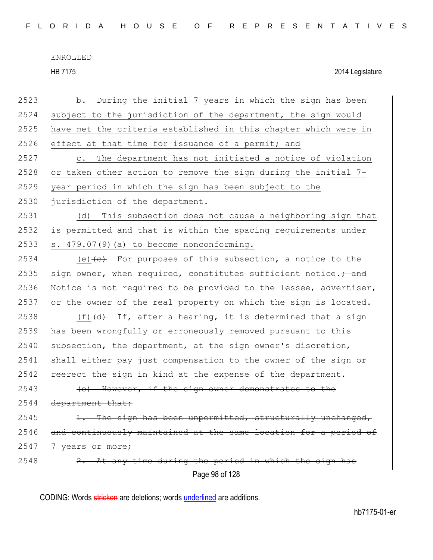HB 7175 2014 Legislature

Page 98 of 128 2523 b. During the initial 7 years in which the sign has been 2524 subject to the jurisdiction of the department, the sign would 2525 have met the criteria established in this chapter which were in 2526 effect at that time for issuance of a permit; and 2527 c. The department has not initiated a notice of violation 2528 or taken other action to remove the sign during the initial 7-2529 year period in which the sign has been subject to the 2530 jurisdiction of the department. 2531 (d) This subsection does not cause a neighboring sign that 2532 is permitted and that is within the spacing requirements under  $2533$  s.  $479.07(9)$  (a) to become nonconforming. 2534  $(e)$  + For purposes of this subsection, a notice to the 2535 sign owner, when required, constitutes sufficient notice. $\div$  and 2536 Notice is not required to be provided to the lessee, advertiser, 2537 or the owner of the real property on which the sign is located. 2538 (f) $\left(\frac{d}{dt}\right)$  If, after a hearing, it is determined that a sign 2539 has been wrongfully or erroneously removed pursuant to this  $2540$  subsection, the department, at the sign owner's discretion, 2541 shall either pay just compensation to the owner of the sign or 2542 reerect the sign in kind at the expense of the department. 2543 (e) However, if the sign owner demonstrates to the 2544 department that:  $2545$  1. The sign has been unpermitted, structurally unchanged,  $2546$  and continuously maintained at the same location for a period  $2547$   $7$  years or more;  $2548$  2. At any time during the period in which the sign has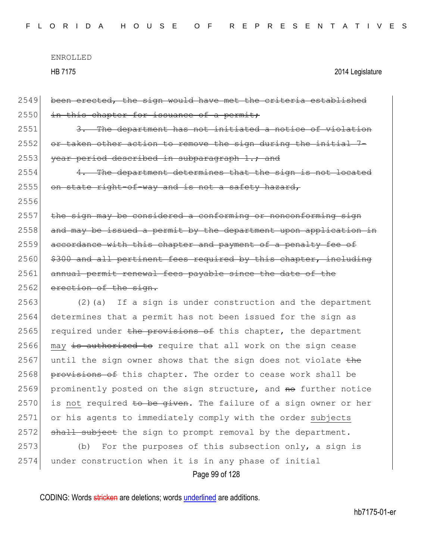Page 99 of 128 2549 been erected, the sign would have met the criteria established  $2550$  in this chapter for issuance of a permit; 2551 3. The department has not initiated a notice of violation  $2552$  or taken other action to remove the sign during the initial 2553 year period described in subparagraph 1.; and  $2554$  4. The department determines that the sign is not  $2555$  on state right-of-way and is not a safety hazard, 2556  $2557$  the sign may be considered a conforming or nonconforming sign  $2558$  and may be issued a permit by the department upon application in 2559 accordance with this chapter and payment of a penalty fee of 2560 \$300 and all pertinent fees required by this chapter, including 2561 annual permit renewal fees payable since the date of the 2562 erection of the sign. 2563 (2)(a) If a sign is under construction and the department 2564 determines that a permit has not been issued for the sign as 2565 required under the provisions of this chapter, the department  $2566$  may is authorized to require that all work on the sign cease 2567 until the sign owner shows that the sign does not violate  $t$ he 2568 provisions of this chapter. The order to cease work shall be  $2569$  prominently posted on the sign structure, and  $ne$  further notice 2570 is not required to be given. The failure of a sign owner or her 2571 or his agents to immediately comply with the order subjects  $2572$  shall subject the sign to prompt removal by the department. 2573 (b) For the purposes of this subsection only, a sign is 2574 under construction when it is in any phase of initial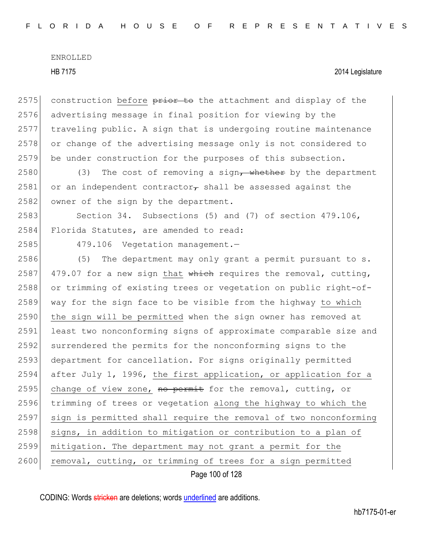2575 construction before  $\frac{1}{x}$  be attachment and display of the 2576 advertising message in final position for viewing by the 2577 traveling public. A sign that is undergoing routine maintenance 2578 or change of the advertising message only is not considered to 2579 be under construction for the purposes of this subsection.

 $2580$  (3) The cost of removing a sign, whether by the department 2581 or an independent contractor $\tau$  shall be assessed against the 2582 owner of the sign by the department.

2583 Section 34. Subsections (5) and (7) of section 479.106, 2584 Florida Statutes, are amended to read:

2585 479.106 Vegetation management.—

2586 (5) The department may only grant a permit pursuant to s. 2587 479.07 for a new sign that which requires the removal, cutting, 2588 or trimming of existing trees or vegetation on public right-of-2589 way for the sign face to be visible from the highway to which 2590 the sign will be permitted when the sign owner has removed at 2591 least two nonconforming signs of approximate comparable size and 2592 surrendered the permits for the nonconforming signs to the 2593 department for cancellation. For signs originally permitted 2594 after July 1, 1996, the first application, or application for a 2595 change of view zone, no permit for the removal, cutting, or 2596 trimming of trees or vegetation along the highway to which the 2597 sign is permitted shall require the removal of two nonconforming 2598 signs, in addition to mitigation or contribution to a plan of 2599 mitigation. The department may not grant a permit for the 2600 removal, cutting, or trimming of trees for a sign permitted

Page 100 of 128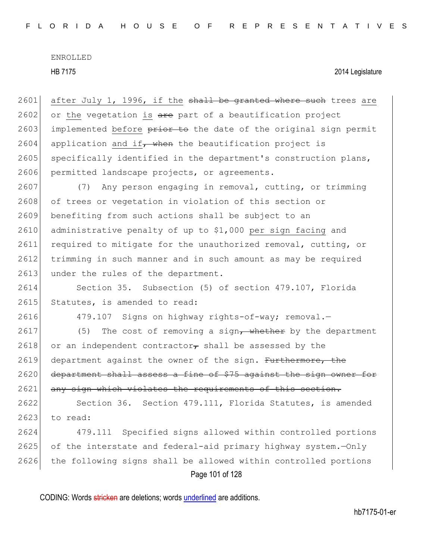2601 after July 1, 1996, if the shall be granted where such trees are 2602 or the vegetation is  $are$  part of a beautification project 2603 implemented before prior to the date of the original sign permit 2604 application and if, when the beautification project is 2605 specifically identified in the department's construction plans, 2606 permitted landscape projects, or agreements.

2607 (7) Any person engaging in removal, cutting, or trimming 2608 of trees or vegetation in violation of this section or 2609 benefiting from such actions shall be subject to an 2610 administrative penalty of up to \$1,000 per sign facing and 2611 required to mitigate for the unauthorized removal, cutting, or 2612 trimming in such manner and in such amount as may be required 2613 under the rules of the department.

2614 Section 35. Subsection (5) of section 479.107, Florida 2615 Statutes, is amended to read:

2616 479.107 Signs on highway rights-of-way; removal.

2617 (5) The cost of removing a sign, whether by the department 2618 or an independent contractor, shall be assessed by the 2619 department against the owner of the sign. Furthermore, the 2620 department shall assess a fine of \$75 against the sign owner for 2621 any sign which violates the requirements of this section.

2622 Section 36. Section 479.111, Florida Statutes, is amended  $2623$  to read:

Page 101 of 128 479.111 Specified signs allowed within controlled portions of the interstate and federal-aid primary highway system.—Only the following signs shall be allowed within controlled portions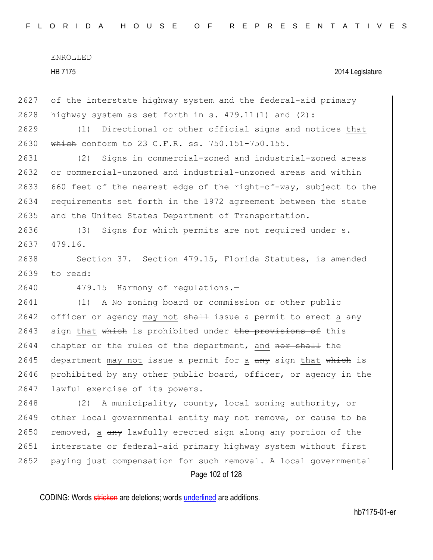HB 7175 2014 Legislature

2627 of the interstate highway system and the federal-aid primary 2628 highway system as set forth in s.  $479.11(1)$  and  $(2)$ :

2629 (1) Directional or other official signs and notices that 2630 which conform to 23 C.F.R. ss. 750.151-750.155.

2631 (2) Signs in commercial-zoned and industrial-zoned areas 2632 or commercial-unzoned and industrial-unzoned areas and within 2633 660 feet of the nearest edge of the right-of-way, subject to the 2634 requirements set forth in the 1972 agreement between the state 2635 and the United States Department of Transportation.

2636 (3) Signs for which permits are not required under s. 2637 479.16.

2638 Section 37. Section 479.15, Florida Statutes, is amended 2639 to read:

2640 479.15 Harmony of regulations.-

2641 (1) A No zoning board or commission or other public  $2642$  officer or agency may not  $shall$  issue a permit to erect a  $an y$ 2643 sign that which is prohibited under the provisions of this 2644 chapter or the rules of the department, and nor shall the 2645 department may not issue a permit for a any sign that which is 2646 prohibited by any other public board, officer, or agency in the 2647 lawful exercise of its powers.

Page 102 of 128 2648 (2) A municipality, county, local zoning authority, or 2649 other local governmental entity may not remove, or cause to be 2650 removed, a  $a_{\text{H}}$  lawfully erected sign along any portion of the 2651 interstate or federal-aid primary highway system without first 2652 paying just compensation for such removal. A local governmental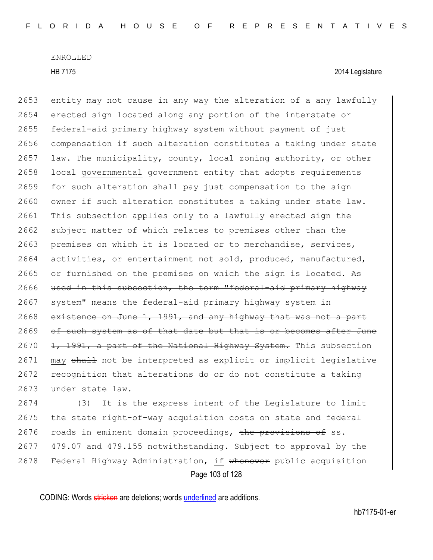2653 entity may not cause in any way the alteration of a  $\frac{a}{a}$  lawfully 2654 erected sign located along any portion of the interstate or 2655 federal-aid primary highway system without payment of just 2656 compensation if such alteration constitutes a taking under state  $2657$  law. The municipality, county, local zoning authority, or other 2658 local governmental government entity that adopts requirements 2659 for such alteration shall pay just compensation to the sign 2660 owner if such alteration constitutes a taking under state law. 2661 This subsection applies only to a lawfully erected sign the 2662 subject matter of which relates to premises other than the 2663 premises on which it is located or to merchandise, services, 2664 activities, or entertainment not sold, produced, manufactured, 2665 or furnished on the premises on which the sign is located. As 2666 used in this subsection, the term "federal-aid primary highway 2667 system" means the federal-aid primary highway system in 2668 existence on June 1, 1991, and any highway that was not a part 2669 of such system as of that date but that is or becomes after June 2670  $\left| \frac{1}{1} \right|$ ,  $\frac{1991}{10}$ , a part of the National Highway System. This subsection 2671 may shall not be interpreted as explicit or implicit legislative 2672 recognition that alterations do or do not constitute a taking 2673 under state law.

Page 103 of 128 2674 (3) It is the express intent of the Legislature to limit 2675 the state right-of-way acquisition costs on state and federal 2676 roads in eminent domain proceedings, the provisions of ss. 2677 479.07 and 479.155 notwithstanding. Subject to approval by the 2678 Federal Highway Administration, if whenever public acquisition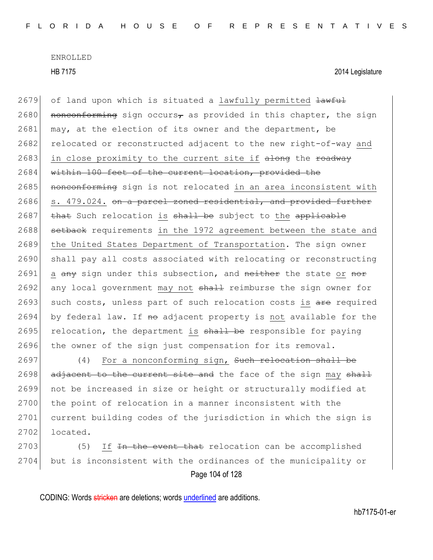HB 7175 2014 Legislature

 $2679$  of land upon which is situated a lawfully permitted  $\frac{1}{4}$ 2680 nonconforming sign occurs<sub> $\tau$ </sub> as provided in this chapter, the sign 2681 may, at the election of its owner and the department, be 2682 relocated or reconstructed adjacent to the new right-of-way and 2683 in close proximity to the current site if along the roadway 2684 within 100 feet of the current location, provided the 2685 nonconforming sign is not relocated in an area inconsistent with 2686 s. 479.024. on a parcel zoned residential, and provided further  $2687$  that Such relocation is shall be subject to the applicable 2688 setback requirements in the 1972 agreement between the state and 2689 the United States Department of Transportation. The sign owner 2690 shall pay all costs associated with relocating or reconstructing 2691 a  $\frac{any}{any}$  sign under this subsection, and  $\frac{ne\pm1}{ne\pm1}$  the state or  $\frac{not}{not}$ 2692 any local government may not shall reimburse the sign owner for 2693 such costs, unless part of such relocation costs is are required  $2694$  by federal law. If no adjacent property is not available for the 2695 relocation, the department is  $shall$  be responsible for paying 2696 the owner of the sign just compensation for its removal.

2697 (4) For a nonconforming sign, Such relocation shall be  $2698$  adjacent to the current site and the face of the sign may shall 2699 not be increased in size or height or structurally modified at 2700 the point of relocation in a manner inconsistent with the 2701 current building codes of the jurisdiction in which the sign is  $2702$  located.

Page 104 of 128 2703 (5) If In the event that relocation can be accomplished 2704 but is inconsistent with the ordinances of the municipality or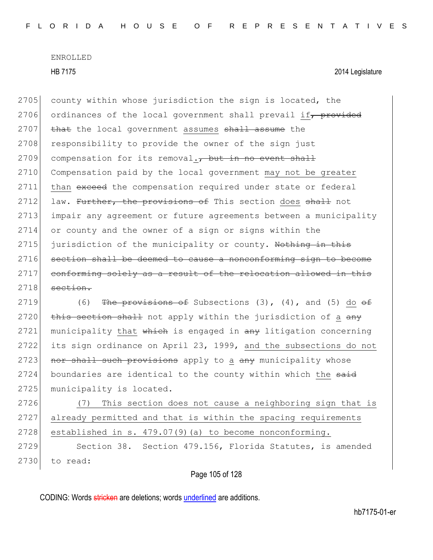HB 7175 2014 Legislature

2705 county within whose jurisdiction the sign is located, the 2706 ordinances of the local government shall prevail if, provided 2707 that the local government assumes shall assume the 2708 responsibility to provide the owner of the sign just  $2709$  compensation for its removal., but in no event shall 2710 Compensation paid by the local government may not be greater 2711 than exceed the compensation required under state or federal 2712 law. Further, the provisions of This section does shall not 2713 impair any agreement or future agreements between a municipality 2714 or county and the owner of a sign or signs within the  $2715$  jurisdiction of the municipality or county. Nothing in this 2716 section shall be deemed to cause a nonconforming sign to become 2717 conforming solely as a result of the relocation allowed in this  $2718$  section.

2719 (6) The provisions of Subsections  $(3)$ ,  $(4)$ , and  $(5)$  do  $\Theta$ f  $2720$  this section shall not apply within the jurisdiction of a any  $2721$  municipality that which is engaged in  $\frac{1}{2}$  intigation concerning 2722 its sign ordinance on April 23, 1999, and the subsections do not 2723 nor shall such provisions apply to a any municipality whose 2724 boundaries are identical to the county within which the said 2725 municipality is located.

2726 (7) This section does not cause a neighboring sign that is 2727 already permitted and that is within the spacing requirements  $2728$  established in s.  $479.07(9)$  (a) to become nonconforming.

2729 Section 38. Section 479.156, Florida Statutes, is amended 2730 to read:

Page 105 of 128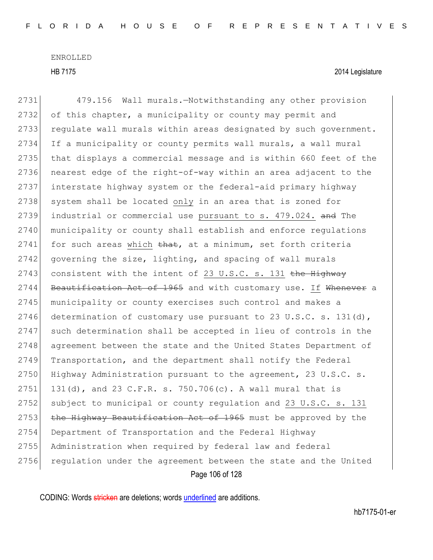HB 7175 2014 Legislature

Page 106 of 128 2731 479.156 Wall murals.—Notwithstanding any other provision 2732 of this chapter, a municipality or county may permit and 2733 regulate wall murals within areas designated by such government. 2734 If a municipality or county permits wall murals, a wall mural 2735 that displays a commercial message and is within 660 feet of the 2736 nearest edge of the right-of-way within an area adjacent to the 2737 interstate highway system or the federal-aid primary highway 2738 system shall be located only in an area that is zoned for 2739 industrial or commercial use pursuant to s. 479.024. and The 2740 municipality or county shall establish and enforce regulations  $2741$  for such areas which that, at a minimum, set forth criteria  $2742$  governing the size, lighting, and spacing of wall murals 2743 consistent with the intent of 23 U.S.C. s. 131  $the$  Highway 2744 Beautification Act of 1965 and with customary use. If Whenever a 2745 municipality or county exercises such control and makes a 2746 determination of customary use pursuant to 23 U.S.C. s. 131(d), 2747 such determination shall be accepted in lieu of controls in the 2748 agreement between the state and the United States Department of 2749 Transportation, and the department shall notify the Federal 2750 Highway Administration pursuant to the agreement, 23 U.S.C. s. 2751 131(d), and 23 C.F.R. s. 750.706(c). A wall mural that is 2752 subject to municipal or county regulation and 23 U.S.C. s. 131 2753  $\pm$ he Highway Beautification Act of 1965 must be approved by the 2754 Department of Transportation and the Federal Highway 2755 Administration when required by federal law and federal 2756 regulation under the agreement between the state and the United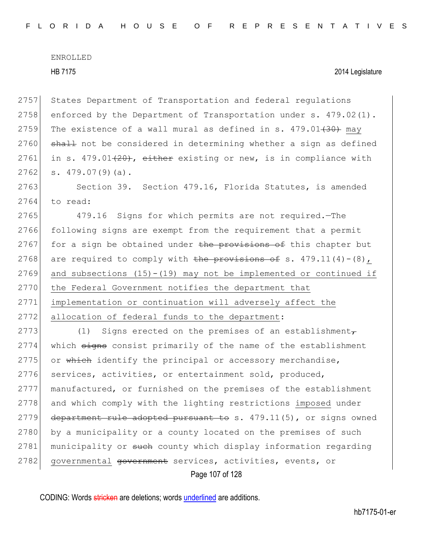2757 States Department of Transportation and federal regulations 2758 enforced by the Department of Transportation under s. 479.02(1). 2759 The existence of a wall mural as defined in s.  $479.01$  $(30)$  may 2760 shall not be considered in determining whether a sign as defined 2761 in s. 479.01  $(20)$ , either existing or new, is in compliance with  $2762$  s.  $479.07(9)(a)$ . 2763 Section 39. Section 479.16, Florida Statutes, is amended 2764 to read: 2765 479.16 Signs for which permits are not required.—The 2766 following signs are exempt from the requirement that a permit 2767 for a sign be obtained under the provisions of this chapter but 2768 are required to comply with the provisions of s.  $479.11(4)-(8)$ , 2769 and subsections  $(15)-(19)$  may not be implemented or continued if 2770 the Federal Government notifies the department that 2771 implementation or continuation will adversely affect the 2772 allocation of federal funds to the department: 2773 (1) Signs erected on the premises of an establishment $\tau$ 2774 which signs consist primarily of the name of the establishment 2775 or which identify the principal or accessory merchandise, 2776 services, activities, or entertainment sold, produced, 2777 manufactured, or furnished on the premises of the establishment 2778 and which comply with the lighting restrictions imposed under 2779 department rule adopted pursuant to s.  $479.11(5)$ , or signs owned 2780 by a municipality or a county located on the premises of such 2781 municipality or such county which display information regarding

2782 governmental government services, activities, events, or

Page 107 of 128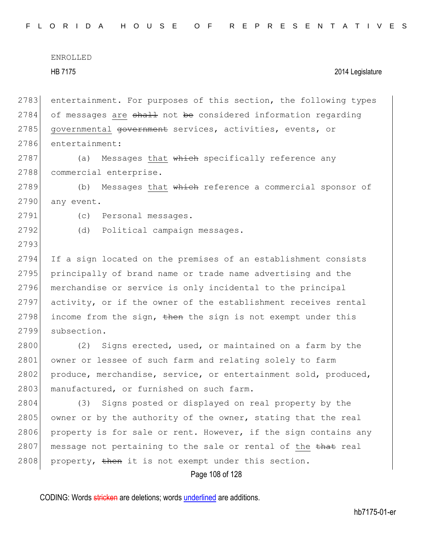ENROLLED HB 7175 2014 Legislature 2783 entertainment. For purposes of this section, the following types  $2784$  of messages are shall not be considered information regarding 2785 governmental government services, activities, events, or 2786 entertainment:

2787 (a) Messages that which specifically reference any 2788 commercial enterprise.

2789 (b) Messages that which reference a commercial sponsor of 2790 any event.

2791 (c) Personal messages.

2793

2792 (d) Political campaign messages.

2794 If a sign located on the premises of an establishment consists 2795 principally of brand name or trade name advertising and the 2796 merchandise or service is only incidental to the principal 2797 activity, or if the owner of the establishment receives rental 2798 income from the sign,  $\frac{1}{2798}$  is not exempt under this 2799 subsection.

2800 (2) Signs erected, used, or maintained on a farm by the 2801 owner or lessee of such farm and relating solely to farm 2802 produce, merchandise, service, or entertainment sold, produced, 2803 manufactured, or furnished on such farm.

2804 (3) Signs posted or displayed on real property by the 2805 owner or by the authority of the owner, stating that the real 2806 property is for sale or rent. However, if the sign contains any 2807 message not pertaining to the sale or rental of the that real 2808 property, then it is not exempt under this section.

Page 108 of 128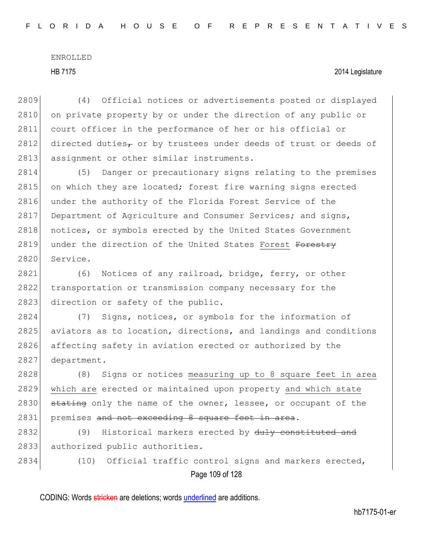## HB 7175 2014 Legislature

2809 (4) Official notices or advertisements posted or displayed 2810 on private property by or under the direction of any public or 2811 court officer in the performance of her or his official or 2812 directed duties<sub> $\tau$ </sub> or by trustees under deeds of trust or deeds of 2813 assignment or other similar instruments.

2814 (5) Danger or precautionary signs relating to the premises  $2815$  on which they are located; forest fire warning signs erected 2816 under the authority of the Florida Forest Service of the 2817 Department of Agriculture and Consumer Services; and signs, 2818 notices, or symbols erected by the United States Government 2819 under the direction of the United States Forest Forestry 2820 Service.

2821 (6) Notices of any railroad, bridge, ferry, or other 2822 transportation or transmission company necessary for the 2823 direction or safety of the public.

2824 (7) Signs, notices, or symbols for the information of 2825 aviators as to location, directions, and landings and conditions 2826 affecting safety in aviation erected or authorized by the 2827 department.

2828 (8) Signs or notices measuring up to 8 square feet in area 2829 which are erected or maintained upon property and which state 2830 stating only the name of the owner, lessee, or occupant of the 2831 premises and not exceeding 8 square feet in area.

2832 (9) Historical markers erected by duly constituted and 2833 authorized public authorities.

Page 109 of 128 2834 (10) Official traffic control signs and markers erected,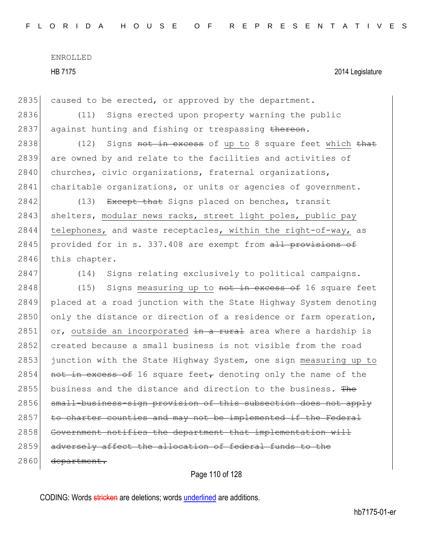HB 7175 2014 Legislature

2835 caused to be erected, or approved by the department.

2836 (11) Signs erected upon property warning the public 2837 against hunting and fishing or trespassing thereon.

2838 (12) Signs not in excess of up to 8 square feet which that 2839 are owned by and relate to the facilities and activities of 2840 churches, civic organizations, fraternal organizations, 2841 charitable organizations, or units or agencies of government.

2842 (13) Except that Signs placed on benches, transit 2843 shelters, modular news racks, street light poles, public pay 2844 telephones, and waste receptacles, within the right-of-way, as 2845 provided for in s. 337.408 are exempt from all provisions of 2846 this chapter.

2847 (14) Signs relating exclusively to political campaigns.

2848 (15) Signs measuring up to not in excess of 16 square feet 2849 placed at a road junction with the State Highway System denoting 2850 only the distance or direction of a residence or farm operation, 2851 or, outside an incorporated  $\frac{1}{2}n$  a rural area where a hardship is 2852 created because a small business is not visible from the road 2853 junction with the State Highway System, one sign measuring up to 2854 not in excess of 16 square feet<sub> $\tau$ </sub> denoting only the name of the 2855 business and the distance and direction to the business. The 2856 small-business-sign provision of this subsection does not apply  $2857$  to charter counties and may not be implemented if the Federal 2858 Government notifies the department that implementation will 2859 adversely affect the allocation of federal funds to the 2860 department.

Page 110 of 128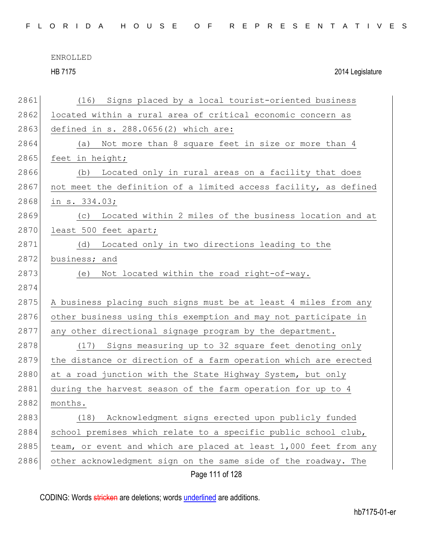| FLORIDA HOUSE OF REPRESENTATIVES |  |
|----------------------------------|--|
|----------------------------------|--|

HB 7175 2014 Legislature

| 2861 | Signs placed by a local tourist-oriented business<br>(16)        |
|------|------------------------------------------------------------------|
| 2862 | located within a rural area of critical economic concern as      |
| 2863 | defined in $s. 288.0656(2)$ which are:                           |
| 2864 | Not more than 8 square feet in size or more than 4<br>(a)        |
| 2865 | feet in height;                                                  |
| 2866 | Located only in rural areas on a facility that does<br>(b)       |
| 2867 | not meet the definition of a limited access facility, as defined |
| 2868 | in s. 334.03;                                                    |
| 2869 | Located within 2 miles of the business location and at<br>(C)    |
| 2870 | least 500 feet apart;                                            |
| 2871 | (d)<br>Located only in two directions leading to the             |
| 2872 | business; and                                                    |
| 2873 | Not located within the road right-of-way.<br>(e)                 |
| 2874 |                                                                  |
| 2875 | A business placing such signs must be at least 4 miles from any  |
| 2876 | other business using this exemption and may not participate in   |
| 2877 | any other directional signage program by the department.         |
| 2878 | (17) Signs measuring up to 32 square feet denoting only          |
| 2879 | the distance or direction of a farm operation which are erected  |
| 2880 | at a road junction with the State Highway System, but only       |
| 2881 | during the harvest season of the farm operation for up to 4      |
| 2882 | months.                                                          |
| 2883 | Acknowledgment signs erected upon publicly funded<br>(18)        |
| 2884 | school premises which relate to a specific public school club,   |
| 2885 | team, or event and which are placed at least 1,000 feet from any |
| 2886 | other acknowledgment sign on the same side of the roadway. The   |
|      | Page 111 of 128                                                  |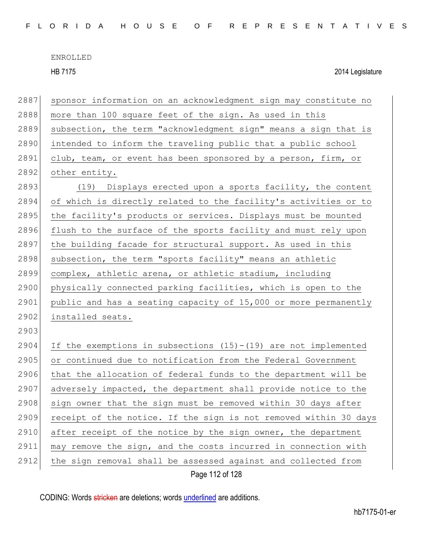HB 7175 2014 Legislature

| 2887 | sponsor information on an acknowledgment sign may constitute no    |
|------|--------------------------------------------------------------------|
| 2888 | more than 100 square feet of the sign. As used in this             |
| 2889 | subsection, the term "acknowledgment sign" means a sign that is    |
| 2890 | intended to inform the traveling public that a public school       |
| 2891 | club, team, or event has been sponsored by a person, firm, or      |
| 2892 | other entity.                                                      |
| 2893 | (19) Displays erected upon a sports facility, the content          |
| 2894 | of which is directly related to the facility's activities or to    |
| 2895 | the facility's products or services. Displays must be mounted      |
| 2896 | flush to the surface of the sports facility and must rely upon     |
| 2897 | the building facade for structural support. As used in this        |
| 2898 | subsection, the term "sports facility" means an athletic           |
| 2899 | complex, athletic arena, or athletic stadium, including            |
| 2900 | physically connected parking facilities, which is open to the      |
| 2901 | public and has a seating capacity of 15,000 or more permanently    |
| 2902 | installed seats.                                                   |
| 2903 |                                                                    |
| 2904 | If the exemptions in subsections $(15) - (19)$ are not implemented |
| 2905 | or continued due to notification from the Federal Government       |
| 2906 | that the allocation of federal funds to the department will be     |
| 2907 | adversely impacted, the department shall provide notice to the     |
| 2908 | sign owner that the sign must be removed within 30 days after      |
| 2909 | receipt of the notice. If the sign is not removed within 30 days   |
| 2910 | after receipt of the notice by the sign owner, the department      |
| 2911 | may remove the sign, and the costs incurred in connection with     |
| 2912 | the sign removal shall be assessed against and collected from      |
|      | Page 112 of 128                                                    |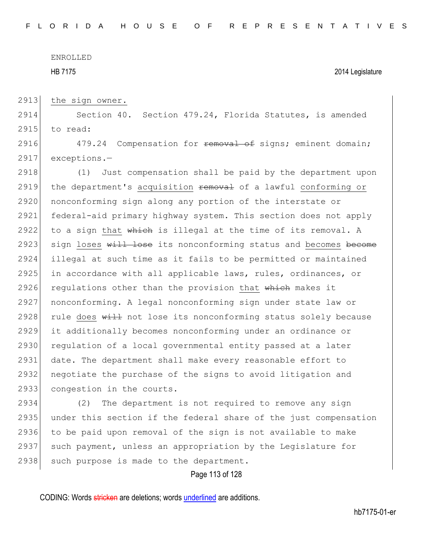HB 7175 2014 Legislature

2913 the sign owner.

2914 Section 40. Section 479.24, Florida Statutes, is amended 2915 to read:

2916 479.24 Compensation for **removal of** signs; eminent domain; 2917 exceptions.—

2918 (1) Just compensation shall be paid by the department upon 2919 the department's acquisition removal of a lawful conforming or 2920 nonconforming sign along any portion of the interstate or 2921 federal-aid primary highway system. This section does not apply 2922 to a sign that  $\frac{1}{2}$  which is illegal at the time of its removal. A 2923 sign loses will lose its nonconforming status and becomes become 2924 illegal at such time as it fails to be permitted or maintained 2925 in accordance with all applicable laws, rules, ordinances, or 2926 regulations other than the provision that which makes it 2927 nonconforming. A legal nonconforming sign under state law or 2928 rule does  $\frac{11}{2}$  not lose its nonconforming status solely because 2929 it additionally becomes nonconforming under an ordinance or 2930 requiation of a local governmental entity passed at a later 2931 date. The department shall make every reasonable effort to 2932 negotiate the purchase of the signs to avoid litigation and 2933 congestion in the courts.

2934 (2) The department is not required to remove any sign 2935 under this section if the federal share of the just compensation 2936 to be paid upon removal of the sign is not available to make 2937 such payment, unless an appropriation by the Legislature for 2938 such purpose is made to the department.

Page 113 of 128

CODING: Words stricken are deletions; words underlined are additions.

hb7175-01-er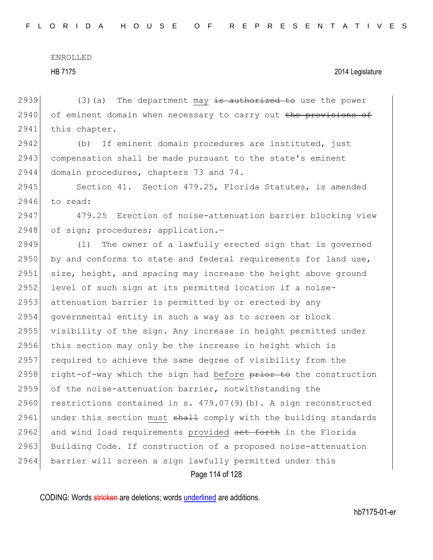2939  $(3)(a)$  The department may is authorized to use the power  $2940$  of eminent domain when necessary to carry out the provisions of 2941 this chapter.

2942 (b) If eminent domain procedures are instituted, just 2943 compensation shall be made pursuant to the state's eminent 2944 domain procedures, chapters 73 and 74.

2945 Section 41. Section 479.25, Florida Statutes, is amended 2946 to read:

2947 479.25 Erection of noise-attenuation barrier blocking view 2948 of sign; procedures; application.-

Page 114 of 128 2949 (1) The owner of a lawfully erected sign that is governed 2950 by and conforms to state and federal requirements for land use, 2951 size, height, and spacing may increase the height above ground 2952 level of such sign at its permitted location if a noise-2953 attenuation barrier is permitted by or erected by any 2954 governmental entity in such a way as to screen or block 2955 visibility of the sign. Any increase in height permitted under 2956 this section may only be the increase in height which is 2957 required to achieve the same degree of visibility from the 2958 right-of-way which the sign had before prior to the construction 2959 of the noise-attenuation barrier, notwithstanding the 2960 restrictions contained in s.  $479.07(9)(b)$ . A sign reconstructed 2961 under this section must  $shath$  comply with the building standards 2962 and wind load requirements provided set forth in the Florida 2963 Building Code. If construction of a proposed noise-attenuation 2964 barrier will screen a sign lawfully permitted under this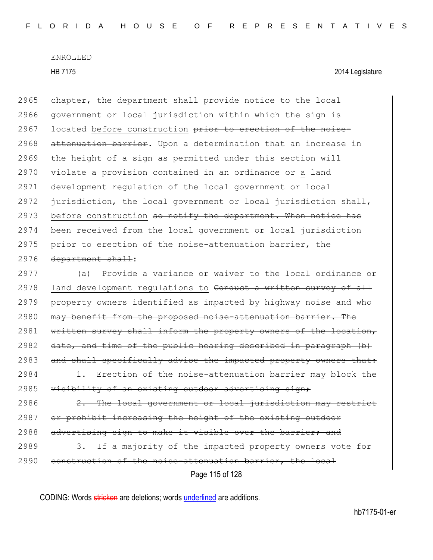Page 115 of 128 2965 chapter, the department shall provide notice to the local 2966 government or local jurisdiction within which the sign is 2967 located before construction prior to erection of the noise-2968 attenuation barrier. Upon a determination that an increase in 2969 the height of a sign as permitted under this section will 2970 violate a provision contained in an ordinance or a land 2971 development regulation of the local government or local 2972 jurisdiction, the local government or local jurisdiction shall,  $2973$  before construction so notify the department. When notice has 2974 been received from the local government or local jurisdiction 2975 prior to erection of the noise-attenuation barrier, the 2976 department shall: 2977 (a) Provide a variance or waiver to the local ordinance or 2978 land development regulations to Conduct a written survey of all 2979 property owners identified as impacted by highway noise and who 2980 may benefit from the proposed noise-attenuation barrier. The 2981 written survey shall inform the property owners of the location,  $2982$  date, and time of the public hearing described in paragraph (b) 2983 and shall specifically advise the impacted property owners that:  $2984$  1. Erection of the noise-attenuation barrier may block the 2985 visibility of an existing outdoor advertising sign; 2986 2. The local government or local jurisdiction may restrict 2987 or prohibit increasing the height of the existing outdoor 2988 advertising sign to make it visible over the barrier; and 2989 3. If a majority of the impacted property owners vote for 2990 construction of the noise-attenuation barrier, the local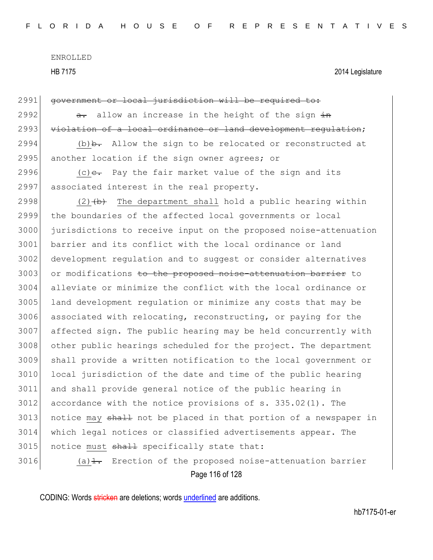HB 7175 2014 Legislature

| 2991 | government or local jurisdiction will be required to:                  |
|------|------------------------------------------------------------------------|
| 2992 | allow an increase in the height of the sign in<br>$a -$                |
| 2993 | violation of a local ordinance or land development regulation;         |
| 2994 | $(b)$ b. Allow the sign to be relocated or reconstructed at            |
| 2995 | another location if the sign owner agrees; or                          |
| 2996 | (c) $e$ . Pay the fair market value of the sign and its                |
| 2997 | associated interest in the real property.                              |
| 2998 | $(2)$ $(4)$ The department shall hold a public hearing within          |
| 2999 | the boundaries of the affected local governments or local              |
| 3000 | jurisdictions to receive input on the proposed noise-attenuation       |
| 3001 | barrier and its conflict with the local ordinance or land              |
| 3002 | development regulation and to suggest or consider alternatives         |
| 3003 | or modifications to the proposed noise-attenuation barrier to          |
| 3004 | alleviate or minimize the conflict with the local ordinance or         |
| 3005 | land development regulation or minimize any costs that may be          |
| 3006 | associated with relocating, reconstructing, or paying for the          |
| 3007 | affected sign. The public hearing may be held concurrently with        |
| 3008 | other public hearings scheduled for the project. The department        |
| 3009 | shall provide a written notification to the local government or        |
| 3010 | local jurisdiction of the date and time of the public hearing          |
| 3011 | and shall provide general notice of the public hearing in              |
| 3012 | accordance with the notice provisions of $s. 335.02(1)$ . The          |
| 3013 | notice may shall not be placed in that portion of a newspaper in       |
| 3014 | which legal notices or classified advertisements appear. The           |
| 3015 | notice must shall specifically state that:                             |
| 3016 | (a) $\frac{1}{1}$ . Erection of the proposed noise-attenuation barrier |
|      |                                                                        |

Page 116 of 128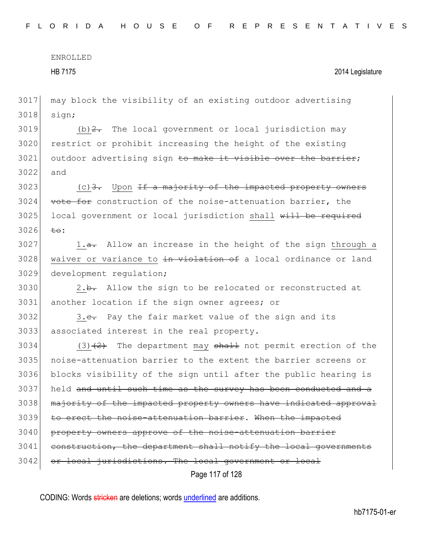HB 7175 2014 Legislature

3017 may block the visibility of an existing outdoor advertising 3018 sign;

3019 (b)  $2$ . The local government or local jurisdiction may 3020 restrict or prohibit increasing the height of the existing 3021 outdoor advertising sign to make it visible over the barrier; 3022 and

 $3023$  (c)  $3.$  Upon <del>If a majority of the impacted property owners</del> 3024 vote for construction of the noise-attenuation barrier, the 3025 local government or local jurisdiction shall will be required  $3026$  to:

 $3027$  1.<del>a.</del> Allow an increase in the height of the sign through a 3028 waiver or variance to in violation of a local ordinance or land 3029 development regulation;

 $3030$  2.b. Allow the sign to be relocated or reconstructed at 3031 another location if the sign owner agrees; or

 $3032$  3.e. Pay the fair market value of the sign and its 3033 associated interest in the real property.

Page 117 of 128 3034 (3) $(2)$  The department may shall not permit erection of the 3035 noise-attenuation barrier to the extent the barrier screens or 3036 blocks visibility of the sign until after the public hearing is 3037 held and until such time as the survey has been conducted and a 3038 majority of the impacted property owners have indicated approval 3039 to erect the noise-attenuation barrier. When the impacted 3040 property owners approve of the noise-attenuation barrier 3041 construction, the department shall notify the local governments 3042 or local jurisdictions. The local government or local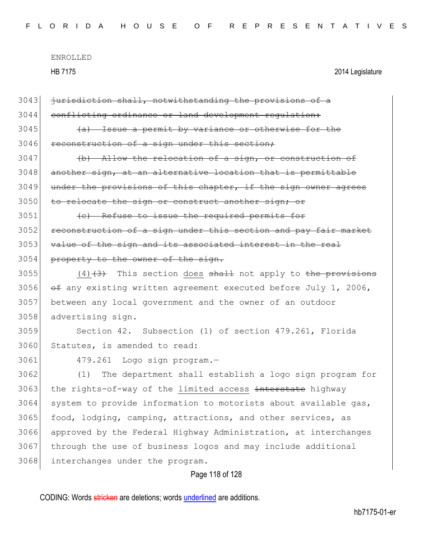ENROLLED HB 7175 2014 Legislature Page 118 of 128 3043 jurisdiction shall, notwithstanding the provisions of a 3044 conflicting ordinance or land development regulation: 3045 (a) Issue a permit by variance or otherwise for the 3046 reconstruction of a sign under this section; 3047 (b) Allow the relocation of a sign, or construction of 3048 another sign, at an alternative location that is permittable 3049 under the provisions of this chapter, if the sign owner agrees 3050 to relocate the sign or construct another sign; or 3051 (c) Refuse to issue the required permits for 3052 reconstruction of a sign under this section and pay fair market 3053 value of the sign and its associated interest in the real 3054 property to the owner of the sign. 3055  $(4)$   $(3)$  This section does shall not apply to the provisions 3056  $\leftrightarrow$  any existing written agreement executed before July 1, 2006, 3057 between any local government and the owner of an outdoor 3058 advertising sign. 3059 Section 42. Subsection (1) of section 479.261, Florida 3060 Statutes, is amended to read: 3061 479.261 Logo sign program.— 3062 (1) The department shall establish a logo sign program for 3063 the rights-of-way of the limited access interstate highway  $3064$  system to provide information to motorists about available gas, 3065 food, lodging, camping, attractions, and other services, as 3066 approved by the Federal Highway Administration, at interchanges 3067 through the use of business logos and may include additional 3068 interchanges under the program.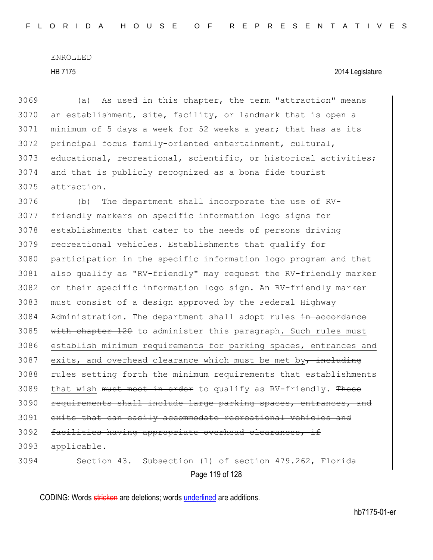## HB 7175 2014 Legislature

 (a) As used in this chapter, the term "attraction" means an establishment, site, facility, or landmark that is open a minimum of 5 days a week for 52 weeks a year; that has as its principal focus family-oriented entertainment, cultural, 3073 educational, recreational, scientific, or historical activities; and that is publicly recognized as a bona fide tourist attraction.

 (b) The department shall incorporate the use of RV- friendly markers on specific information logo signs for establishments that cater to the needs of persons driving recreational vehicles. Establishments that qualify for participation in the specific information logo program and that also qualify as "RV-friendly" may request the RV-friendly marker on their specific information logo sign. An RV-friendly marker 3083 must consist of a design approved by the Federal Highway 3084 Administration. The department shall adopt rules in accordance with chapter 120 to administer this paragraph. Such rules must establish minimum requirements for parking spaces, entrances and exits, and overhead clearance which must be met by, including **rules setting forth the minimum requirements that** establishments 3089 that wish must meet in order to qualify as RV-friendly. These 3090 requirements shall include large parking spaces, entrances, and 3091 exits that can easily accommodate recreational vehicles and 3092 facilities having appropriate overhead clearances, if 3093 applicable. Section 43. Subsection (1) of section 479.262, Florida

Page 119 of 128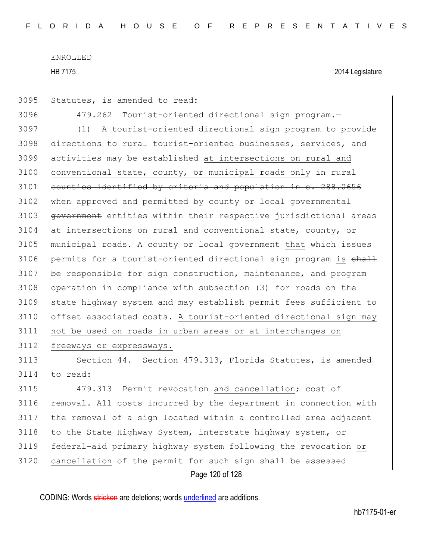HB 7175 2014 Legislature

3095 Statutes, is amended to read:

3096 479.262 Tourist-oriented directional sign program.—

3097 (1) A tourist-oriented directional sign program to provide 3098 directions to rural tourist-oriented businesses, services, and 3099 activities may be established at intersections on rural and  $3100$  conventional state, county, or municipal roads only  $\frac{1}{10}$  rural 3101 counties identified by criteria and population in s. 288.0656 3102 when approved and permitted by county or local governmental 3103 government entities within their respective jurisdictional areas 3104 at intersections on rural and conventional state, county, or  $3105$  municipal roads. A county or local government that which issues 3106 permits for a tourist-oriented directional sign program is shall  $3107$  be responsible for sign construction, maintenance, and program 3108 operation in compliance with subsection (3) for roads on the 3109 state highway system and may establish permit fees sufficient to 3110 offset associated costs. A tourist-oriented directional sign may 3111 not be used on roads in urban areas or at interchanges on 3112 freeways or expressways.

3113 Section 44. Section 479.313, Florida Statutes, is amended 3114 to read:

Page 120 of 128 3115 479.313 Permit revocation and cancellation; cost of 3116 removal.—All costs incurred by the department in connection with 3117 the removal of a sign located within a controlled area adjacent 3118 to the State Highway System, interstate highway system, or 3119 federal-aid primary highway system following the revocation or 3120 cancellation of the permit for such sign shall be assessed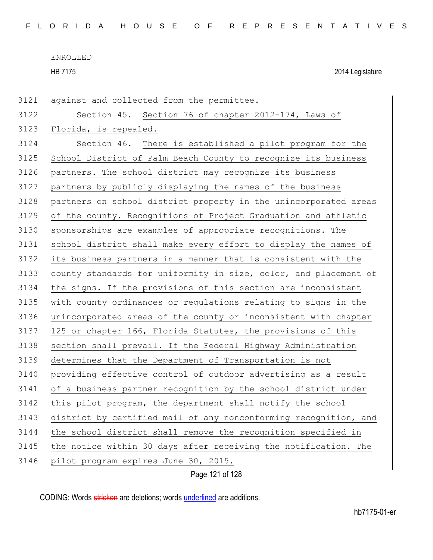HB 7175 2014 Legislature

Page 121 of 128 against and collected from the permittee. Section 45. Section 76 of chapter 2012-174, Laws of 3123 Florida, is repealed. Section 46. There is established a pilot program for the School District of Palm Beach County to recognize its business partners. The school district may recognize its business partners by publicly displaying the names of the business 3128 partners on school district property in the unincorporated areas of the county. Recognitions of Project Graduation and athletic sponsorships are examples of appropriate recognitions. The school district shall make every effort to display the names of its business partners in a manner that is consistent with the county standards for uniformity in size, color, and placement of the signs. If the provisions of this section are inconsistent with county ordinances or regulations relating to signs in the unincorporated areas of the county or inconsistent with chapter 125 or chapter 166, Florida Statutes, the provisions of this section shall prevail. If the Federal Highway Administration determines that the Department of Transportation is not providing effective control of outdoor advertising as a result of a business partner recognition by the school district under 3142 this pilot program, the department shall notify the school 3143 district by certified mail of any nonconforming recognition, and the school district shall remove the recognition specified in 3145 the notice within 30 days after receiving the notification. The 3146 pilot program expires June 30, 2015.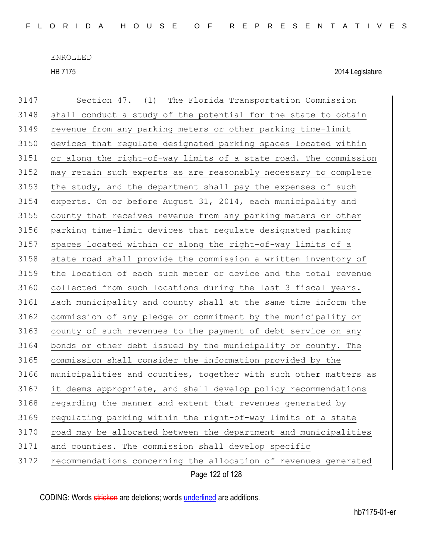HB 7175 2014 Legislature

| 3147 | Section 47. (1) The Florida Transportation Commission            |
|------|------------------------------------------------------------------|
| 3148 | shall conduct a study of the potential for the state to obtain   |
| 3149 | revenue from any parking meters or other parking time-limit      |
| 3150 | devices that regulate designated parking spaces located within   |
| 3151 | or along the right-of-way limits of a state road. The commission |
| 3152 | may retain such experts as are reasonably necessary to complete  |
| 3153 | the study, and the department shall pay the expenses of such     |
| 3154 | experts. On or before August 31, 2014, each municipality and     |
| 3155 | county that receives revenue from any parking meters or other    |
| 3156 | parking time-limit devices that regulate designated parking      |
| 3157 | spaces located within or along the right-of-way limits of a      |
| 3158 | state road shall provide the commission a written inventory of   |
| 3159 | the location of each such meter or device and the total revenue  |
| 3160 | collected from such locations during the last 3 fiscal years.    |
| 3161 | Each municipality and county shall at the same time inform the   |
| 3162 | commission of any pledge or commitment by the municipality or    |
| 3163 | county of such revenues to the payment of debt service on any    |
| 3164 | bonds or other debt issued by the municipality or county. The    |
| 3165 | commission shall consider the information provided by the        |
| 3166 | municipalities and counties, together with such other matters as |
| 3167 | it deems appropriate, and shall develop policy recommendations   |
| 3168 | regarding the manner and extent that revenues generated by       |
| 3169 | regulating parking within the right-of-way limits of a state     |
| 3170 | road may be allocated between the department and municipalities  |
| 3171 | and counties. The commission shall develop specific              |
| 3172 | recommendations concerning the allocation of revenues generated  |
|      | Page 122 of 128                                                  |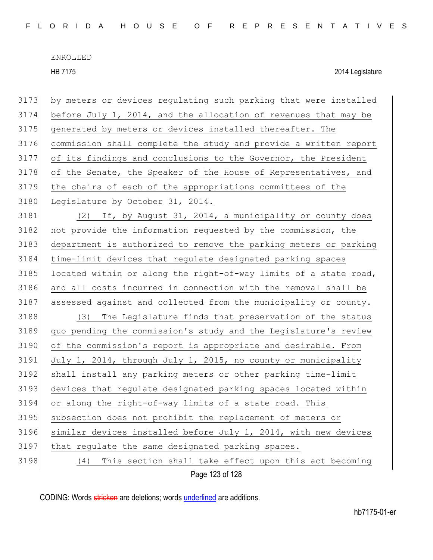HB 7175 2014 Legislature

| 3173 | by meters or devices regulating such parking that were installed |
|------|------------------------------------------------------------------|
| 3174 | before July 1, 2014, and the allocation of revenues that may be  |
| 3175 | generated by meters or devices installed thereafter. The         |
| 3176 | commission shall complete the study and provide a written report |
| 3177 | of its findings and conclusions to the Governor, the President   |
| 3178 | of the Senate, the Speaker of the House of Representatives, and  |
| 3179 | the chairs of each of the appropriations committees of the       |
| 3180 | Legislature by October 31, 2014.                                 |
| 3181 | If, by August 31, 2014, a municipality or county does<br>(2)     |
| 3182 | not provide the information requested by the commission, the     |
| 3183 | department is authorized to remove the parking meters or parking |
| 3184 | time-limit devices that requlate designated parking spaces       |
| 3185 | located within or along the right-of-way limits of a state road, |
| 3186 | and all costs incurred in connection with the removal shall be   |
| 3187 | assessed against and collected from the municipality or county.  |
| 3188 | The Legislature finds that preservation of the status<br>(3)     |
| 3189 | quo pending the commission's study and the Legislature's review  |
| 3190 | of the commission's report is appropriate and desirable. From    |
| 3191 | July 1, 2014, through July 1, 2015, no county or municipality    |
| 3192 | shall install any parking meters or other parking time-limit     |
| 3193 | devices that regulate designated parking spaces located within   |
| 3194 | or along the right-of-way limits of a state road. This           |
| 3195 | subsection does not prohibit the replacement of meters or        |
| 3196 | similar devices installed before July 1, 2014, with new devices  |
| 3197 | that regulate the same designated parking spaces.                |
| 3198 | This section shall take effect upon this act becoming<br>(4)     |
|      | Page 123 of 128                                                  |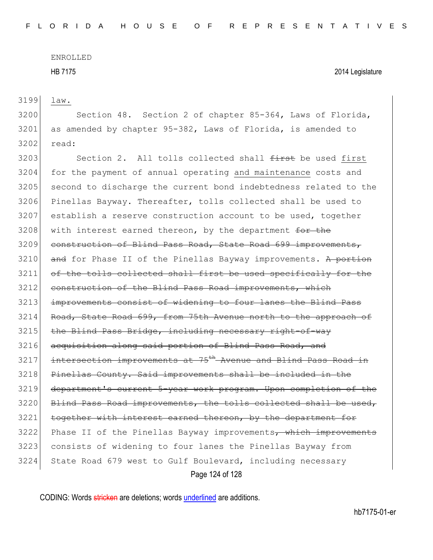HB 7175 2014 Legislature

3199 law.

3200 Section 48. Section 2 of chapter 85-364, Laws of Florida,  $3201$  as amended by chapter 95-382, Laws of Florida, is amended to 3202 read:

Page 124 of 128 3203 Section 2. All tolls collected shall  $f$ inst be used first 3204 for the payment of annual operating and maintenance costs and 3205 second to discharge the current bond indebtedness related to the 3206 Pinellas Bayway. Thereafter, tolls collected shall be used to 3207 establish a reserve construction account to be used, together  $3208$  with interest earned thereon, by the department for the 3209 construction of Blind Pass Road, State Road 699 improvements,  $3210$  and for Phase II of the Pinellas Bayway improvements. A portion 3211 of the tolls collected shall first be used specifically for the 3212 construction of the Blind Pass Road improvements, which 3213 improvements consist of widening to four lanes the Blind Pass 3214 Road, State Road 699, from 75th Avenue north to the approach of  $3215$  the Blind Pass Bridge, including necessary right-of-way 3216 acquisition along said portion of Blind Pass Road, and  $3217$  intersection improvements at  $75<sup>th</sup>$  Avenue and Blind Pass Road in 3218 Pinellas County. Said improvements shall be included in the 3219 department's current 5-year work program. Upon completion of the 3220 Blind Pass Road improvements, the tolls collected shall be used, 3221 together with interest earned thereon, by the department for 3222 Phase II of the Pinellas Bayway improvements, which improvements 3223 consists of widening to four lanes the Pinellas Bayway from 3224 State Road 679 west to Gulf Boulevard, including necessary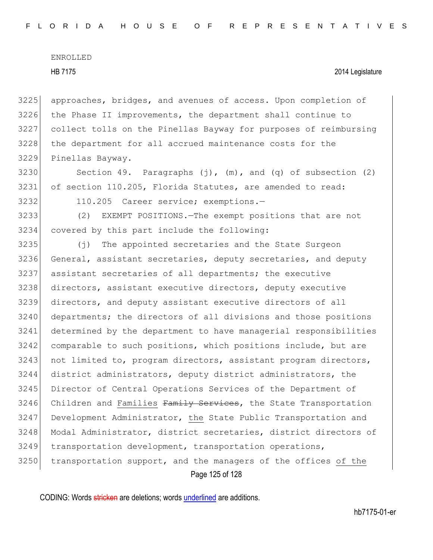approaches, bridges, and avenues of access. Upon completion of the Phase II improvements, the department shall continue to collect tolls on the Pinellas Bayway for purposes of reimbursing 3228 the department for all accrued maintenance costs for the Pinellas Bayway.

- 3230 Section 49. Paragraphs  $(j)$ ,  $(m)$ , and  $(q)$  of subsection  $(2)$ 3231 of section 110.205, Florida Statutes, are amended to read:
- 

3232 110.205 Career service; exemptions.—

3233 (2) EXEMPT POSITIONS.—The exempt positions that are not 3234 covered by this part include the following:

Page 125 of 128 3235 (j) The appointed secretaries and the State Surgeon 3236 General, assistant secretaries, deputy secretaries, and deputy 3237 assistant secretaries of all departments; the executive 3238 directors, assistant executive directors, deputy executive 3239 directors, and deputy assistant executive directors of all 3240 departments; the directors of all divisions and those positions 3241 determined by the department to have managerial responsibilities 3242 comparable to such positions, which positions include, but are 3243 not limited to, program directors, assistant program directors, 3244 district administrators, deputy district administrators, the 3245 Director of Central Operations Services of the Department of 3246 Children and Families Family Services, the State Transportation 3247 Development Administrator, the State Public Transportation and 3248 Modal Administrator, district secretaries, district directors of 3249 transportation development, transportation operations, 3250 transportation support, and the managers of the offices of the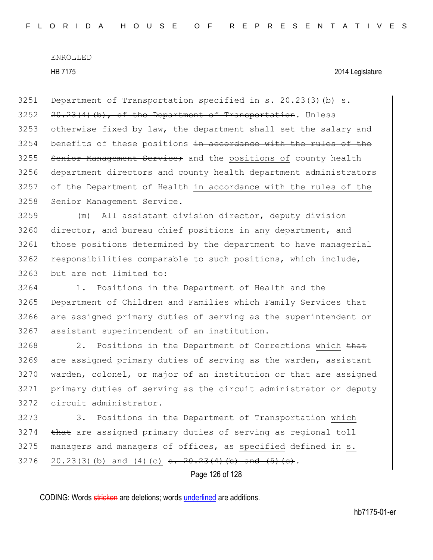HB 7175 2014 Legislature

3251 Department of Transportation specified in s. 20.23(3)(b)  $s$ .  $3252$   $20.23(4)(b)$ , of the Department of Transportation. Unless 3253 otherwise fixed by law, the department shall set the salary and 3254 benefits of these positions in accordance with the rules of the 3255 Senior Management Service; and the positions of county health 3256 department directors and county health department administrators 3257 of the Department of Health in accordance with the rules of the 3258 Senior Management Service. 3259 (m) All assistant division director, deputy division 3260 director, and bureau chief positions in any department, and 3261 those positions determined by the department to have managerial 3262 responsibilities comparable to such positions, which include, 3263 but are not limited to: 3264 1. Positions in the Department of Health and the 3265 Department of Children and Families which Family Services that 3266 are assigned primary duties of serving as the superintendent or 3267 assistant superintendent of an institution. 3268 2. Positions in the Department of Corrections which that 3269 are assigned primary duties of serving as the warden, assistant 3270 warden, colonel, or major of an institution or that are assigned 3271 primary duties of serving as the circuit administrator or deputy 3272 circuit administrator. 3273 3. Positions in the Department of Transportation which  $3274$  that are assigned primary duties of serving as regional toll 3275 managers and managers of offices, as specified defined in s. 3276 20.23(3)(b) and (4)(c) <del>s. 20.23(4)(b) and (5)(e)</del>.

Page 126 of 128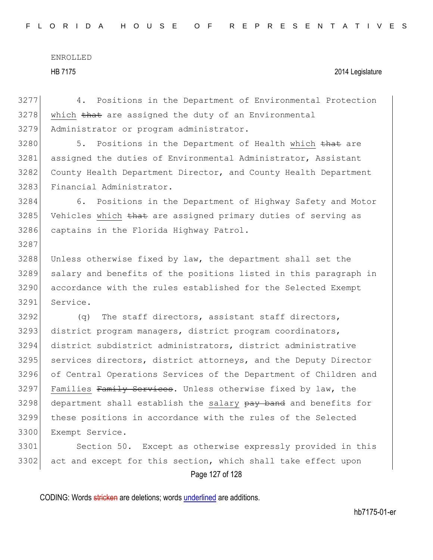| 3277 | 4. Positions in the Department of Environmental Protection       |
|------|------------------------------------------------------------------|
| 3278 | which that are assigned the duty of an Environmental             |
| 3279 | Administrator or program administrator.                          |
| 3280 | 5.<br>Positions in the Department of Health which that are       |
| 3281 | assigned the duties of Environmental Administrator, Assistant    |
| 3282 | County Health Department Director, and County Health Department  |
| 3283 | Financial Administrator.                                         |
| 3284 | 6.<br>Positions in the Department of Highway Safety and Motor    |
| 3285 | Vehicles which that are assigned primary duties of serving as    |
| 3286 | captains in the Florida Highway Patrol.                          |
| 3287 |                                                                  |
| 3288 | Unless otherwise fixed by law, the department shall set the      |
| 3289 | salary and benefits of the positions listed in this paragraph in |
| 3290 | accordance with the rules established for the Selected Exempt    |
| 3291 | Service.                                                         |
| 3292 | The staff directors, assistant staff directors,<br>(q)           |
| 3293 | district program managers, district program coordinators,        |
| 3294 | district subdistrict administrators, district administrative     |
| 3295 | services directors, district attorneys, and the Deputy Director  |
| 3296 | of Central Operations Services of the Department of Children and |
| 3297 | Families Family Services. Unless otherwise fixed by law, the     |
| 3298 | department shall establish the salary pay band and benefits for  |
| 3299 | these positions in accordance with the rules of the Selected     |
| 3300 | Exempt Service.                                                  |
| 3301 | Section 50. Except as otherwise expressly provided in this       |
| 3302 | act and except for this section, which shall take effect upon    |
|      | Page 127 of 128                                                  |